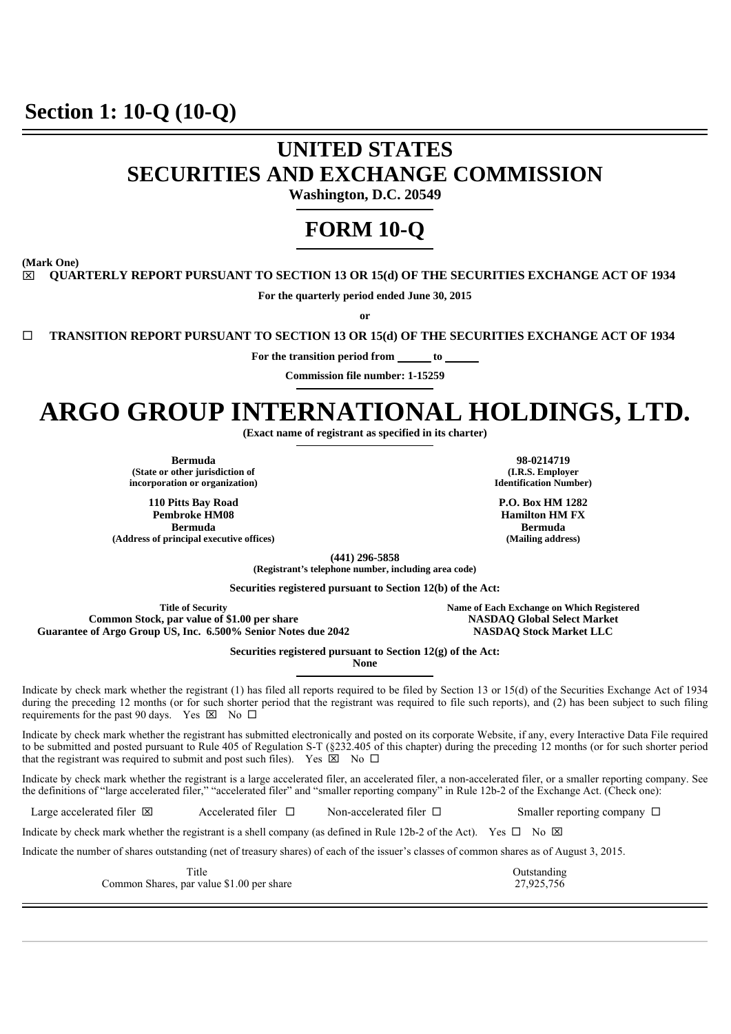# **UNITED STATES SECURITIES AND EXCHANGE COMMISSION**

**Washington, D.C. 20549** 

# **FORM 10-Q**

**(Mark One)** 

:

**QUARTERLY REPORT PURSUANT TO SECTION 13 OR 15(d) OF THE SECURITIES EXCHANGE ACT OF 1934** 

**For the quarterly period ended June 30, 2015** 

**or** 

**TRANSITION REPORT PURSUANT TO SECTION 13 OR 15(d) OF THE SECURITIES EXCHANGE ACT OF 1934** 

For the transition period from <u>to</u>

**Commission file number: 1-15259** 

# **ARGO GROUP INTERNATIONAL HOLDINGS, LTD.**

**(Exact name of registrant as specified in its charter)** 

**Bermuda 98-0214719 (State or other jurisdiction of incorporation or organization)** 

**110 Pitts Bay Road Pembroke HM08 Bermuda**  (Address of principal executive offices)

**(I.R.S. Employer Identification Number)** 

**P.O. Box HM 1282 Hamilton HM FX Bermuda** 

**(441) 296-5858 (Registrant's telephone number, including area code)** 

**Securities registered pursuant to Section 12(b) of the Act:** 

**Common Stock, par value of \$1.00 per share NASDAQ Global Select Market**<br>
of Argo Group US, Inc. 6.500% Senior Notes due 2042 NASDAQ Stock Market LLC Guarantee of Argo Group US, Inc. 6.500% Senior Notes due 2042

**Title of Security Name of Each Exchange on Which Registered**

**Securities registered pursuant to Section 12(g) of the Act:** 

**None** 

Indicate by check mark whether the registrant (1) has filed all reports required to be filed by Section 13 or 15(d) of the Securities Exchange Act of 1934 during the preceding 12 months (or for such shorter period that the registrant was required to file such reports), and (2) has been subject to such filing requirements for the past 90 days. Yes  $\boxtimes$  No  $\square$ 

Indicate by check mark whether the registrant has submitted electronically and posted on its corporate Website, if any, every Interactive Data File required to be submitted and posted pursuant to Rule 405 of Regulation S-T (§232.405 of this chapter) during the preceding 12 months (or for such shorter period that the registrant was required to submit and post such files). Yes  $\overline{\boxtimes}$  No  $\Box$ 

Indicate by check mark whether the registrant is a large accelerated filer, an accelerated filer, a non-accelerated filer, or a smaller reporting company. See the definitions of "large accelerated filer," "accelerated filer" and "smaller reporting company" in Rule 12b-2 of the Exchange Act. (Check one):

Large accelerated filer  $\Box$  Accelerated filer  $\Box$  Non-accelerated filer  $\Box$  Smaller reporting company  $\Box$ 

Indicate by check mark whether the registrant is a shell company (as defined in Rule 12b-2 of the Act). Yes  $\Box$  No  $\boxtimes$ 

Indicate the number of shares outstanding (net of treasury shares) of each of the issuer's classes of common shares as of August 3, 2015.

Title Outstanding<br>
outstanding<br>
Outstanding<br>
27.925.756 Common Shares, par value \$1.00 per share

I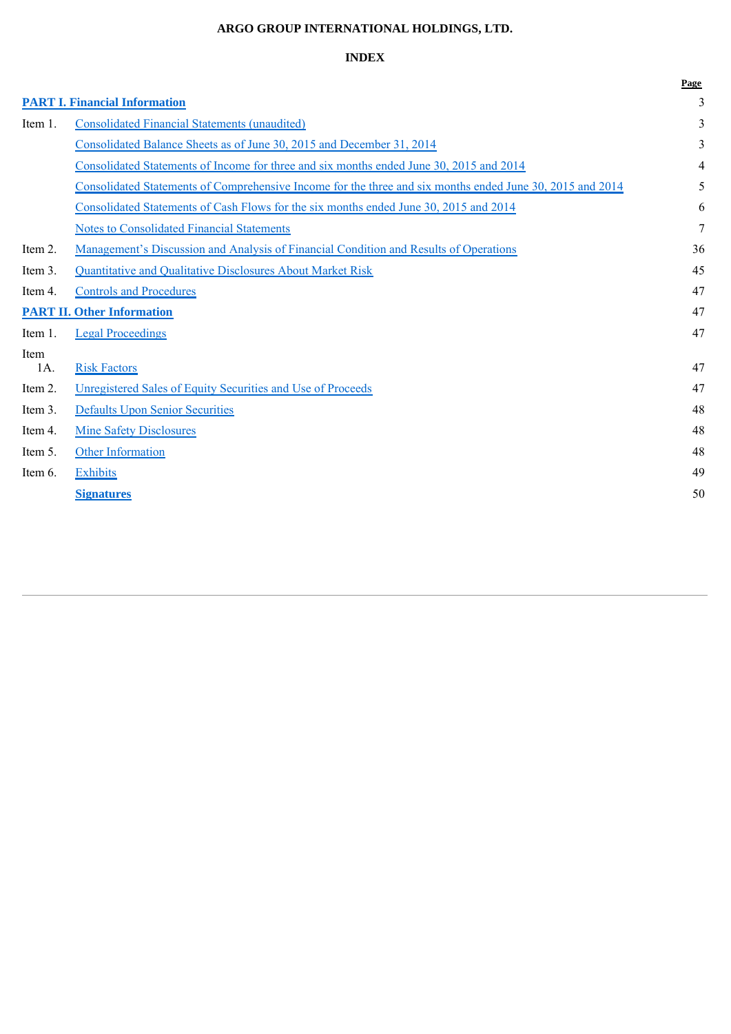# **ARGO GROUP INTERNATIONAL HOLDINGS, LTD.**

# **INDEX**

|             |                                                                                                           | Page |
|-------------|-----------------------------------------------------------------------------------------------------------|------|
|             | <b>PART I. Financial Information</b>                                                                      | 3    |
| Item 1.     | <b>Consolidated Financial Statements (unaudited)</b>                                                      | 3    |
|             | Consolidated Balance Sheets as of June 30, 2015 and December 31, 2014                                     | 3    |
|             | Consolidated Statements of Income for three and six months ended June 30, 2015 and 2014                   | 4    |
|             | Consolidated Statements of Comprehensive Income for the three and six months ended June 30, 2015 and 2014 | 5    |
|             | Consolidated Statements of Cash Flows for the six months ended June 30, 2015 and 2014                     | 6    |
|             | <b>Notes to Consolidated Financial Statements</b>                                                         | 7    |
| Item 2.     | Management's Discussion and Analysis of Financial Condition and Results of Operations                     | 36   |
| Item 3.     | Quantitative and Qualitative Disclosures About Market Risk                                                | 45   |
| Item 4.     | <b>Controls and Procedures</b>                                                                            | 47   |
|             | <b>PART II. Other Information</b>                                                                         | 47   |
| Item 1.     | <b>Legal Proceedings</b>                                                                                  | 47   |
| Item<br>1A. | <b>Risk Factors</b>                                                                                       | 47   |
| Item 2.     | Unregistered Sales of Equity Securities and Use of Proceeds                                               | 47   |
| Item 3.     | <b>Defaults Upon Senior Securities</b>                                                                    | 48   |
| Item 4.     | <b>Mine Safety Disclosures</b>                                                                            | 48   |
| Item 5.     | <b>Other Information</b>                                                                                  | 48   |
| Item 6.     | <b>Exhibits</b>                                                                                           | 49   |
|             | <b>Signatures</b>                                                                                         | 50   |
|             |                                                                                                           |      |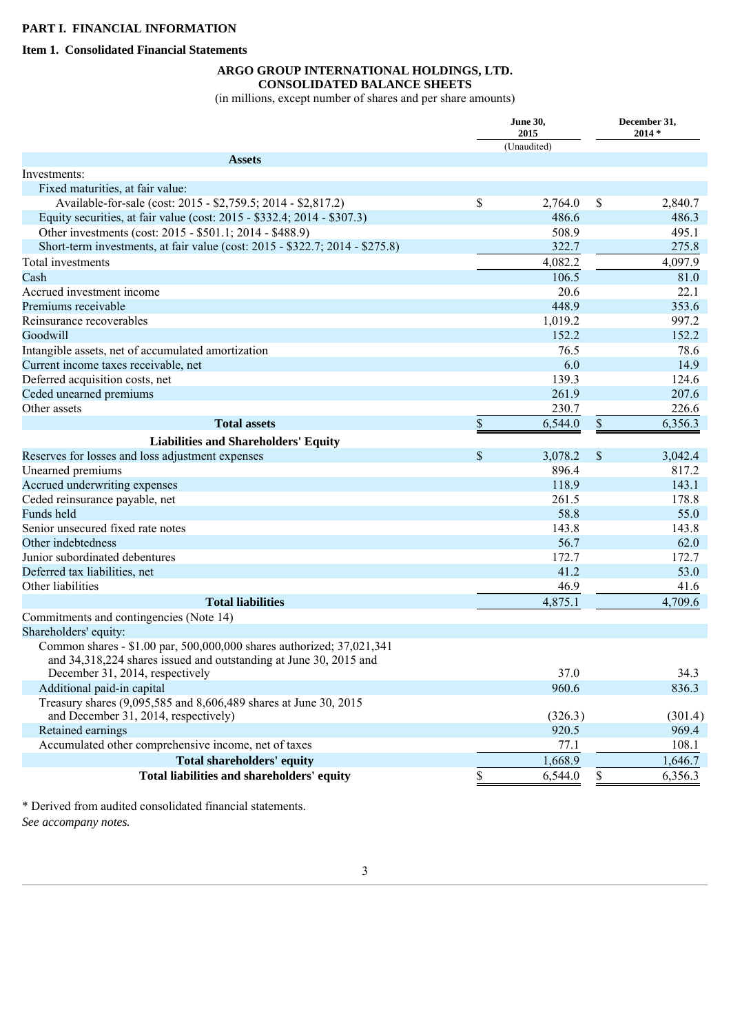## **PART I. FINANCIAL INFORMATION**

## **Item 1. Consolidated Financial Statements**

## **ARGO GROUP INTERNATIONAL HOLDINGS, LTD. CONSOLIDATED BALANCE SHEETS**

(in millions, except number of shares and per share amounts)

|                                                                              |                           | June 30,<br>2015 | December 31,<br>$2014*$ |
|------------------------------------------------------------------------------|---------------------------|------------------|-------------------------|
|                                                                              |                           | (Unaudited)      |                         |
| <b>Assets</b>                                                                |                           |                  |                         |
| Investments:                                                                 |                           |                  |                         |
| Fixed maturities, at fair value:                                             |                           |                  |                         |
| Available-for-sale (cost: 2015 - \$2,759.5; 2014 - \$2,817.2)                | \$                        | 2,764.0          | \$<br>2,840.7           |
| Equity securities, at fair value (cost: 2015 - \$332.4; 2014 - \$307.3)      |                           | 486.6            | 486.3                   |
| Other investments (cost: 2015 - \$501.1; 2014 - \$488.9)                     |                           | 508.9            | 495.1                   |
| Short-term investments, at fair value (cost: 2015 - \$322.7; 2014 - \$275.8) |                           | 322.7            | 275.8                   |
| Total investments                                                            |                           | 4,082.2          | 4,097.9                 |
| Cash                                                                         |                           | 106.5            | 81.0                    |
| Accrued investment income                                                    |                           | 20.6             | 22.1                    |
| Premiums receivable                                                          |                           | 448.9            | 353.6                   |
| Reinsurance recoverables                                                     |                           | 1,019.2          | 997.2                   |
| Goodwill                                                                     |                           | 152.2            | 152.2                   |
| Intangible assets, net of accumulated amortization                           |                           | 76.5             | 78.6                    |
| Current income taxes receivable, net                                         |                           | 6.0              | 14.9                    |
| Deferred acquisition costs, net                                              |                           | 139.3            | 124.6                   |
| Ceded unearned premiums                                                      |                           | 261.9            | 207.6                   |
| Other assets                                                                 |                           | 230.7            | 226.6                   |
| <b>Total assets</b>                                                          | \$                        | 6,544.0          | \$<br>6,356.3           |
| <b>Liabilities and Shareholders' Equity</b>                                  |                           |                  |                         |
| Reserves for losses and loss adjustment expenses                             | $\boldsymbol{\mathsf{S}}$ | 3,078.2          | \$<br>3,042.4           |
| Unearned premiums                                                            |                           | 896.4            | 817.2                   |
| Accrued underwriting expenses                                                |                           | 118.9            | 143.1                   |
| Ceded reinsurance payable, net                                               |                           | 261.5            | 178.8                   |
| Funds held                                                                   |                           | 58.8             | 55.0                    |
| Senior unsecured fixed rate notes                                            |                           | 143.8            | 143.8                   |
| Other indebtedness                                                           |                           | 56.7             | 62.0                    |
| Junior subordinated debentures                                               |                           | 172.7            | 172.7                   |
| Deferred tax liabilities, net                                                |                           | 41.2             | 53.0                    |
| Other liabilities                                                            |                           | 46.9             | 41.6                    |
| <b>Total liabilities</b>                                                     |                           | 4,875.1          | 4,709.6                 |
| Commitments and contingencies (Note 14)                                      |                           |                  |                         |
| Shareholders' equity:                                                        |                           |                  |                         |
| Common shares - \$1.00 par, 500,000,000 shares authorized; 37,021,341        |                           |                  |                         |
| and 34,318,224 shares issued and outstanding at June 30, 2015 and            |                           |                  |                         |
| December 31, 2014, respectively                                              |                           | 37.0             | 34.3                    |
| Additional paid-in capital                                                   |                           | 960.6            | 836.3                   |
| Treasury shares (9,095,585 and 8,606,489 shares at June 30, 2015             |                           |                  |                         |
| and December 31, 2014, respectively)                                         |                           | (326.3)          | (301.4)                 |
| Retained earnings                                                            |                           | 920.5            | 969.4                   |
| Accumulated other comprehensive income, net of taxes                         |                           | 77.1             | 108.1                   |
| <b>Total shareholders' equity</b>                                            |                           | 1,668.9          | 1,646.7                 |
| Total liabilities and shareholders' equity                                   | \$                        | 6,544.0          | \$<br>6,356.3           |

\* Derived from audited consolidated financial statements.

*See accompany notes.*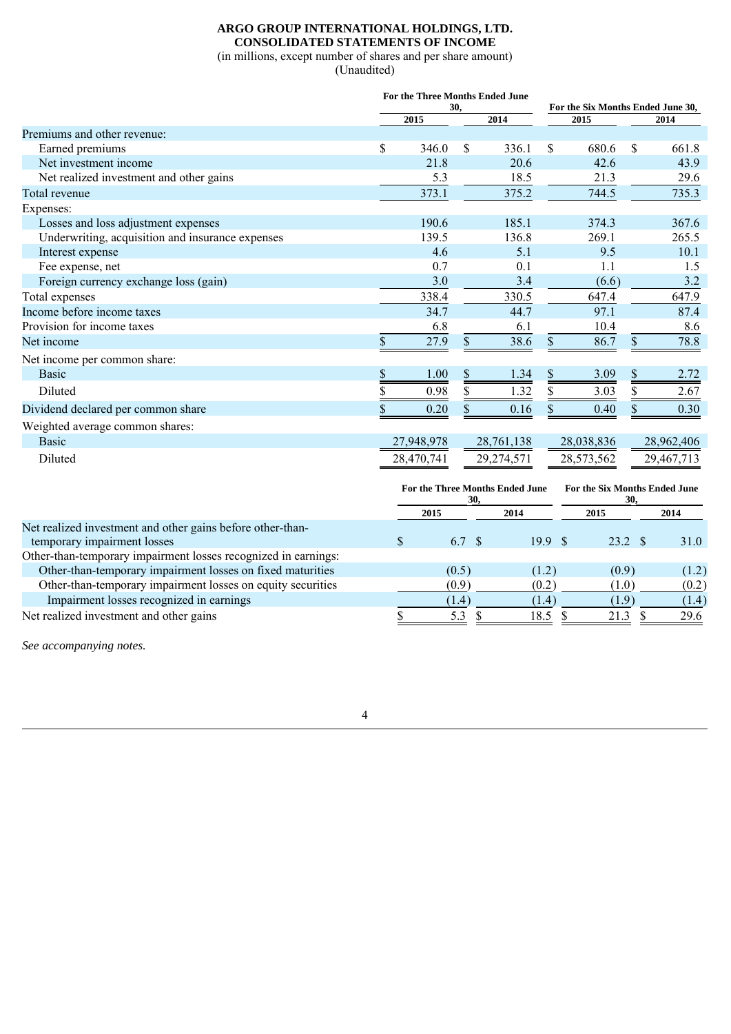# **ARGO GROUP INTERNATIONAL HOLDINGS, LTD. CONSOLIDATED STATEMENTS OF INCOME**

(in millions, except number of shares and per share amount)

(Unaudited)

|                                                                |      | For the Three Months Ended June<br>30, |                  | For the Six Months Ended June 30, |                       |                               |                           |            |
|----------------------------------------------------------------|------|----------------------------------------|------------------|-----------------------------------|-----------------------|-------------------------------|---------------------------|------------|
|                                                                |      | 2015                                   |                  | 2014<br>2015                      |                       |                               |                           | 2014       |
| Premiums and other revenue:                                    |      |                                        |                  |                                   |                       |                               |                           |            |
| Earned premiums                                                | \$   | 346.0                                  | \$               | 336.1                             | \$                    | 680.6                         | \$                        | 661.8      |
| Net investment income                                          |      | 21.8                                   |                  | 20.6                              |                       | 42.6                          |                           | 43.9       |
| Net realized investment and other gains                        |      | 5.3                                    |                  | 18.5                              |                       | 21.3                          |                           | 29.6       |
| Total revenue                                                  |      | 373.1                                  |                  | 375.2                             |                       | 744.5                         |                           | 735.3      |
| Expenses:                                                      |      |                                        |                  |                                   |                       |                               |                           |            |
| Losses and loss adjustment expenses                            |      | 190.6                                  |                  | 185.1                             |                       | 374.3                         |                           | 367.6      |
| Underwriting, acquisition and insurance expenses               |      | 139.5                                  |                  | 136.8                             |                       | 269.1                         |                           | 265.5      |
| Interest expense                                               |      | 4.6                                    |                  | 5.1                               |                       | 9.5                           |                           | 10.1       |
| Fee expense, net                                               |      | 0.7                                    |                  | 0.1                               |                       | 1.1                           |                           | 1.5        |
| Foreign currency exchange loss (gain)                          |      | 3.0                                    |                  | 3.4                               |                       | (6.6)                         |                           | 3.2        |
| Total expenses                                                 |      | 338.4                                  |                  | 330.5                             |                       | 647.4                         |                           | 647.9      |
| Income before income taxes                                     |      | 34.7                                   |                  | 44.7                              |                       | 97.1                          |                           | 87.4       |
| Provision for income taxes                                     |      | 6.8                                    |                  | 6.1                               |                       | 10.4                          |                           | 8.6        |
| Net income                                                     | $\$$ | 27.9                                   | \$               | 38.6                              | \$                    | 86.7                          | $\boldsymbol{\mathsf{S}}$ | 78.8       |
| Net income per common share:                                   |      |                                        |                  |                                   |                       |                               |                           |            |
| <b>Basic</b>                                                   | \$   | 1.00                                   | \$               | 1.34                              | \$                    | <u>3.09</u>                   | \$                        | 2.72       |
| Diluted                                                        | \$   | 0.98                                   | \$               | 1.32                              | \$                    | 3.03                          | \$                        | 2.67       |
| Dividend declared per common share                             | \$   | 0.20                                   | \$               | 0.16                              | \$                    | 0.40                          | \$                        | 0.30       |
| Weighted average common shares:                                |      |                                        |                  |                                   |                       |                               |                           |            |
| <b>Basic</b>                                                   |      | 27,948,978                             |                  | 28,761,138                        |                       | 28,038,836                    |                           | 28,962,406 |
| Diluted                                                        |      | 28,470,741                             |                  | 29,274,571                        |                       | 28,573,562                    |                           | 29,467,713 |
|                                                                |      |                                        |                  |                                   |                       |                               |                           |            |
|                                                                |      | For the Three Months Ended June        | 30,              |                                   |                       | For the Six Months Ended June | 30,                       |            |
|                                                                |      | 2015                                   |                  | 2014                              |                       | 2015                          |                           | 2014       |
| Net realized investment and other gains before other-than-     |      |                                        |                  |                                   |                       |                               |                           |            |
| temporary impairment losses                                    | \$   |                                        | 6.7 <sup>°</sup> |                                   | 19.9<br>$\mathcal{S}$ |                               | $23.2 \quad $$            | 31.0       |
| Other-than-temporary impairment losses recognized in earnings: |      |                                        |                  |                                   |                       |                               |                           |            |
| Other-than-temporary impairment losses on fixed maturities     |      |                                        | (0.5)            |                                   | (1.2)                 | (0.9)                         |                           | (1.2)      |
| Other-than-temporary impairment losses on equity securities    |      |                                        | (0.9)            |                                   | (0.2)                 | (1.0)                         |                           | (0.2)      |
| Impairment losses recognized in earnings                       |      |                                        | (1.4)            |                                   | (1.4)                 | (1.9)                         |                           | (1.4)      |
| Net realized investment and other gains                        | \$   |                                        | 5.3<br>\$        |                                   | 18.5<br>$\mathcal{S}$ | 21.3                          | $\mathcal{S}$             | 29.6       |

*See accompanying notes.*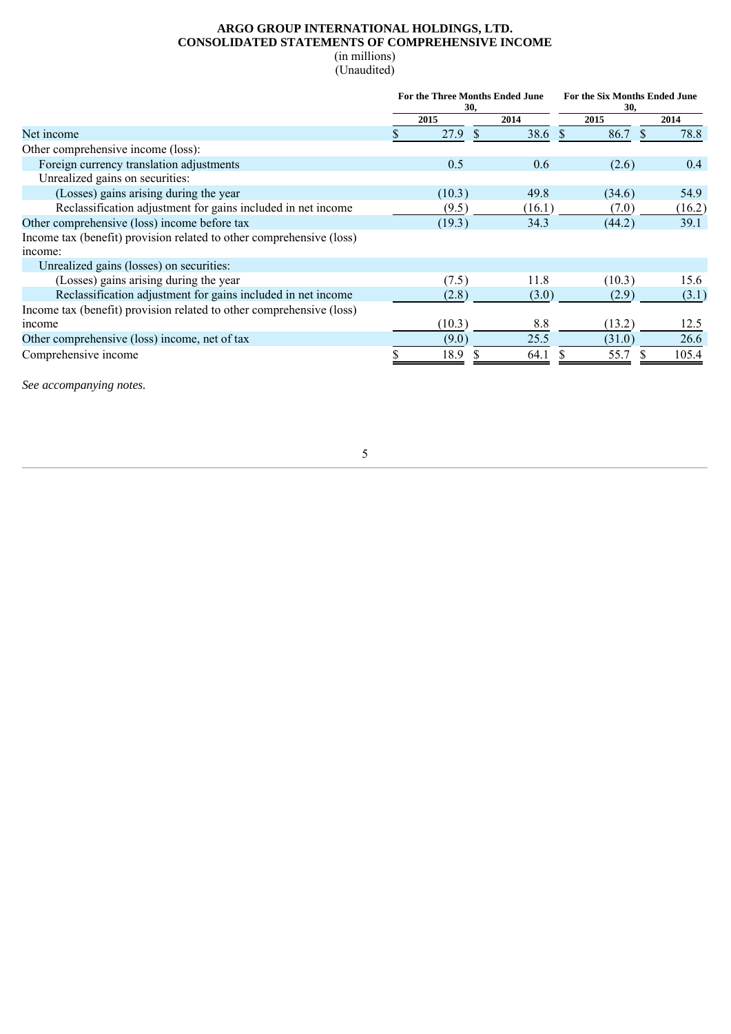### **ARGO GROUP INTERNATIONAL HOLDINGS, LTD. CONSOLIDATED STATEMENTS OF COMPREHENSIVE INCOME**  (in millions) (Unaudited)

|                                                                                 | 30.    | For the Three Months Ended June | For the Six Months Ended June<br>30. |            |  |  |  |
|---------------------------------------------------------------------------------|--------|---------------------------------|--------------------------------------|------------|--|--|--|
|                                                                                 | 2015   | 2014                            | 2015                                 | 2014       |  |  |  |
| Net income                                                                      | 27.9   | 38.6<br><sup>\$</sup>           | 86.7<br><sup>\$</sup>                | 78.8<br>-S |  |  |  |
| Other comprehensive income (loss):                                              |        |                                 |                                      |            |  |  |  |
| Foreign currency translation adjustments                                        | 0.5    | 0.6                             | (2.6)                                | 0.4        |  |  |  |
| Unrealized gains on securities:                                                 |        |                                 |                                      |            |  |  |  |
| (Losses) gains arising during the year                                          | (10.3) | 49.8                            | (34.6)                               | 54.9       |  |  |  |
| Reclassification adjustment for gains included in net income                    | (9.5)  | (16.1)                          | (7.0)                                | (16.2)     |  |  |  |
| Other comprehensive (loss) income before tax                                    | (19.3) | 34.3                            | (44.2)                               | 39.1       |  |  |  |
| Income tax (benefit) provision related to other comprehensive (loss)<br>income: |        |                                 |                                      |            |  |  |  |
| Unrealized gains (losses) on securities:                                        |        |                                 |                                      |            |  |  |  |
| (Losses) gains arising during the year                                          | (7.5)  | 11.8                            | (10.3)                               | 15.6       |  |  |  |
| Reclassification adjustment for gains included in net income                    | (2.8)  | (3.0)                           | (2.9)                                | (3.1)      |  |  |  |
| Income tax (benefit) provision related to other comprehensive (loss)            |        |                                 |                                      |            |  |  |  |
| income                                                                          | (10.3) | 8.8                             | (13.2)                               | 12.5       |  |  |  |
| Other comprehensive (loss) income, net of tax                                   | (9.0)  | 25.5                            | (31.0)                               | 26.6       |  |  |  |
| Comprehensive income                                                            | 18.9   | 64.1                            | 55.7                                 | 105.4      |  |  |  |
|                                                                                 |        |                                 |                                      |            |  |  |  |

*See accompanying notes.*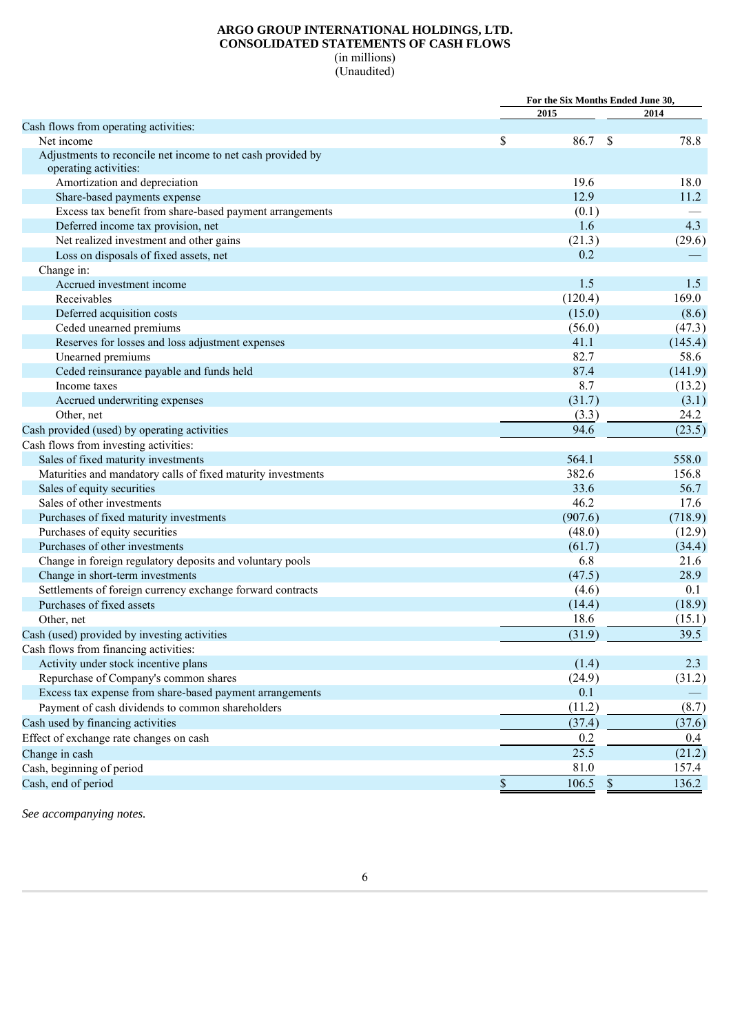### **ARGO GROUP INTERNATIONAL HOLDINGS, LTD. CONSOLIDATED STATEMENTS OF CASH FLOWS**  (in millions) (Unaudited)

|                                                                                      | For the Six Months Ended June 30, |         |  |
|--------------------------------------------------------------------------------------|-----------------------------------|---------|--|
|                                                                                      | 2015                              | 2014    |  |
| Cash flows from operating activities:                                                |                                   |         |  |
| Net income                                                                           | \$<br>86.7<br>\$                  | 78.8    |  |
| Adjustments to reconcile net income to net cash provided by<br>operating activities: |                                   |         |  |
| Amortization and depreciation                                                        | 19.6                              | 18.0    |  |
| Share-based payments expense                                                         | 12.9                              | 11.2    |  |
| Excess tax benefit from share-based payment arrangements                             | (0.1)                             |         |  |
| Deferred income tax provision, net                                                   | 1.6                               | 4.3     |  |
| Net realized investment and other gains                                              | (21.3)                            | (29.6)  |  |
| Loss on disposals of fixed assets, net                                               | 0.2                               |         |  |
| Change in:                                                                           |                                   |         |  |
| Accrued investment income                                                            | 1.5                               | 1.5     |  |
| Receivables                                                                          | (120.4)                           | 169.0   |  |
| Deferred acquisition costs                                                           | (15.0)                            | (8.6)   |  |
| Ceded unearned premiums                                                              | (56.0)                            | (47.3)  |  |
| Reserves for losses and loss adjustment expenses                                     | 41.1                              | (145.4) |  |
| Unearned premiums                                                                    | 82.7                              | 58.6    |  |
| Ceded reinsurance payable and funds held                                             | 87.4                              | (141.9) |  |
| Income taxes                                                                         | 8.7                               | (13.2)  |  |
| Accrued underwriting expenses                                                        | (31.7)                            | (3.1)   |  |
| Other, net                                                                           | (3.3)                             | 24.2    |  |
| Cash provided (used) by operating activities                                         | 94.6                              | (23.5)  |  |
| Cash flows from investing activities:                                                |                                   |         |  |
| Sales of fixed maturity investments                                                  | 564.1                             | 558.0   |  |
| Maturities and mandatory calls of fixed maturity investments                         | 382.6                             | 156.8   |  |
| Sales of equity securities                                                           | 33.6                              | 56.7    |  |
| Sales of other investments                                                           | 46.2                              | 17.6    |  |
| Purchases of fixed maturity investments                                              | (907.6)                           | (718.9) |  |
| Purchases of equity securities                                                       | (48.0)                            | (12.9)  |  |
| Purchases of other investments                                                       | (61.7)                            | (34.4)  |  |
| Change in foreign regulatory deposits and voluntary pools                            | 6.8                               | 21.6    |  |
| Change in short-term investments                                                     | (47.5)                            | 28.9    |  |
| Settlements of foreign currency exchange forward contracts                           | (4.6)                             | 0.1     |  |
| Purchases of fixed assets                                                            | (14.4)                            | (18.9)  |  |
| Other, net                                                                           | 18.6                              | (15.1)  |  |
| Cash (used) provided by investing activities                                         | (31.9)                            | 39.5    |  |
| Cash flows from financing activities:                                                |                                   |         |  |
| Activity under stock incentive plans                                                 | (1.4)                             | 2.3     |  |
| Repurchase of Company's common shares                                                | (24.9)                            | (31.2)  |  |
| Excess tax expense from share-based payment arrangements                             | 0.1                               |         |  |
| Payment of cash dividends to common shareholders                                     | (11.2)                            | (8.7)   |  |
| Cash used by financing activities                                                    | (37.4)                            | (37.6)  |  |
| Effect of exchange rate changes on cash                                              | 0.2                               | 0.4     |  |
| Change in cash                                                                       | 25.5                              | (21.2)  |  |
| Cash, beginning of period                                                            | 81.0                              | 157.4   |  |
| Cash, end of period                                                                  | \$<br>106.5<br>$\mathcal{S}$      | 136.2   |  |

*See accompanying notes.*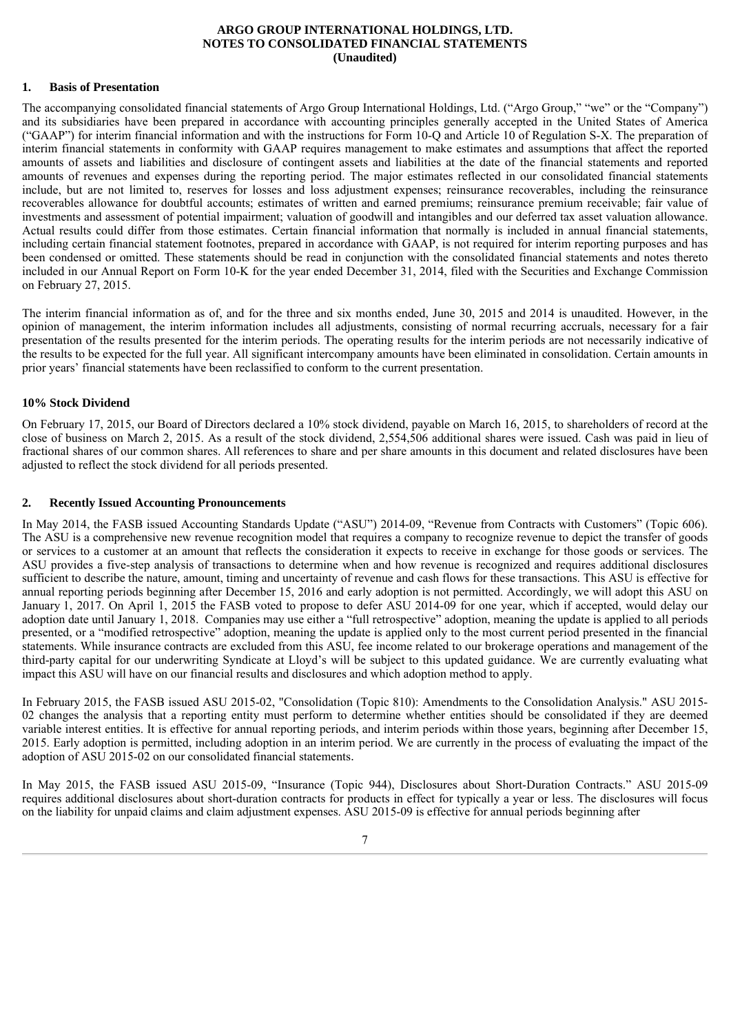### **ARGO GROUP INTERNATIONAL HOLDINGS, LTD. NOTES TO CONSOLIDATED FINANCIAL STATEMENTS (Unaudited)**

### **1. Basis of Presentation**

The accompanying consolidated financial statements of Argo Group International Holdings, Ltd. ("Argo Group," "we" or the "Company") and its subsidiaries have been prepared in accordance with accounting principles generally accepted in the United States of America ("GAAP") for interim financial information and with the instructions for Form 10-Q and Article 10 of Regulation S-X. The preparation of interim financial statements in conformity with GAAP requires management to make estimates and assumptions that affect the reported amounts of assets and liabilities and disclosure of contingent assets and liabilities at the date of the financial statements and reported amounts of revenues and expenses during the reporting period. The major estimates reflected in our consolidated financial statements include, but are not limited to, reserves for losses and loss adjustment expenses; reinsurance recoverables, including the reinsurance recoverables allowance for doubtful accounts; estimates of written and earned premiums; reinsurance premium receivable; fair value of investments and assessment of potential impairment; valuation of goodwill and intangibles and our deferred tax asset valuation allowance. Actual results could differ from those estimates. Certain financial information that normally is included in annual financial statements, including certain financial statement footnotes, prepared in accordance with GAAP, is not required for interim reporting purposes and has been condensed or omitted. These statements should be read in conjunction with the consolidated financial statements and notes thereto included in our Annual Report on Form 10-K for the year ended December 31, 2014, filed with the Securities and Exchange Commission on February 27, 2015.

The interim financial information as of, and for the three and six months ended, June 30, 2015 and 2014 is unaudited. However, in the opinion of management, the interim information includes all adjustments, consisting of normal recurring accruals, necessary for a fair presentation of the results presented for the interim periods. The operating results for the interim periods are not necessarily indicative of the results to be expected for the full year. All significant intercompany amounts have been eliminated in consolidation. Certain amounts in prior years' financial statements have been reclassified to conform to the current presentation.

### **10% Stock Dividend**

On February 17, 2015, our Board of Directors declared a 10% stock dividend, payable on March 16, 2015, to shareholders of record at the close of business on March 2, 2015. As a result of the stock dividend, 2,554,506 additional shares were issued. Cash was paid in lieu of fractional shares of our common shares. All references to share and per share amounts in this document and related disclosures have been adjusted to reflect the stock dividend for all periods presented.

### **2. Recently Issued Accounting Pronouncements**

In May 2014, the FASB issued Accounting Standards Update ("ASU") 2014-09, "Revenue from Contracts with Customers" (Topic 606). The ASU is a comprehensive new revenue recognition model that requires a company to recognize revenue to depict the transfer of goods or services to a customer at an amount that reflects the consideration it expects to receive in exchange for those goods or services. The ASU provides a five-step analysis of transactions to determine when and how revenue is recognized and requires additional disclosures sufficient to describe the nature, amount, timing and uncertainty of revenue and cash flows for these transactions. This ASU is effective for annual reporting periods beginning after December 15, 2016 and early adoption is not permitted. Accordingly, we will adopt this ASU on January 1, 2017. On April 1, 2015 the FASB voted to propose to defer ASU 2014-09 for one year, which if accepted, would delay our adoption date until January 1, 2018. Companies may use either a "full retrospective" adoption, meaning the update is applied to all periods presented, or a "modified retrospective" adoption, meaning the update is applied only to the most current period presented in the financial statements. While insurance contracts are excluded from this ASU, fee income related to our brokerage operations and management of the third-party capital for our underwriting Syndicate at Lloyd's will be subject to this updated guidance. We are currently evaluating what impact this ASU will have on our financial results and disclosures and which adoption method to apply.

In February 2015, the FASB issued ASU 2015-02, "Consolidation (Topic 810): Amendments to the Consolidation Analysis." ASU 2015- 02 changes the analysis that a reporting entity must perform to determine whether entities should be consolidated if they are deemed variable interest entities. It is effective for annual reporting periods, and interim periods within those years, beginning after December 15, 2015. Early adoption is permitted, including adoption in an interim period. We are currently in the process of evaluating the impact of the adoption of ASU 2015-02 on our consolidated financial statements.

In May 2015, the FASB issued ASU 2015-09, "Insurance (Topic 944), Disclosures about Short-Duration Contracts." ASU 2015-09 requires additional disclosures about short-duration contracts for products in effect for typically a year or less. The disclosures will focus on the liability for unpaid claims and claim adjustment expenses. ASU 2015-09 is effective for annual periods beginning after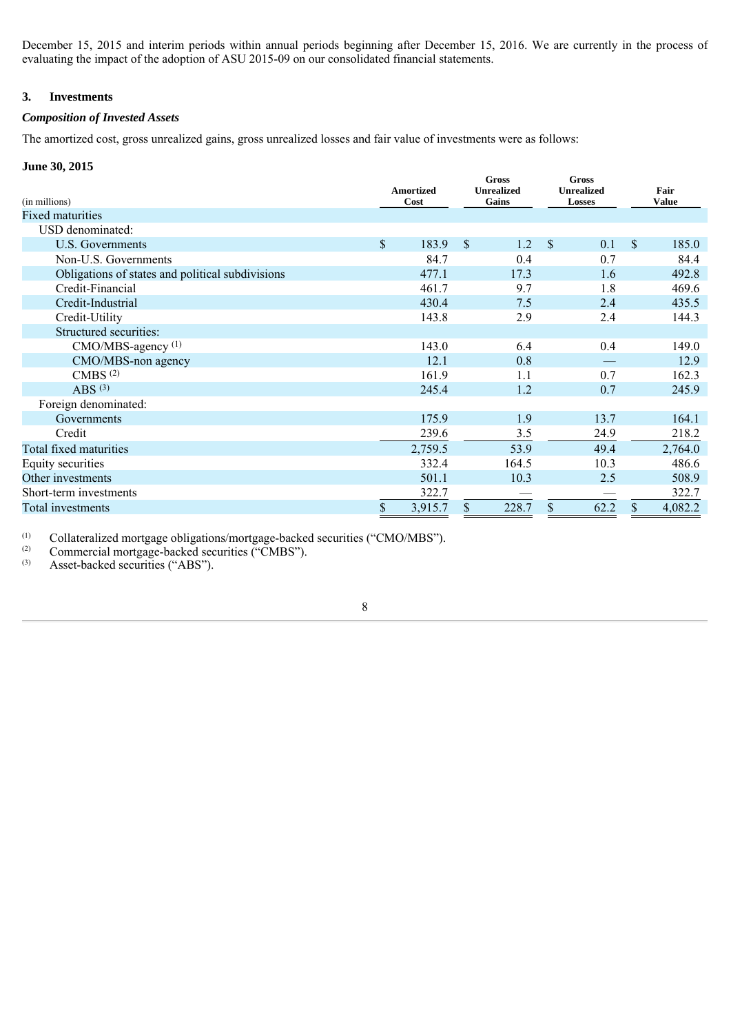December 15, 2015 and interim periods within annual periods beginning after December 15, 2016. We are currently in the process of evaluating the impact of the adoption of ASU 2015-09 on our consolidated financial statements.

### **3. Investments**

### *Composition of Invested Assets*

The amortized cost, gross unrealized gains, gross unrealized losses and fair value of investments were as follows:

### **June 30, 2015**

|                                                  | <b>Amortized</b> | <b>Gross</b><br><b>Unrealized</b> |       |               | <b>Gross</b><br><b>Unrealized</b> | Fair          |              |
|--------------------------------------------------|------------------|-----------------------------------|-------|---------------|-----------------------------------|---------------|--------------|
| (in millions)                                    | Cost             | Gains                             |       | <b>Losses</b> |                                   |               | <b>Value</b> |
| <b>Fixed maturities</b>                          |                  |                                   |       |               |                                   |               |              |
| USD denominated:                                 |                  |                                   |       |               |                                   |               |              |
| <b>U.S.</b> Governments                          | \$<br>183.9      | <sup>\$</sup>                     | 1.2   | <sup>\$</sup> | 0.1                               | $\mathcal{S}$ | 185.0        |
| Non-U.S. Governments                             | 84.7             |                                   | 0.4   |               | 0.7                               |               | 84.4         |
| Obligations of states and political subdivisions | 477.1            |                                   | 17.3  |               | 1.6                               |               | 492.8        |
| Credit-Financial                                 | 461.7            |                                   | 9.7   |               | 1.8                               |               | 469.6        |
| Credit-Industrial                                | 430.4            |                                   | 7.5   |               | 2.4                               |               | 435.5        |
| Credit-Utility                                   | 143.8            |                                   | 2.9   |               | 2.4                               |               | 144.3        |
| Structured securities:                           |                  |                                   |       |               |                                   |               |              |
| $CMO/MBS$ -agency $(1)$                          | 143.0            |                                   | 6.4   |               | 0.4                               |               | 149.0        |
| CMO/MBS-non agency                               | 12.1             |                                   | 0.8   |               |                                   |               | 12.9         |
| CMBS $(2)$                                       | 161.9            |                                   | 1.1   |               | 0.7                               |               | 162.3        |
| $\text{ABS}$ (3)                                 | 245.4            |                                   | 1.2   |               | 0.7                               |               | 245.9        |
| Foreign denominated:                             |                  |                                   |       |               |                                   |               |              |
| Governments                                      | 175.9            |                                   | 1.9   |               | 13.7                              |               | 164.1        |
| Credit                                           | 239.6            |                                   | 3.5   |               | 24.9                              |               | 218.2        |
| Total fixed maturities                           | 2,759.5          |                                   | 53.9  |               | 49.4                              |               | 2,764.0      |
| Equity securities                                | 332.4            |                                   | 164.5 |               | 10.3                              |               | 486.6        |
| Other investments                                | 501.1            |                                   | 10.3  |               | 2.5                               |               | 508.9        |
| Short-term investments                           | 322.7            |                                   |       |               |                                   |               | 322.7        |
| Total investments                                | \$<br>3,915.7    | \$                                | 228.7 | \$            | 62.2                              | \$            | 4,082.2      |

 $(1)$ (1) Collateralized mortgage obligations/mortgage-backed securities ("CMO/MBS").<br>
Commercial mortgage-backed securities ("CMBS")

(2) Commercial mortgage-backed securities ("CMBS").<br>
A sset-backed securities ("ABS")

Asset-backed securities ("ABS").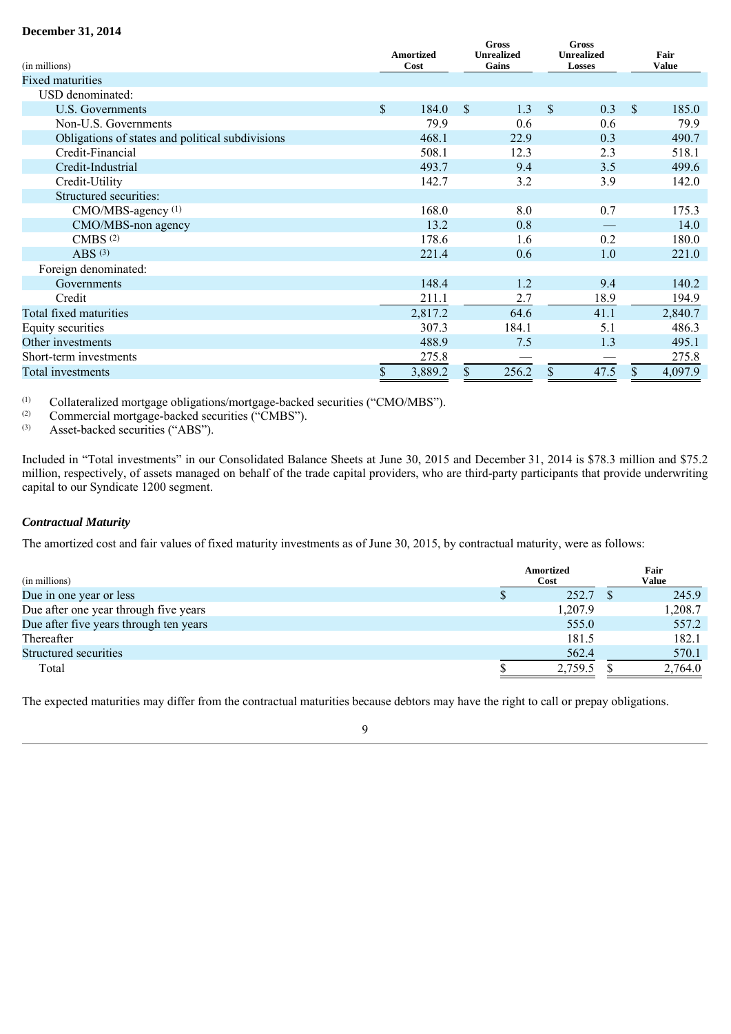# **December 31, 2014**

|                                                  | <b>Amortized</b> |         | <b>Gross</b><br><b>Unrealized</b> |       |              |               | <b>Gross</b><br><b>Unrealized</b> |              |  | Fair |
|--------------------------------------------------|------------------|---------|-----------------------------------|-------|--------------|---------------|-----------------------------------|--------------|--|------|
| (in millions)                                    |                  | Cost    |                                   | Gains |              | <b>Losses</b> |                                   | <b>Value</b> |  |      |
| <b>Fixed maturities</b>                          |                  |         |                                   |       |              |               |                                   |              |  |      |
| USD denominated:                                 |                  |         |                                   |       |              |               |                                   |              |  |      |
| U.S. Governments                                 | \$               | 184.0   | <sup>\$</sup>                     | 1.3   | $\mathbb{S}$ | 0.3           | <sup>\$</sup>                     | 185.0        |  |      |
| Non-U.S. Governments                             |                  | 79.9    |                                   | 0.6   |              | 0.6           |                                   | 79.9         |  |      |
| Obligations of states and political subdivisions |                  | 468.1   |                                   | 22.9  |              | 0.3           |                                   | 490.7        |  |      |
| Credit-Financial                                 |                  | 508.1   |                                   | 12.3  |              | 2.3           |                                   | 518.1        |  |      |
| Credit-Industrial                                |                  | 493.7   |                                   | 9.4   |              | 3.5           |                                   | 499.6        |  |      |
| Credit-Utility                                   |                  | 142.7   |                                   | 3.2   |              | 3.9           |                                   | 142.0        |  |      |
| Structured securities:                           |                  |         |                                   |       |              |               |                                   |              |  |      |
| CMO/MBS-agency (1)                               |                  | 168.0   |                                   | 8.0   |              | 0.7           |                                   | 175.3        |  |      |
| CMO/MBS-non agency                               |                  | 13.2    |                                   | 0.8   |              |               |                                   | 14.0         |  |      |
| CMBS $(2)$                                       |                  | 178.6   |                                   | 1.6   |              | 0.2           |                                   | 180.0        |  |      |
| $\text{ABS}$ (3)                                 |                  | 221.4   |                                   | 0.6   |              | 1.0           |                                   | 221.0        |  |      |
| Foreign denominated:                             |                  |         |                                   |       |              |               |                                   |              |  |      |
| Governments                                      |                  | 148.4   |                                   | 1.2   |              | 9.4           |                                   | 140.2        |  |      |
| Credit                                           |                  | 211.1   |                                   | 2.7   |              | 18.9          |                                   | 194.9        |  |      |
| Total fixed maturities                           |                  | 2,817.2 |                                   | 64.6  |              | 41.1          |                                   | 2,840.7      |  |      |
| Equity securities                                |                  | 307.3   |                                   | 184.1 |              | 5.1           |                                   | 486.3        |  |      |
| Other investments                                |                  | 488.9   |                                   | 7.5   |              | 1.3           |                                   | 495.1        |  |      |
| Short-term investments                           |                  | 275.8   |                                   |       |              |               |                                   | 275.8        |  |      |
| Total investments                                | \$               | 3,889.2 | S                                 | 256.2 | \$           | 47.5          |                                   | 4,097.9      |  |      |

 $(1)$ (1) Collateralized mortgage obligations/mortgage-backed securities ("CMO/MBS").<br>Commercial mortgage-backed securities ("CMBS")

(2) Commercial mortgage-backed securities ("CMBS").<br>  $\Lambda$  seet backed securities (" $\Lambda$ BS")

Asset-backed securities ("ABS").

Included in "Total investments" in our Consolidated Balance Sheets at June 30, 2015 and December 31, 2014 is \$78.3 million and \$75.2 million, respectively, of assets managed on behalf of the trade capital providers, who are third-party participants that provide underwriting capital to our Syndicate 1200 segment.

### *Contractual Maturity*

The amortized cost and fair values of fixed maturity investments as of June 30, 2015, by contractual maturity, were as follows:

| (in millions)                          |   | Amortized<br>Cost | Fair<br>Value |
|----------------------------------------|---|-------------------|---------------|
| Due in one year or less                | J | 252.7             | 245.9         |
| Due after one year through five years  |   | 1,207.9           | 1,208.7       |
| Due after five years through ten years |   | 555.0             | 557.2         |
| Thereafter                             |   | 181.5             | 182.1         |
| Structured securities                  |   | 562.4             | 570.1         |
| Total                                  |   | 2,759.5           | 2,764.0       |

The expected maturities may differ from the contractual maturities because debtors may have the right to call or prepay obligations.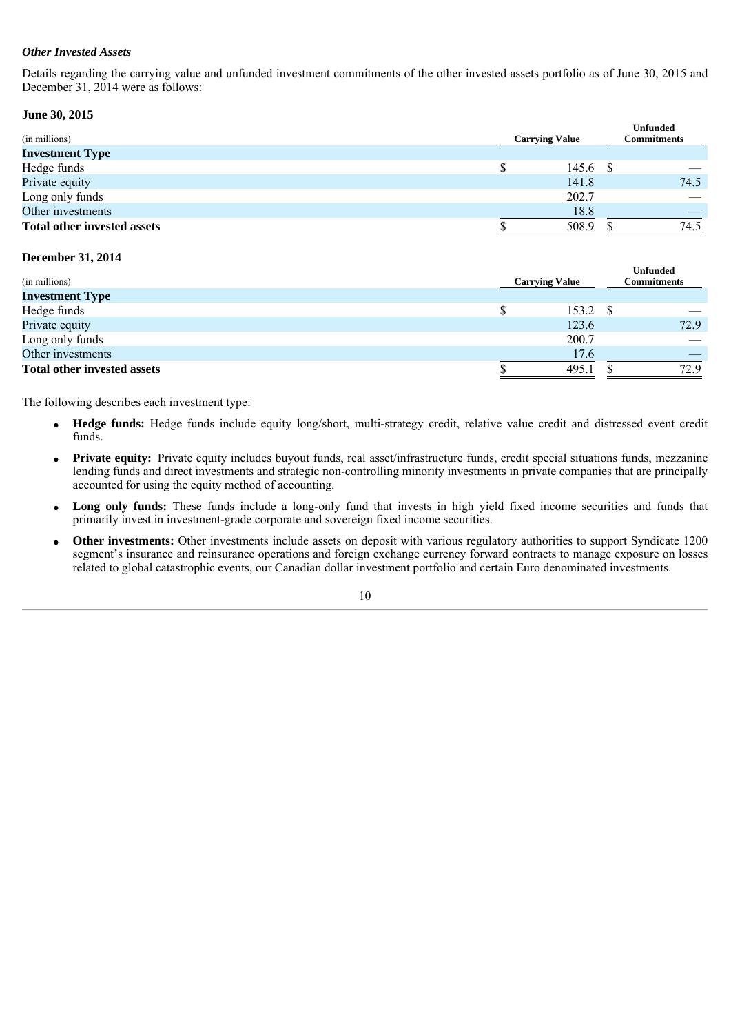## *Other Invested Assets*

Details regarding the carrying value and unfunded investment commitments of the other invested assets portfolio as of June 30, 2015 and December 31, 2014 were as follows:

### **June 30, 2015**

| (in millions)                      |  | <b>Carrying Value</b> | <b>Unfunded</b><br>Commitments |
|------------------------------------|--|-----------------------|--------------------------------|
| <b>Investment Type</b>             |  |                       |                                |
| Hedge funds                        |  | $145.6$ \$            |                                |
| Private equity                     |  | 141.8                 | 74.5                           |
| Long only funds                    |  | 202.7                 |                                |
| Other investments                  |  | 18.8                  |                                |
| <b>Total other invested assets</b> |  | 508.9                 | 74.5                           |

#### **December 31, 2014**

| (in millions)<br><b>Investment Type</b> |  | <b>Carrying Value</b> |     | <b>Unfunded</b><br><b>Commitments</b> |
|-----------------------------------------|--|-----------------------|-----|---------------------------------------|
| Hedge funds                             |  | 153.2                 | - 8 |                                       |
| Private equity                          |  | 123.6                 |     | 72.9                                  |
| Long only funds                         |  | 200.7                 |     |                                       |
| Other investments                       |  | 17.6                  |     |                                       |
| <b>Total other invested assets</b>      |  | 495.1                 |     | 72.9                                  |

The following describes each investment type:

- **Hedge funds:** Hedge funds include equity long/short, multi-strategy credit, relative value credit and distressed event credit funds.
- **Private equity:** Private equity includes buyout funds, real asset/infrastructure funds, credit special situations funds, mezzanine lending funds and direct investments and strategic non-controlling minority investments in private companies that are principally accounted for using the equity method of accounting.
- **Long only funds:** These funds include a long-only fund that invests in high yield fixed income securities and funds that primarily invest in investment-grade corporate and sovereign fixed income securities.
- **Other investments:** Other investments include assets on deposit with various regulatory authorities to support Syndicate 1200 segment's insurance and reinsurance operations and foreign exchange currency forward contracts to manage exposure on losses related to global catastrophic events, our Canadian dollar investment portfolio and certain Euro denominated investments.

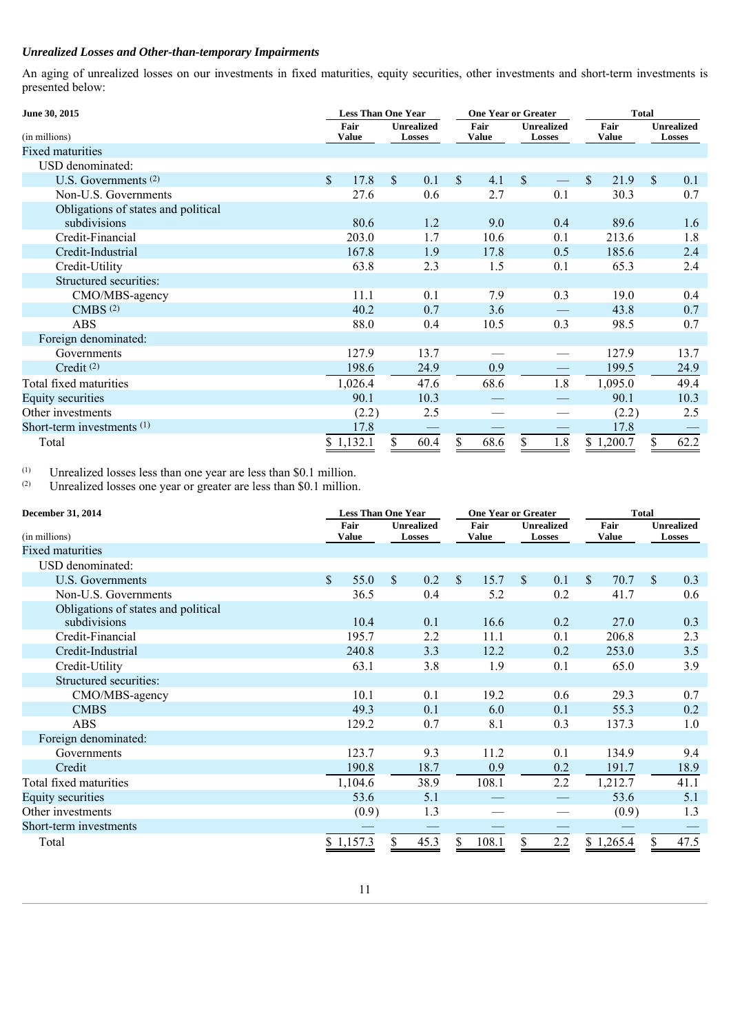# *Unrealized Losses and Other-than-temporary Impairments*

An aging of unrealized losses on our investments in fixed maturities, equity securities, other investments and short-term investments is presented below:

| June 30, 2015                                       | <b>Less Than One Year</b>                                                                                  |               |      | <b>One Year or Greater</b> |               |                             | <b>Total</b>         |    |      |  |
|-----------------------------------------------------|------------------------------------------------------------------------------------------------------------|---------------|------|----------------------------|---------------|-----------------------------|----------------------|----|------|--|
| (in millions)                                       | Fair<br><b>Unrealized</b><br>Fair<br><b>Unrealized</b><br><b>Value</b><br>Losses<br><b>Value</b><br>Losses |               |      | Fair<br><b>Value</b>       |               | <b>Unrealized</b><br>Losses |                      |    |      |  |
| <b>Fixed maturities</b>                             |                                                                                                            |               |      |                            |               |                             |                      |    |      |  |
| USD denominated:                                    |                                                                                                            |               |      |                            |               |                             |                      |    |      |  |
| U.S. Governments $(2)$                              | $\mathcal{S}$<br>17.8                                                                                      | <sup>\$</sup> | 0.1  | $\mathbb{S}$<br>4.1        | <sup>\$</sup> |                             | <sup>S</sup><br>21.9 | \$ | 0.1  |  |
| Non-U.S. Governments                                | 27.6                                                                                                       |               | 0.6  | 2.7                        |               | 0.1                         | 30.3                 |    | 0.7  |  |
| Obligations of states and political<br>subdivisions | 80.6                                                                                                       |               | 1.2  | 9.0                        |               | 0.4                         | 89.6                 |    | 1.6  |  |
|                                                     |                                                                                                            |               |      |                            |               |                             |                      |    |      |  |
| Credit-Financial                                    | 203.0                                                                                                      |               | 1.7  | 10.6                       |               | 0.1                         | 213.6                |    | 1.8  |  |
| Credit-Industrial                                   | 167.8                                                                                                      |               | 1.9  | 17.8                       |               | 0.5                         | 185.6                |    | 2.4  |  |
| Credit-Utility                                      | 63.8                                                                                                       |               | 2.3  | 1.5                        |               | 0.1                         | 65.3                 |    | 2.4  |  |
| Structured securities:                              |                                                                                                            |               |      |                            |               |                             |                      |    |      |  |
| CMO/MBS-agency                                      | 11.1                                                                                                       |               | 0.1  | 7.9                        |               | 0.3                         | 19.0                 |    | 0.4  |  |
| CMBS $(2)$                                          | 40.2                                                                                                       |               | 0.7  | 3.6                        |               |                             | 43.8                 |    | 0.7  |  |
| <b>ABS</b>                                          | 88.0                                                                                                       |               | 0.4  | 10.5                       |               | 0.3                         | 98.5                 |    | 0.7  |  |
| Foreign denominated:                                |                                                                                                            |               |      |                            |               |                             |                      |    |      |  |
| Governments                                         | 127.9                                                                                                      |               | 13.7 |                            |               |                             | 127.9                |    | 13.7 |  |
| Credit <sup>(2)</sup>                               | 198.6                                                                                                      |               | 24.9 | 0.9                        |               |                             | 199.5                |    | 24.9 |  |
| Total fixed maturities                              | 1,026.4                                                                                                    |               | 47.6 | 68.6                       |               | 1.8                         | 1,095.0              |    | 49.4 |  |
| Equity securities                                   | 90.1                                                                                                       |               | 10.3 |                            |               |                             | 90.1                 |    | 10.3 |  |
| Other investments                                   | (2.2)                                                                                                      |               | 2.5  |                            |               |                             | (2.2)                |    | 2.5  |  |
| Short-term investments (1)                          | 17.8                                                                                                       |               |      |                            |               |                             | 17.8                 |    |      |  |
| Total                                               | \$1,132.1                                                                                                  | \$            | 60.4 | \$<br>68.6                 | \$            | 1.8                         | \$1,200.7            | \$ | 62.2 |  |

 $(1)$ (1) Unrealized losses less than one year are less than \$0.1 million.<br>(2) Unrealized losses one year or greater are less than \$0.1 million.

Unrealized losses one year or greater are less than \$0.1 million.

| <b>December 31, 2014</b>            |                           | <b>Less Than One Year</b> |              |               |               | <b>One Year or Greater</b> |               |        | <b>Total</b>          |              |      |  |  |
|-------------------------------------|---------------------------|---------------------------|--------------|---------------|---------------|----------------------------|---------------|--------|-----------------------|--------------|------|--|--|
|                                     |                           | Fair<br><b>Unrealized</b> |              |               | Fair          | <b>Unrealized</b>          |               | Fair   | <b>Unrealized</b>     |              |      |  |  |
| (in millions)                       |                           | <b>Value</b>              |              | <b>Losses</b> |               | <b>Value</b>               |               | Losses | <b>Value</b>          | Losses       |      |  |  |
| <b>Fixed maturities</b>             |                           |                           |              |               |               |                            |               |        |                       |              |      |  |  |
| USD denominated:                    |                           |                           |              |               |               |                            |               |        |                       |              |      |  |  |
| U.S. Governments                    | $\boldsymbol{\mathsf{S}}$ | 55.0                      | $\mathbb{S}$ | 0.2           | $\mathcal{S}$ | 15.7                       | $\mathcal{S}$ | 0.1    | $\mathcal{S}$<br>70.7 | $\mathbb{S}$ | 0.3  |  |  |
| Non-U.S. Governments                |                           | 36.5                      |              | 0.4           |               | 5.2                        |               | 0.2    | 41.7                  |              | 0.6  |  |  |
| Obligations of states and political |                           |                           |              |               |               |                            |               |        |                       |              |      |  |  |
| subdivisions                        |                           | 10.4                      |              | 0.1           |               | 16.6                       |               | 0.2    | 27.0                  |              | 0.3  |  |  |
| Credit-Financial                    |                           | 195.7                     |              | 2.2           |               | 11.1                       |               | 0.1    | 206.8                 |              | 2.3  |  |  |
| Credit-Industrial                   |                           | 240.8                     |              | 3.3           |               | 12.2                       |               | 0.2    | 253.0                 |              | 3.5  |  |  |
| Credit-Utility                      |                           | 63.1                      |              | 3.8           |               | 1.9                        |               | 0.1    | 65.0                  |              | 3.9  |  |  |
| Structured securities:              |                           |                           |              |               |               |                            |               |        |                       |              |      |  |  |
| CMO/MBS-agency                      |                           | 10.1                      |              | 0.1           |               | 19.2                       |               | 0.6    | 29.3                  |              | 0.7  |  |  |
| <b>CMBS</b>                         |                           | 49.3                      |              | 0.1           |               | 6.0                        |               | 0.1    | 55.3                  |              | 0.2  |  |  |
| <b>ABS</b>                          |                           | 129.2                     |              | 0.7           |               | 8.1                        |               | 0.3    | 137.3                 |              | 1.0  |  |  |
| Foreign denominated:                |                           |                           |              |               |               |                            |               |        |                       |              |      |  |  |
| Governments                         |                           | 123.7                     |              | 9.3           |               | 11.2                       |               | 0.1    | 134.9                 |              | 9.4  |  |  |
| Credit                              |                           | 190.8                     |              | 18.7          |               | 0.9                        |               | 0.2    | 191.7                 |              | 18.9 |  |  |
| Total fixed maturities              |                           | 1,104.6                   |              | 38.9          |               | 108.1                      |               | 2.2    | 1,212.7               |              | 41.1 |  |  |
| <b>Equity securities</b>            |                           | 53.6                      |              | 5.1           |               |                            |               |        | 53.6                  |              | 5.1  |  |  |
| Other investments                   |                           | (0.9)                     |              | 1.3           |               |                            |               |        | (0.9)                 |              | 1.3  |  |  |
| Short-term investments              |                           |                           |              |               |               |                            |               |        |                       |              |      |  |  |
| Total                               |                           | 1,157.3                   | S            | 45.3          |               | 108.1                      |               | 2.2    | S.<br>1,265.4         |              | 47.5 |  |  |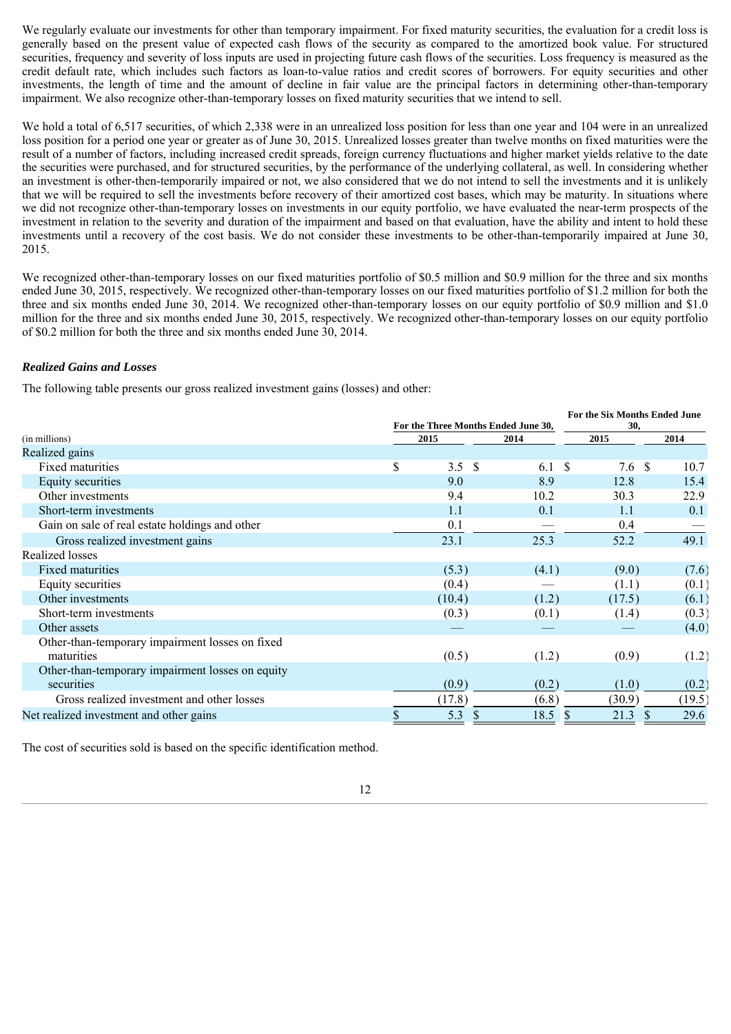We regularly evaluate our investments for other than temporary impairment. For fixed maturity securities, the evaluation for a credit loss is generally based on the present value of expected cash flows of the security as compared to the amortized book value. For structured securities, frequency and severity of loss inputs are used in projecting future cash flows of the securities. Loss frequency is measured as the credit default rate, which includes such factors as loan-to-value ratios and credit scores of borrowers. For equity securities and other investments, the length of time and the amount of decline in fair value are the principal factors in determining other-than-temporary impairment. We also recognize other-than-temporary losses on fixed maturity securities that we intend to sell.

We hold a total of 6,517 securities, of which 2,338 were in an unrealized loss position for less than one year and 104 were in an unrealized loss position for a period one year or greater as of June 30, 2015. Unrealized losses greater than twelve months on fixed maturities were the result of a number of factors, including increased credit spreads, foreign currency fluctuations and higher market yields relative to the date the securities were purchased, and for structured securities, by the performance of the underlying collateral, as well. In considering whether an investment is other-then-temporarily impaired or not, we also considered that we do not intend to sell the investments and it is unlikely that we will be required to sell the investments before recovery of their amortized cost bases, which may be maturity. In situations where we did not recognize other-than-temporary losses on investments in our equity portfolio, we have evaluated the near-term prospects of the investment in relation to the severity and duration of the impairment and based on that evaluation, have the ability and intent to hold these investments until a recovery of the cost basis. We do not consider these investments to be other-than-temporarily impaired at June 30, 2015.

We recognized other-than-temporary losses on our fixed maturities portfolio of \$0.5 million and \$0.9 million for the three and six months ended June 30, 2015, respectively. We recognized other-than-temporary losses on our fixed maturities portfolio of \$1.2 million for both the three and six months ended June 30, 2014. We recognized other-than-temporary losses on our equity portfolio of \$0.9 million and \$1.0 million for the three and six months ended June 30, 2015, respectively. We recognized other-than-temporary losses on our equity portfolio of \$0.2 million for both the three and six months ended June 30, 2014.

## *Realized Gains and Losses*

The following table presents our gross realized investment gains (losses) and other:

|                                                               | For the Three Months Ended June 30, |        |             | For the Six Months Ended June<br>30, |        |  |
|---------------------------------------------------------------|-------------------------------------|--------|-------------|--------------------------------------|--------|--|
| (in millions)                                                 |                                     | 2015   | 2014        | 2015                                 | 2014   |  |
| Realized gains                                                |                                     |        |             |                                      |        |  |
| Fixed maturities                                              | \$                                  | 3.5    | - \$<br>6.1 | 7.6 \$<br>-S                         | 10.7   |  |
| Equity securities                                             |                                     | 9.0    | 8.9         | 12.8                                 | 15.4   |  |
| Other investments                                             |                                     | 9.4    | 10.2        | 30.3                                 | 22.9   |  |
| Short-term investments                                        |                                     | 1.1    | 0.1         | 1.1                                  | 0.1    |  |
| Gain on sale of real estate holdings and other                |                                     | 0.1    |             | 0.4                                  |        |  |
| Gross realized investment gains                               |                                     | 23.1   | 25.3        | 52.2                                 | 49.1   |  |
| Realized losses                                               |                                     |        |             |                                      |        |  |
| <b>Fixed maturities</b>                                       |                                     | (5.3)  | (4.1)       | (9.0)                                | (7.6)  |  |
| Equity securities                                             |                                     | (0.4)  |             | (1.1)                                | (0.1)  |  |
| Other investments                                             |                                     | (10.4) | (1.2)       | (17.5)                               | (6.1)  |  |
| Short-term investments                                        |                                     | (0.3)  | (0.1)       | (1.4)                                | (0.3)  |  |
| Other assets                                                  |                                     |        |             |                                      | (4.0)  |  |
| Other-than-temporary impairment losses on fixed<br>maturities |                                     | (0.5)  | (1.2)       | (0.9)                                | (1.2)  |  |
| Other-than-temporary impairment losses on equity              |                                     |        |             |                                      |        |  |
| securities                                                    |                                     | (0.9)  | (0.2)       | (1.0)                                | (0.2)  |  |
| Gross realized investment and other losses                    |                                     | (17.8) | (6.8)       | (30.9)                               | (19.5) |  |
| Net realized investment and other gains                       |                                     | 5.3    | 18.5<br>S   | 21.3<br>S.                           | 29.6   |  |

The cost of securities sold is based on the specific identification method.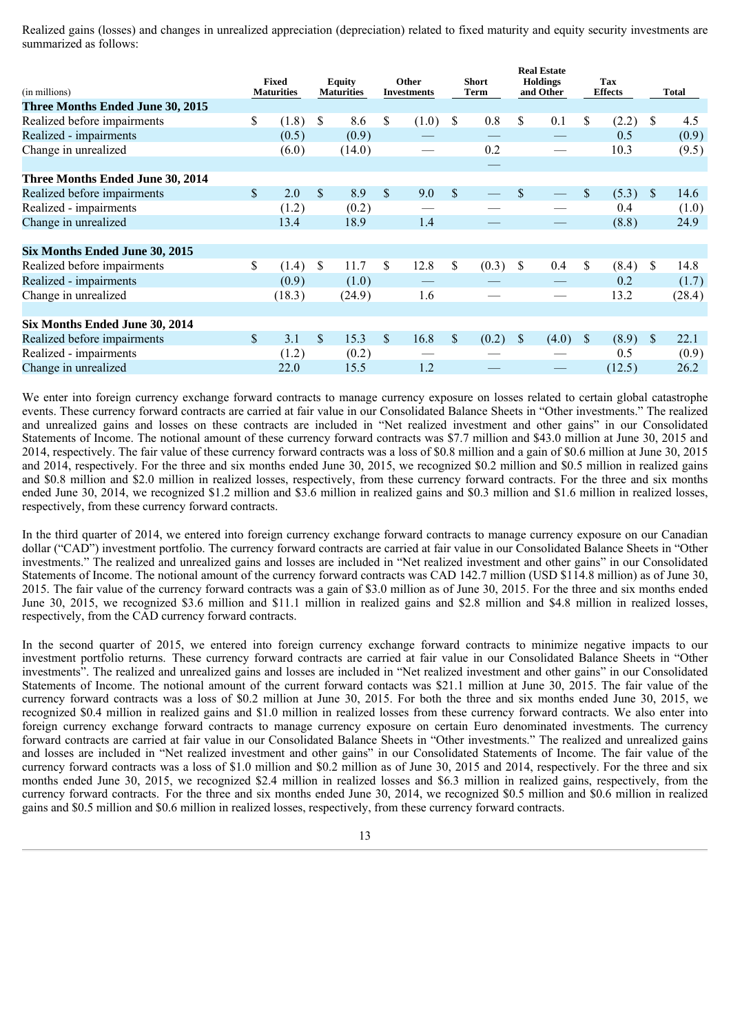Realized gains (losses) and changes in unrealized appreciation (depreciation) related to fixed maturity and equity security investments are summarized as follows:

| (in millions)                    |              | <b>Fixed</b><br><b>Maturities</b> |               | <b>Equity</b><br><b>Maturities</b> |               | Other<br><b>Investments</b> |               | <b>Short</b><br>Term |               | <b>Real Estate</b><br><b>Holdings</b><br>and Other |               | <b>Tax</b><br><b>Effects</b> |              | Total  |
|----------------------------------|--------------|-----------------------------------|---------------|------------------------------------|---------------|-----------------------------|---------------|----------------------|---------------|----------------------------------------------------|---------------|------------------------------|--------------|--------|
| Three Months Ended June 30, 2015 |              |                                   |               |                                    |               |                             |               |                      |               |                                                    |               |                              |              |        |
| Realized before impairments      | \$           | (1.8)                             | <sup>\$</sup> | 8.6                                | \$            | (1.0)                       | \$            | 0.8                  | \$            | 0.1                                                | \$            | (2.2)                        | S.           | 4.5    |
| Realized - impairments           |              | (0.5)                             |               | (0.9)                              |               |                             |               |                      |               |                                                    |               | 0.5                          |              | (0.9)  |
| Change in unrealized             |              | (6.0)                             |               | (14.0)                             |               |                             |               | 0.2                  |               |                                                    |               | 10.3                         |              | (9.5)  |
|                                  |              |                                   |               |                                    |               |                             |               |                      |               |                                                    |               |                              |              |        |
| Three Months Ended June 30, 2014 |              |                                   |               |                                    |               |                             |               |                      |               |                                                    |               |                              |              |        |
| Realized before impairments      | $\mathbb{S}$ | 2.0                               | <sup>\$</sup> | 8.9                                | <sup>\$</sup> | 9.0                         | <sup>\$</sup> |                      | <sup>\$</sup> |                                                    | <sup>\$</sup> | (5.3)                        | S.           | 14.6   |
| Realized - impairments           |              | (1.2)                             |               | (0.2)                              |               |                             |               |                      |               |                                                    |               | 0.4                          |              | (1.0)  |
| Change in unrealized             |              | 13.4                              |               | 18.9                               |               | 1.4                         |               |                      |               |                                                    |               | (8.8)                        |              | 24.9   |
|                                  |              |                                   |               |                                    |               |                             |               |                      |               |                                                    |               |                              |              |        |
| Six Months Ended June 30, 2015   |              |                                   |               |                                    |               |                             |               |                      |               |                                                    |               |                              |              |        |
| Realized before impairments      | \$           | (1.4)                             | <sup>S</sup>  | 11.7                               | \$.           | 12.8                        | \$            | (0.3)                | <sup>\$</sup> | 0.4                                                | <sup>\$</sup> | (8.4)                        | S.           | 14.8   |
| Realized - impairments           |              | (0.9)                             |               | (1.0)                              |               |                             |               |                      |               |                                                    |               | 0.2                          |              | (1.7)  |
| Change in unrealized             |              | (18.3)                            |               | (24.9)                             |               | 1.6                         |               |                      |               |                                                    |               | 13.2                         |              | (28.4) |
|                                  |              |                                   |               |                                    |               |                             |               |                      |               |                                                    |               |                              |              |        |
| Six Months Ended June 30, 2014   |              |                                   |               |                                    |               |                             |               |                      |               |                                                    |               |                              |              |        |
| Realized before impairments      | \$           | 3.1                               | $\mathbf{\$}$ | 15.3                               | $\mathbb{S}$  | 16.8                        | $\mathbf{\$}$ | (0.2)                | <sup>\$</sup> | (4.0)                                              | - \$          | (8.9)                        | <sup>S</sup> | 22.1   |
| Realized - impairments           |              | (1.2)                             |               | (0.2)                              |               |                             |               |                      |               |                                                    |               | 0.5                          |              | (0.9)  |
| Change in unrealized             |              | 22.0                              |               | 15.5                               |               | 1.2                         |               |                      |               |                                                    |               | (12.5)                       |              | 26.2   |

We enter into foreign currency exchange forward contracts to manage currency exposure on losses related to certain global catastrophe events. These currency forward contracts are carried at fair value in our Consolidated Balance Sheets in "Other investments." The realized and unrealized gains and losses on these contracts are included in "Net realized investment and other gains" in our Consolidated Statements of Income. The notional amount of these currency forward contracts was \$7.7 million and \$43.0 million at June 30, 2015 and 2014, respectively. The fair value of these currency forward contracts was a loss of \$0.8 million and a gain of \$0.6 million at June 30, 2015 and 2014, respectively. For the three and six months ended June 30, 2015, we recognized \$0.2 million and \$0.5 million in realized gains and \$0.8 million and \$2.0 million in realized losses, respectively, from these currency forward contracts. For the three and six months ended June 30, 2014, we recognized \$1.2 million and \$3.6 million in realized gains and \$0.3 million and \$1.6 million in realized losses, respectively, from these currency forward contracts.

In the third quarter of 2014, we entered into foreign currency exchange forward contracts to manage currency exposure on our Canadian dollar ("CAD") investment portfolio. The currency forward contracts are carried at fair value in our Consolidated Balance Sheets in "Other investments." The realized and unrealized gains and losses are included in "Net realized investment and other gains" in our Consolidated Statements of Income. The notional amount of the currency forward contracts was CAD 142.7 million (USD \$114.8 million) as of June 30, 2015. The fair value of the currency forward contracts was a gain of \$3.0 million as of June 30, 2015. For the three and six months ended June 30, 2015, we recognized \$3.6 million and \$11.1 million in realized gains and \$2.8 million and \$4.8 million in realized losses, respectively, from the CAD currency forward contracts.

In the second quarter of 2015, we entered into foreign currency exchange forward contracts to minimize negative impacts to our investment portfolio returns. These currency forward contracts are carried at fair value in our Consolidated Balance Sheets in "Other investments". The realized and unrealized gains and losses are included in "Net realized investment and other gains" in our Consolidated Statements of Income. The notional amount of the current forward contacts was \$21.1 million at June 30, 2015. The fair value of the currency forward contracts was a loss of \$0.2 million at June 30, 2015. For both the three and six months ended June 30, 2015, we recognized \$0.4 million in realized gains and \$1.0 million in realized losses from these currency forward contracts. We also enter into foreign currency exchange forward contracts to manage currency exposure on certain Euro denominated investments. The currency forward contracts are carried at fair value in our Consolidated Balance Sheets in "Other investments." The realized and unrealized gains and losses are included in "Net realized investment and other gains" in our Consolidated Statements of Income. The fair value of the currency forward contracts was a loss of \$1.0 million and \$0.2 million as of June 30, 2015 and 2014, respectively. For the three and six months ended June 30, 2015, we recognized \$2.4 million in realized losses and \$6.3 million in realized gains, respectively, from the currency forward contracts. For the three and six months ended June 30, 2014, we recognized \$0.5 million and \$0.6 million in realized gains and \$0.5 million and \$0.6 million in realized losses, respectively, from these currency forward contracts.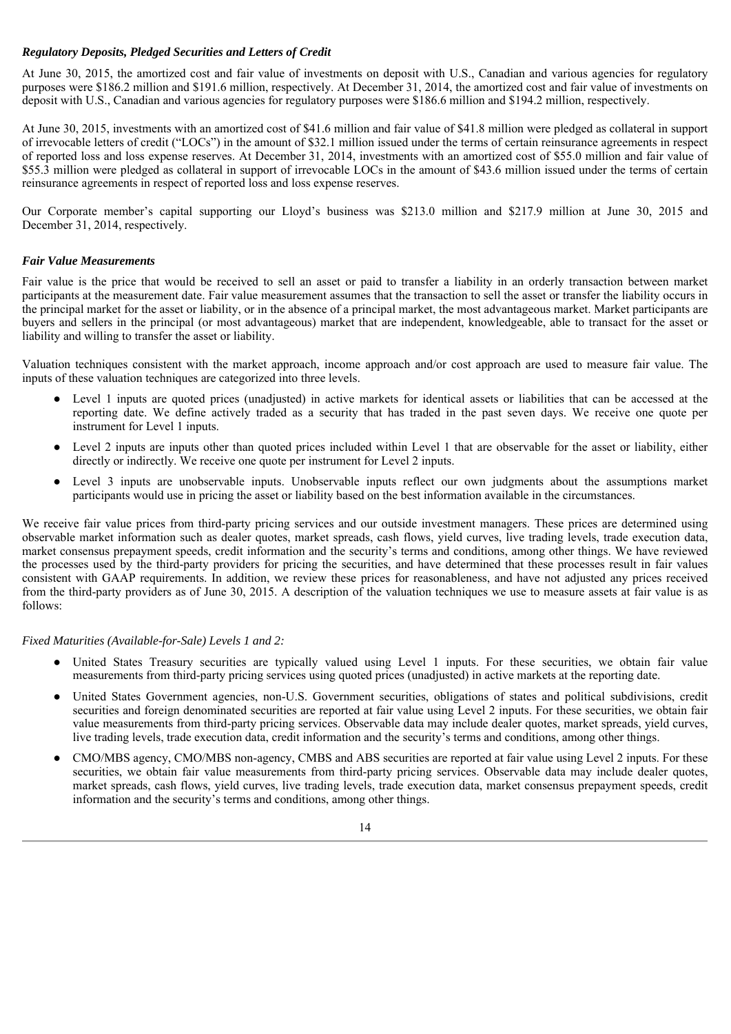### *Regulatory Deposits, Pledged Securities and Letters of Credit*

At June 30, 2015, the amortized cost and fair value of investments on deposit with U.S., Canadian and various agencies for regulatory purposes were \$186.2 million and \$191.6 million, respectively. At December 31, 2014, the amortized cost and fair value of investments on deposit with U.S., Canadian and various agencies for regulatory purposes were \$186.6 million and \$194.2 million, respectively.

At June 30, 2015, investments with an amortized cost of \$41.6 million and fair value of \$41.8 million were pledged as collateral in support of irrevocable letters of credit ("LOCs") in the amount of \$32.1 million issued under the terms of certain reinsurance agreements in respect of reported loss and loss expense reserves. At December 31, 2014, investments with an amortized cost of \$55.0 million and fair value of \$55.3 million were pledged as collateral in support of irrevocable LOCs in the amount of \$43.6 million issued under the terms of certain reinsurance agreements in respect of reported loss and loss expense reserves.

Our Corporate member's capital supporting our Lloyd's business was \$213.0 million and \$217.9 million at June 30, 2015 and December 31, 2014, respectively.

### *Fair Value Measurements*

Fair value is the price that would be received to sell an asset or paid to transfer a liability in an orderly transaction between market participants at the measurement date. Fair value measurement assumes that the transaction to sell the asset or transfer the liability occurs in the principal market for the asset or liability, or in the absence of a principal market, the most advantageous market. Market participants are buyers and sellers in the principal (or most advantageous) market that are independent, knowledgeable, able to transact for the asset or liability and willing to transfer the asset or liability.

Valuation techniques consistent with the market approach, income approach and/or cost approach are used to measure fair value. The inputs of these valuation techniques are categorized into three levels.

- Level 1 inputs are quoted prices (unadjusted) in active markets for identical assets or liabilities that can be accessed at the reporting date. We define actively traded as a security that has traded in the past seven days. We receive one quote per instrument for Level 1 inputs.
- Level 2 inputs are inputs other than quoted prices included within Level 1 that are observable for the asset or liability, either directly or indirectly. We receive one quote per instrument for Level 2 inputs.
- Level 3 inputs are unobservable inputs. Unobservable inputs reflect our own judgments about the assumptions market participants would use in pricing the asset or liability based on the best information available in the circumstances.

We receive fair value prices from third-party pricing services and our outside investment managers. These prices are determined using observable market information such as dealer quotes, market spreads, cash flows, yield curves, live trading levels, trade execution data, market consensus prepayment speeds, credit information and the security's terms and conditions, among other things. We have reviewed the processes used by the third-party providers for pricing the securities, and have determined that these processes result in fair values consistent with GAAP requirements. In addition, we review these prices for reasonableness, and have not adjusted any prices received from the third-party providers as of June 30, 2015. A description of the valuation techniques we use to measure assets at fair value is as follows:

### *Fixed Maturities (Available-for-Sale) Levels 1 and 2:*

- United States Treasury securities are typically valued using Level 1 inputs. For these securities, we obtain fair value measurements from third-party pricing services using quoted prices (unadjusted) in active markets at the reporting date.
- United States Government agencies, non-U.S. Government securities, obligations of states and political subdivisions, credit securities and foreign denominated securities are reported at fair value using Level 2 inputs. For these securities, we obtain fair value measurements from third-party pricing services. Observable data may include dealer quotes, market spreads, yield curves, live trading levels, trade execution data, credit information and the security's terms and conditions, among other things.
- CMO/MBS agency, CMO/MBS non-agency, CMBS and ABS securities are reported at fair value using Level 2 inputs. For these securities, we obtain fair value measurements from third-party pricing services. Observable data may include dealer quotes, market spreads, cash flows, yield curves, live trading levels, trade execution data, market consensus prepayment speeds, credit information and the security's terms and conditions, among other things.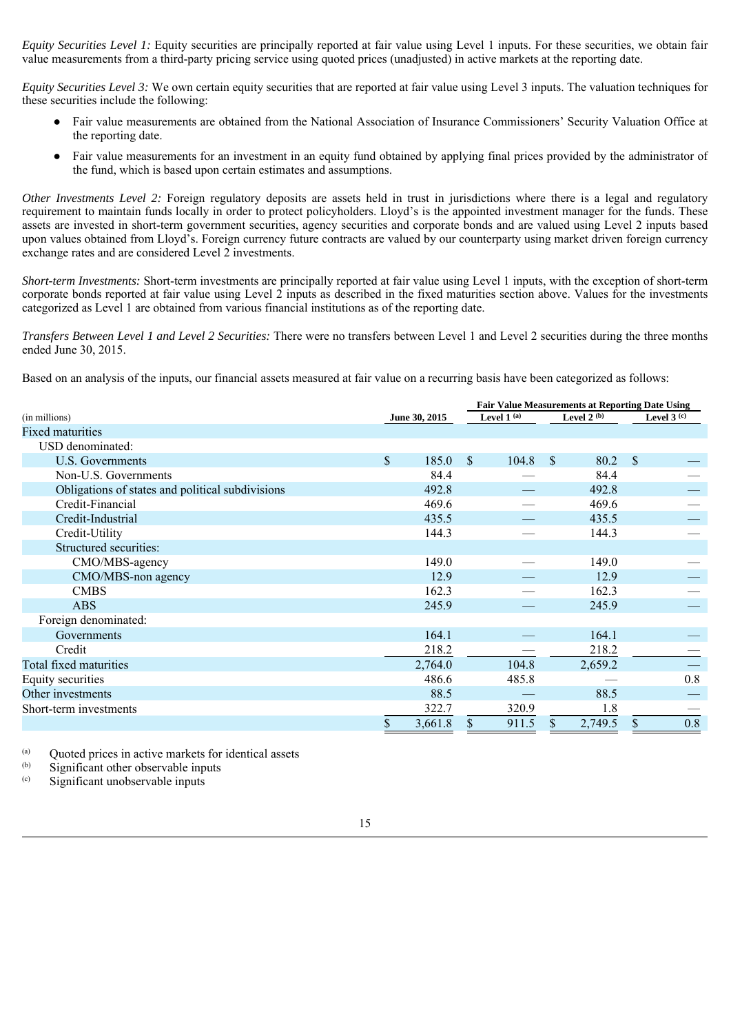*Equity Securities Level 1:* Equity securities are principally reported at fair value using Level 1 inputs. For these securities, we obtain fair value measurements from a third-party pricing service using quoted prices (unadjusted) in active markets at the reporting date.

*Equity Securities Level 3:* We own certain equity securities that are reported at fair value using Level 3 inputs. The valuation techniques for these securities include the following:

- Fair value measurements are obtained from the National Association of Insurance Commissioners' Security Valuation Office at the reporting date.
- Fair value measurements for an investment in an equity fund obtained by applying final prices provided by the administrator of the fund, which is based upon certain estimates and assumptions.

*Other Investments Level 2:* Foreign regulatory deposits are assets held in trust in jurisdictions where there is a legal and regulatory requirement to maintain funds locally in order to protect policyholders. Lloyd's is the appointed investment manager for the funds. These assets are invested in short-term government securities, agency securities and corporate bonds and are valued using Level 2 inputs based upon values obtained from Lloyd's. Foreign currency future contracts are valued by our counterparty using market driven foreign currency exchange rates and are considered Level 2 investments.

*Short-term Investments:* Short-term investments are principally reported at fair value using Level 1 inputs, with the exception of short-term corporate bonds reported at fair value using Level 2 inputs as described in the fixed maturities section above. Values for the investments categorized as Level 1 are obtained from various financial institutions as of the reporting date.

*Transfers Between Level 1 and Level 2 Securities:* There were no transfers between Level 1 and Level 2 securities during the three months ended June 30, 2015.

Based on an analysis of the inputs, our financial assets measured at fair value on a recurring basis have been categorized as follows:

|                                                  |    | <b>Fair Value Measurements at Reporting Date Using</b> |              |       |               |         |               |              |  |  |
|--------------------------------------------------|----|--------------------------------------------------------|--------------|-------|---------------|---------|---------------|--------------|--|--|
| (in millions)                                    |    | June 30, 2015                                          | Level $1(a)$ |       | Level $2(b)$  |         |               | Level $3(c)$ |  |  |
| <b>Fixed maturities</b>                          |    |                                                        |              |       |               |         |               |              |  |  |
| USD denominated:                                 |    |                                                        |              |       |               |         |               |              |  |  |
| U.S. Governments                                 | \$ | 185.0                                                  | $\mathbb{S}$ | 104.8 | $\mathcal{S}$ | 80.2    | <sup>\$</sup> |              |  |  |
| Non-U.S. Governments                             |    | 84.4                                                   |              |       |               | 84.4    |               |              |  |  |
| Obligations of states and political subdivisions |    | 492.8                                                  |              |       |               | 492.8   |               |              |  |  |
| Credit-Financial                                 |    | 469.6                                                  |              |       |               | 469.6   |               |              |  |  |
| Credit-Industrial                                |    | 435.5                                                  |              |       |               | 435.5   |               |              |  |  |
| Credit-Utility                                   |    | 144.3                                                  |              |       |               | 144.3   |               |              |  |  |
| Structured securities:                           |    |                                                        |              |       |               |         |               |              |  |  |
| CMO/MBS-agency                                   |    | 149.0                                                  |              |       |               | 149.0   |               |              |  |  |
| CMO/MBS-non agency                               |    | 12.9                                                   |              |       |               | 12.9    |               |              |  |  |
| <b>CMBS</b>                                      |    | 162.3                                                  |              |       |               | 162.3   |               |              |  |  |
| <b>ABS</b>                                       |    | 245.9                                                  |              |       |               | 245.9   |               |              |  |  |
| Foreign denominated:                             |    |                                                        |              |       |               |         |               |              |  |  |
| Governments                                      |    | 164.1                                                  |              |       |               | 164.1   |               |              |  |  |
| Credit                                           |    | 218.2                                                  |              |       |               | 218.2   |               |              |  |  |
| Total fixed maturities                           |    | 2,764.0                                                |              | 104.8 |               | 2,659.2 |               |              |  |  |
| Equity securities                                |    | 486.6                                                  |              | 485.8 |               |         |               | 0.8          |  |  |
| Other investments                                |    | 88.5                                                   |              |       |               | 88.5    |               |              |  |  |
| Short-term investments                           |    | 322.7                                                  |              | 320.9 |               | 1.8     |               |              |  |  |
|                                                  | S  | 3,661.8                                                |              | 911.5 | \$            | 2,749.5 | \$            | 0.8          |  |  |

(a) Quoted prices in active markets for identical assets  $\chi$ <sup>(b)</sup> Significant other observable inputs

 $\begin{array}{ll}\n\text{(b)} & \text{Significant other observable inputs} \\
\text{(c)} & \text{Sienificant unobservable inputs}\n\end{array}$ 

Significant unobservable inputs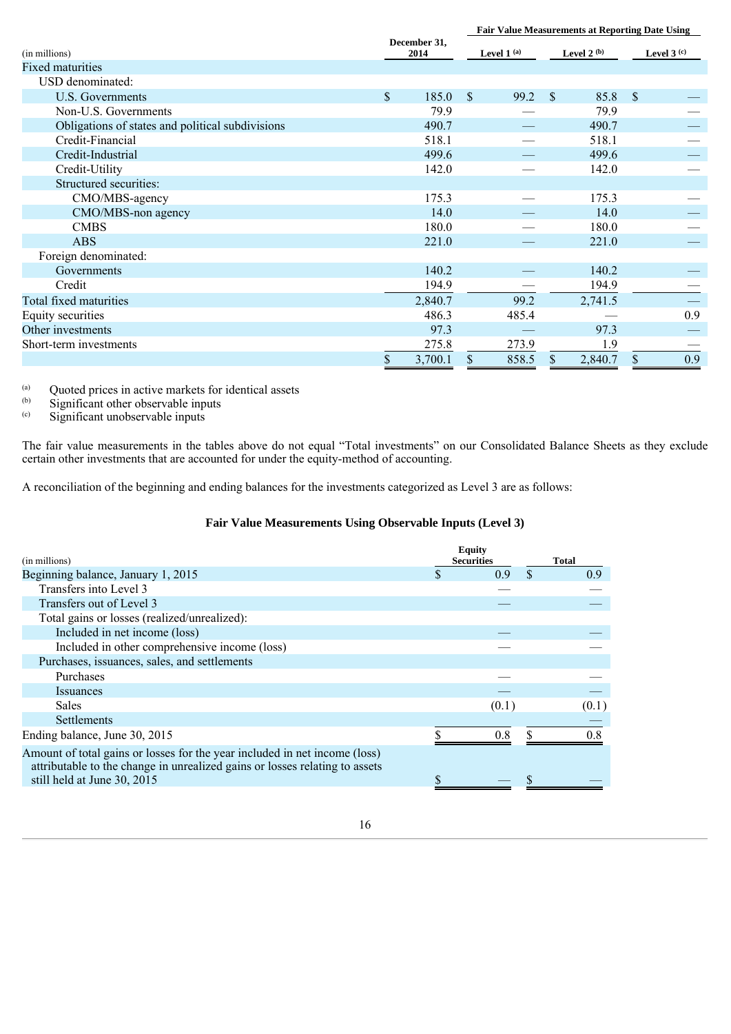|                                                  |                           |                      | <b>Fair Value Measurements at Reporting Date Using</b> |              |               |         |              |              |
|--------------------------------------------------|---------------------------|----------------------|--------------------------------------------------------|--------------|---------------|---------|--------------|--------------|
| (in millions)                                    |                           | December 31.<br>2014 |                                                        | Level $1(a)$ | Level $2(b)$  |         |              | Level $3(c)$ |
| <b>Fixed maturities</b>                          |                           |                      |                                                        |              |               |         |              |              |
| USD denominated:                                 |                           |                      |                                                        |              |               |         |              |              |
| <b>U.S.</b> Governments                          | $\boldsymbol{\mathsf{S}}$ | 185.0                | <sup>S</sup>                                           | 99.2         | <sup>\$</sup> | 85.8    | <sup>S</sup> |              |
| Non-U.S. Governments                             |                           | 79.9                 |                                                        |              |               | 79.9    |              |              |
| Obligations of states and political subdivisions |                           | 490.7                |                                                        |              |               | 490.7   |              |              |
| Credit-Financial                                 |                           | 518.1                |                                                        |              |               | 518.1   |              |              |
| Credit-Industrial                                |                           | 499.6                |                                                        |              |               | 499.6   |              |              |
| Credit-Utility                                   |                           | 142.0                |                                                        |              |               | 142.0   |              |              |
| Structured securities:                           |                           |                      |                                                        |              |               |         |              |              |
| CMO/MBS-agency                                   |                           | 175.3                |                                                        |              |               | 175.3   |              |              |
| CMO/MBS-non agency                               |                           | 14.0                 |                                                        |              |               | 14.0    |              |              |
| <b>CMBS</b>                                      |                           | 180.0                |                                                        |              |               | 180.0   |              |              |
| <b>ABS</b>                                       |                           | 221.0                |                                                        |              |               | 221.0   |              |              |
| Foreign denominated:                             |                           |                      |                                                        |              |               |         |              |              |
| Governments                                      |                           | 140.2                |                                                        |              |               | 140.2   |              |              |
| Credit                                           |                           | 194.9                |                                                        |              |               | 194.9   |              |              |
| Total fixed maturities                           |                           | 2,840.7              |                                                        | 99.2         |               | 2,741.5 |              |              |
| Equity securities                                |                           | 486.3                |                                                        | 485.4        |               |         |              | 0.9          |
| Other investments                                |                           | 97.3                 |                                                        |              |               | 97.3    |              |              |
| Short-term investments                           |                           | 275.8                |                                                        | 273.9        |               | 1.9     |              |              |
|                                                  | \$                        | 3,700.1              | \$                                                     | 858.5        | \$            | 2,840.7 | \$           | 0.9          |

 $(a)$ (a) Quoted prices in active markets for identical assets  $\frac{1}{2}$ 

 $(6)$  Significant other observable inputs  $(6)$  Significant unobservable inputs

Significant unobservable inputs

The fair value measurements in the tables above do not equal "Total investments" on our Consolidated Balance Sheets as they exclude certain other investments that are accounted for under the equity-method of accounting.

A reconciliation of the beginning and ending balances for the investments categorized as Level 3 are as follows:

# **Fair Value Measurements Using Observable Inputs (Level 3)**

| (in millions)                                                                                                                                                                            | Equity<br><b>Securities</b> |               | <b>Total</b> |
|------------------------------------------------------------------------------------------------------------------------------------------------------------------------------------------|-----------------------------|---------------|--------------|
| Beginning balance, January 1, 2015                                                                                                                                                       | 0.9                         | $\mathcal{S}$ | 0.9          |
| Transfers into Level 3                                                                                                                                                                   |                             |               |              |
| Transfers out of Level 3                                                                                                                                                                 |                             |               |              |
| Total gains or losses (realized/unrealized):                                                                                                                                             |                             |               |              |
| Included in net income (loss)                                                                                                                                                            |                             |               |              |
| Included in other comprehensive income (loss)                                                                                                                                            |                             |               |              |
| Purchases, issuances, sales, and settlements                                                                                                                                             |                             |               |              |
| Purchases                                                                                                                                                                                |                             |               |              |
| <i>Issuances</i>                                                                                                                                                                         |                             |               |              |
| <b>Sales</b>                                                                                                                                                                             | (0.1)                       |               | (0.1)        |
| <b>Settlements</b>                                                                                                                                                                       |                             |               |              |
| Ending balance, June 30, 2015                                                                                                                                                            | 0.8                         |               | 0.8          |
| Amount of total gains or losses for the year included in net income (loss)<br>attributable to the change in unrealized gains or losses relating to assets<br>still held at June 30, 2015 |                             |               |              |
|                                                                                                                                                                                          |                             |               |              |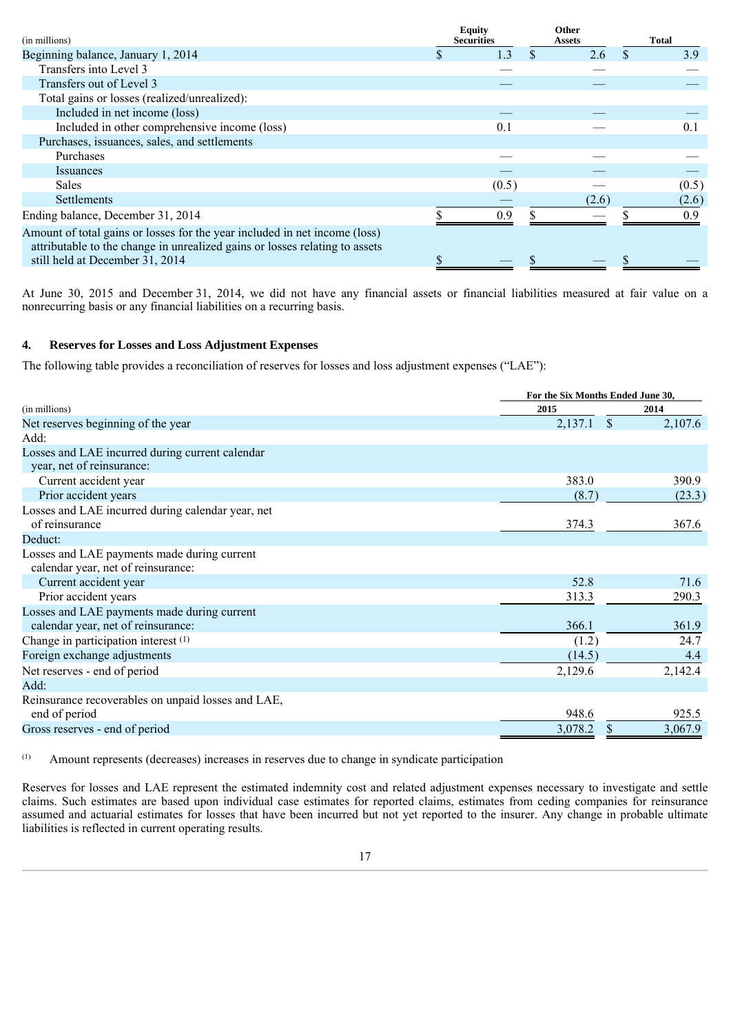| (in millions)                                                                                                                                                                                |  | <b>Equity</b><br><b>Securities</b> | Other<br>Assets | <b>Total</b> |       |  |
|----------------------------------------------------------------------------------------------------------------------------------------------------------------------------------------------|--|------------------------------------|-----------------|--------------|-------|--|
| Beginning balance, January 1, 2014                                                                                                                                                           |  | 1.3                                | 2.6             | S            | 3.9   |  |
| Transfers into Level 3                                                                                                                                                                       |  |                                    |                 |              |       |  |
| Transfers out of Level 3                                                                                                                                                                     |  |                                    |                 |              |       |  |
| Total gains or losses (realized/unrealized):                                                                                                                                                 |  |                                    |                 |              |       |  |
| Included in net income (loss)                                                                                                                                                                |  |                                    |                 |              |       |  |
| Included in other comprehensive income (loss)                                                                                                                                                |  | 0.1                                |                 |              | 0.1   |  |
| Purchases, issuances, sales, and settlements                                                                                                                                                 |  |                                    |                 |              |       |  |
| Purchases                                                                                                                                                                                    |  |                                    |                 |              |       |  |
| <i>Issuances</i>                                                                                                                                                                             |  |                                    |                 |              |       |  |
| <b>Sales</b>                                                                                                                                                                                 |  | (0.5)                              |                 |              | (0.5) |  |
| Settlements                                                                                                                                                                                  |  |                                    | (2.6)           |              | (2.6) |  |
| Ending balance, December 31, 2014                                                                                                                                                            |  | 09                                 |                 |              | 0.9   |  |
| Amount of total gains or losses for the year included in net income (loss)<br>attributable to the change in unrealized gains or losses relating to assets<br>still held at December 31, 2014 |  |                                    |                 |              |       |  |
|                                                                                                                                                                                              |  |                                    |                 |              |       |  |

At June 30, 2015 and December 31, 2014, we did not have any financial assets or financial liabilities measured at fair value on a nonrecurring basis or any financial liabilities on a recurring basis.

### **4. Reserves for Losses and Loss Adjustment Expenses**

The following table provides a reconciliation of reserves for losses and loss adjustment expenses ("LAE"):

|                                                    | For the Six Months Ended June 30. |                          |  |  |  |  |  |
|----------------------------------------------------|-----------------------------------|--------------------------|--|--|--|--|--|
| (in millions)                                      | 2015                              | 2014                     |  |  |  |  |  |
| Net reserves beginning of the year                 | 2,137.1                           | 2,107.6<br><sup>\$</sup> |  |  |  |  |  |
| Add:                                               |                                   |                          |  |  |  |  |  |
| Losses and LAE incurred during current calendar    |                                   |                          |  |  |  |  |  |
| year, net of reinsurance:                          |                                   |                          |  |  |  |  |  |
| Current accident year                              | 383.0                             | 390.9                    |  |  |  |  |  |
| Prior accident years                               | (8.7)                             | (23.3)                   |  |  |  |  |  |
| Losses and LAE incurred during calendar year, net  |                                   |                          |  |  |  |  |  |
| of reinsurance                                     | 374.3                             | 367.6                    |  |  |  |  |  |
| Deduct:                                            |                                   |                          |  |  |  |  |  |
| Losses and LAE payments made during current        |                                   |                          |  |  |  |  |  |
| calendar year, net of reinsurance:                 |                                   |                          |  |  |  |  |  |
| Current accident year                              | 52.8                              | 71.6                     |  |  |  |  |  |
| Prior accident years                               | 313.3                             | 290.3                    |  |  |  |  |  |
| Losses and LAE payments made during current        |                                   |                          |  |  |  |  |  |
| calendar year, net of reinsurance:                 | 366.1                             | 361.9                    |  |  |  |  |  |
| Change in participation interest (1)               | (1.2)                             | 24.7                     |  |  |  |  |  |
| Foreign exchange adjustments                       | (14.5)                            | 4.4                      |  |  |  |  |  |
| Net reserves - end of period                       | 2,129.6                           | 2,142.4                  |  |  |  |  |  |
| Add:                                               |                                   |                          |  |  |  |  |  |
| Reinsurance recoverables on unpaid losses and LAE, |                                   |                          |  |  |  |  |  |
| end of period                                      | 948.6                             | 925.5                    |  |  |  |  |  |
| Gross reserves - end of period                     | 3,078.2                           | 3,067.9                  |  |  |  |  |  |

 $(1)$ (1) Amount represents (decreases) increases in reserves due to change in syndicate participation

Reserves for losses and LAE represent the estimated indemnity cost and related adjustment expenses necessary to investigate and settle claims. Such estimates are based upon individual case estimates for reported claims, estimates from ceding companies for reinsurance assumed and actuarial estimates for losses that have been incurred but not yet reported to the insurer. Any change in probable ultimate liabilities is reflected in current operating results.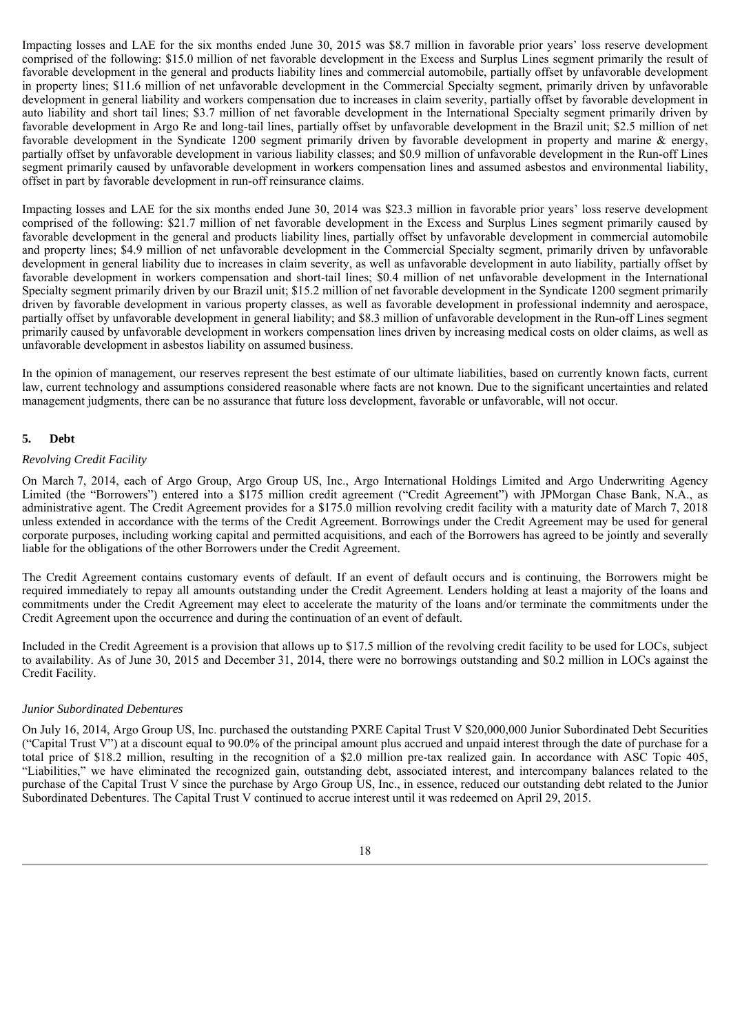Impacting losses and LAE for the six months ended June 30, 2015 was \$8.7 million in favorable prior years' loss reserve development comprised of the following: \$15.0 million of net favorable development in the Excess and Surplus Lines segment primarily the result of favorable development in the general and products liability lines and commercial automobile, partially offset by unfavorable development in property lines; \$11.6 million of net unfavorable development in the Commercial Specialty segment, primarily driven by unfavorable development in general liability and workers compensation due to increases in claim severity, partially offset by favorable development in auto liability and short tail lines; \$3.7 million of net favorable development in the International Specialty segment primarily driven by favorable development in Argo Re and long-tail lines, partially offset by unfavorable development in the Brazil unit; \$2.5 million of net favorable development in the Syndicate 1200 segment primarily driven by favorable development in property and marine & energy, partially offset by unfavorable development in various liability classes; and \$0.9 million of unfavorable development in the Run-off Lines segment primarily caused by unfavorable development in workers compensation lines and assumed asbestos and environmental liability, offset in part by favorable development in run-off reinsurance claims.

Impacting losses and LAE for the six months ended June 30, 2014 was \$23.3 million in favorable prior years' loss reserve development comprised of the following: \$21.7 million of net favorable development in the Excess and Surplus Lines segment primarily caused by favorable development in the general and products liability lines, partially offset by unfavorable development in commercial automobile and property lines; \$4.9 million of net unfavorable development in the Commercial Specialty segment, primarily driven by unfavorable development in general liability due to increases in claim severity, as well as unfavorable development in auto liability, partially offset by favorable development in workers compensation and short-tail lines; \$0.4 million of net unfavorable development in the International Specialty segment primarily driven by our Brazil unit; \$15.2 million of net favorable development in the Syndicate 1200 segment primarily driven by favorable development in various property classes, as well as favorable development in professional indemnity and aerospace, partially offset by unfavorable development in general liability; and \$8.3 million of unfavorable development in the Run-off Lines segment primarily caused by unfavorable development in workers compensation lines driven by increasing medical costs on older claims, as well as unfavorable development in asbestos liability on assumed business.

In the opinion of management, our reserves represent the best estimate of our ultimate liabilities, based on currently known facts, current law, current technology and assumptions considered reasonable where facts are not known. Due to the significant uncertainties and related management judgments, there can be no assurance that future loss development, favorable or unfavorable, will not occur.

### **5. Debt**

### *Revolving Credit Facility*

On March 7, 2014, each of Argo Group, Argo Group US, Inc., Argo International Holdings Limited and Argo Underwriting Agency Limited (the "Borrowers") entered into a \$175 million credit agreement ("Credit Agreement") with JPMorgan Chase Bank, N.A., as administrative agent. The Credit Agreement provides for a \$175.0 million revolving credit facility with a maturity date of March 7, 2018 unless extended in accordance with the terms of the Credit Agreement. Borrowings under the Credit Agreement may be used for general corporate purposes, including working capital and permitted acquisitions, and each of the Borrowers has agreed to be jointly and severally liable for the obligations of the other Borrowers under the Credit Agreement.

The Credit Agreement contains customary events of default. If an event of default occurs and is continuing, the Borrowers might be required immediately to repay all amounts outstanding under the Credit Agreement. Lenders holding at least a majority of the loans and commitments under the Credit Agreement may elect to accelerate the maturity of the loans and/or terminate the commitments under the Credit Agreement upon the occurrence and during the continuation of an event of default.

Included in the Credit Agreement is a provision that allows up to \$17.5 million of the revolving credit facility to be used for LOCs, subject to availability. As of June 30, 2015 and December 31, 2014, there were no borrowings outstanding and \$0.2 million in LOCs against the Credit Facility.

#### *Junior Subordinated Debentures*

On July 16, 2014, Argo Group US, Inc. purchased the outstanding PXRE Capital Trust V \$20,000,000 Junior Subordinated Debt Securities ("Capital Trust V") at a discount equal to 90.0% of the principal amount plus accrued and unpaid interest through the date of purchase for a total price of \$18.2 million, resulting in the recognition of a \$2.0 million pre-tax realized gain. In accordance with ASC Topic 405, "Liabilities," we have eliminated the recognized gain, outstanding debt, associated interest, and intercompany balances related to the purchase of the Capital Trust V since the purchase by Argo Group US, Inc., in essence, reduced our outstanding debt related to the Junior Subordinated Debentures. The Capital Trust V continued to accrue interest until it was redeemed on April 29, 2015.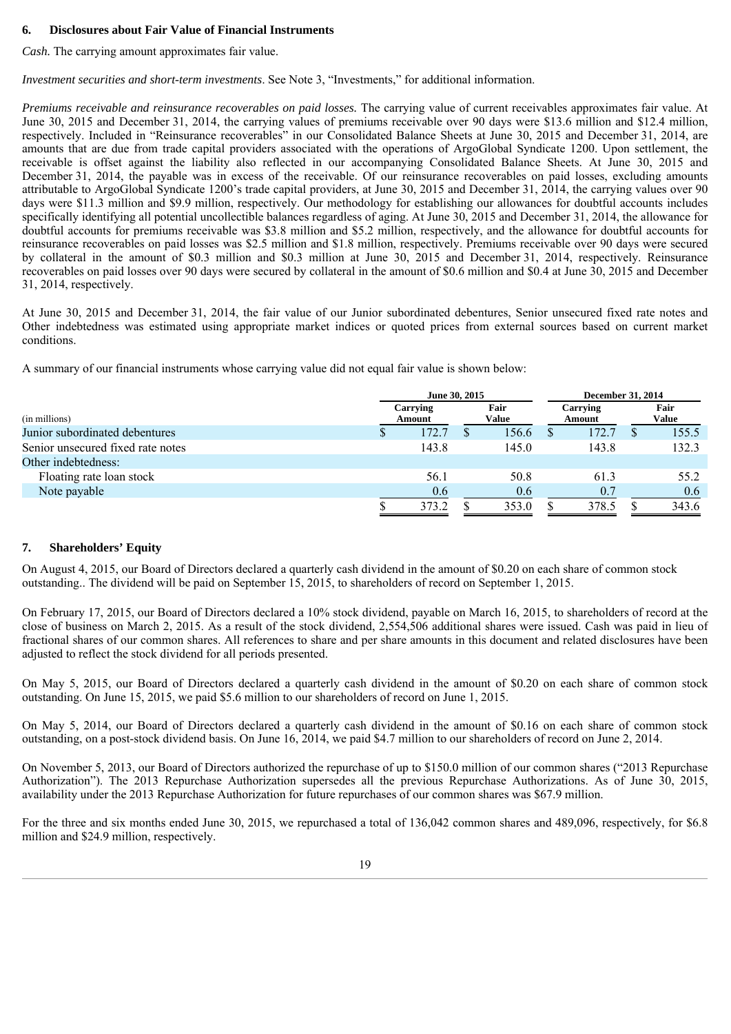### **6. Disclosures about Fair Value of Financial Instruments**

*Cash.* The carrying amount approximates fair value.

*Investment securities and short-term investments*. See Note 3, "Investments," for additional information.

*Premiums receivable and reinsurance recoverables on paid losses.* The carrying value of current receivables approximates fair value. At June 30, 2015 and December 31, 2014, the carrying values of premiums receivable over 90 days were \$13.6 million and \$12.4 million, respectively. Included in "Reinsurance recoverables" in our Consolidated Balance Sheets at June 30, 2015 and December 31, 2014, are amounts that are due from trade capital providers associated with the operations of ArgoGlobal Syndicate 1200. Upon settlement, the receivable is offset against the liability also reflected in our accompanying Consolidated Balance Sheets. At June 30, 2015 and December 31, 2014, the payable was in excess of the receivable. Of our reinsurance recoverables on paid losses, excluding amounts attributable to ArgoGlobal Syndicate 1200's trade capital providers, at June 30, 2015 and December 31, 2014, the carrying values over 90 days were \$11.3 million and \$9.9 million, respectively. Our methodology for establishing our allowances for doubtful accounts includes specifically identifying all potential uncollectible balances regardless of aging. At June 30, 2015 and December 31, 2014, the allowance for doubtful accounts for premiums receivable was \$3.8 million and \$5.2 million, respectively, and the allowance for doubtful accounts for reinsurance recoverables on paid losses was \$2.5 million and \$1.8 million, respectively. Premiums receivable over 90 days were secured by collateral in the amount of \$0.3 million and \$0.3 million at June 30, 2015 and December 31, 2014, respectively. Reinsurance recoverables on paid losses over 90 days were secured by collateral in the amount of \$0.6 million and \$0.4 at June 30, 2015 and December 31, 2014, respectively.

At June 30, 2015 and December 31, 2014, the fair value of our Junior subordinated debentures, Senior unsecured fixed rate notes and Other indebtedness was estimated using appropriate market indices or quoted prices from external sources based on current market conditions.

A summary of our financial instruments whose carrying value did not equal fair value is shown below:

|                                   |                    | June 30, 2015 |               |       | <b>December 31, 2014</b> |       |  |               |  |
|-----------------------------------|--------------------|---------------|---------------|-------|--------------------------|-------|--|---------------|--|
| (in millions)                     | Carrying<br>Amount |               | Fair<br>Value |       | Carrying<br>Amount       |       |  | Fair<br>Value |  |
| Junior subordinated debentures    |                    | 172.7         |               | 156.6 |                          | 172.7 |  | 155.5         |  |
| Senior unsecured fixed rate notes |                    | 143.8         |               | 145.0 |                          | 143.8 |  | 132.3         |  |
| Other indebtedness:               |                    |               |               |       |                          |       |  |               |  |
| Floating rate loan stock          |                    | 56.1          |               | 50.8  |                          | 61.3  |  | 55.2          |  |
| Note payable                      |                    | 0.6           |               | 0.6   |                          | 0.7   |  | 0.6           |  |
|                                   |                    | 373.2         |               | 353.0 |                          | 378.5 |  | 343.6         |  |

### **7. Shareholders' Equity**

On August 4, 2015, our Board of Directors declared a quarterly cash dividend in the amount of \$0.20 on each share of common stock outstanding.. The dividend will be paid on September 15, 2015, to shareholders of record on September 1, 2015.

On February 17, 2015, our Board of Directors declared a 10% stock dividend, payable on March 16, 2015, to shareholders of record at the close of business on March 2, 2015. As a result of the stock dividend, 2,554,506 additional shares were issued. Cash was paid in lieu of fractional shares of our common shares. All references to share and per share amounts in this document and related disclosures have been adjusted to reflect the stock dividend for all periods presented.

On May 5, 2015, our Board of Directors declared a quarterly cash dividend in the amount of \$0.20 on each share of common stock outstanding. On June 15, 2015, we paid \$5.6 million to our shareholders of record on June 1, 2015.

On May 5, 2014, our Board of Directors declared a quarterly cash dividend in the amount of \$0.16 on each share of common stock outstanding, on a post-stock dividend basis. On June 16, 2014, we paid \$4.7 million to our shareholders of record on June 2, 2014.

On November 5, 2013, our Board of Directors authorized the repurchase of up to \$150.0 million of our common shares ("2013 Repurchase Authorization"). The 2013 Repurchase Authorization supersedes all the previous Repurchase Authorizations. As of June 30, 2015, availability under the 2013 Repurchase Authorization for future repurchases of our common shares was \$67.9 million.

For the three and six months ended June 30, 2015, we repurchased a total of 136,042 common shares and 489,096, respectively, for \$6.8 million and \$24.9 million, respectively.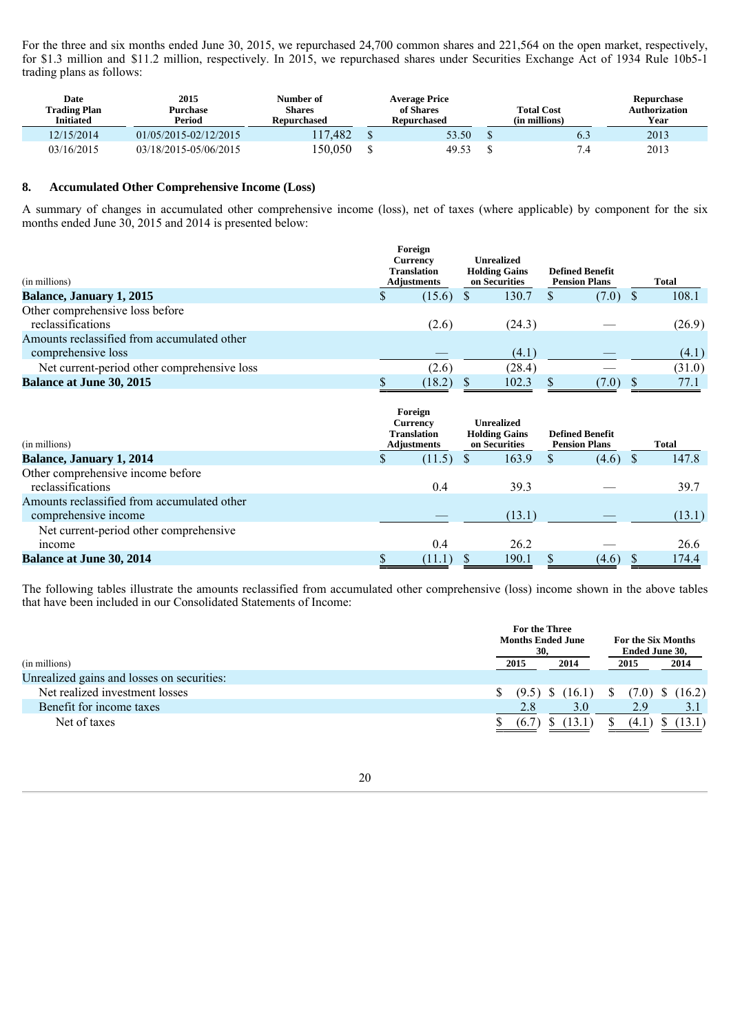For the three and six months ended June 30, 2015, we repurchased 24,700 common shares and 221,564 on the open market, respectively, for \$1.3 million and \$11.2 million, respectively. In 2015, we repurchased shares under Securities Exchange Act of 1934 Rule 10b5-1 trading plans as follows:

| Date<br><b>Trading Plan</b><br><b>Initiated</b> | 2015<br><b>Purchase</b><br>Period | Number of<br><b>Shares</b><br><b>Repurchased</b> | <b>Average Price</b><br>of Shares<br><b>Repurchased</b> | <b>Total Cost</b><br>(in millions) | Repurchase<br>Authorization<br>Year |
|-------------------------------------------------|-----------------------------------|--------------------------------------------------|---------------------------------------------------------|------------------------------------|-------------------------------------|
| 12/15/2014                                      | 01/05/2015-02/12/2015             | 117.482                                          | 53.50                                                   | 0.3                                | 2013                                |
| 03/16/2015                                      | 03/18/2015-05/06/2015             | 150.050                                          | 49.53                                                   | 7.4                                | 2013                                |

### **8. Accumulated Other Comprehensive Income (Loss)**

A summary of changes in accumulated other comprehensive income (loss), net of taxes (where applicable) by component for the six months ended June 30, 2015 and 2014 is presented below:

| (in millions)                                                     | Foreign<br><b>Currency</b><br><b>Translation</b><br><b>Adjustments</b> |        | Unrealized<br><b>Holding Gains</b><br>on Securities |        |            |        | <b>Defined Benefit</b><br><b>Pension Plans</b> | <b>Total</b> |
|-------------------------------------------------------------------|------------------------------------------------------------------------|--------|-----------------------------------------------------|--------|------------|--------|------------------------------------------------|--------------|
| <b>Balance, January 1, 2015</b>                                   |                                                                        | (15.6) |                                                     | 130.7  | $(7.0)$ \$ | 108.1  |                                                |              |
| Other comprehensive loss before<br>reclassifications              |                                                                        | (2.6)  |                                                     | (24.3) |            | (26.9) |                                                |              |
| Amounts reclassified from accumulated other<br>comprehensive loss |                                                                        |        |                                                     | (4.1)  |            | (4.1)  |                                                |              |
| Net current-period other comprehensive loss                       |                                                                        | (2.6)  |                                                     | (28.4) |            | (31.0) |                                                |              |
| <b>Balance at June 30, 2015</b>                                   |                                                                        | (18.2) |                                                     | 102.3  | (7.0)      | 77.1   |                                                |              |

| <b>Currency</b><br><b>Unrealized</b><br><b>Translation</b><br><b>Holding Gains</b><br><b>Defined Benefit</b><br>(in millions)<br>on Securities<br><b>Pension Plans</b><br><b>Adjustments</b> | <b>Total</b> |
|----------------------------------------------------------------------------------------------------------------------------------------------------------------------------------------------|--------------|
| 163.9<br><b>Balance, January 1, 2014</b><br>(11.5)<br>(4.6)<br><sup>\$</sup>                                                                                                                 | 147.8        |
| Other comprehensive income before                                                                                                                                                            |              |
| reclassifications<br>0.4<br>39.3                                                                                                                                                             | 39.7         |
| Amounts reclassified from accumulated other                                                                                                                                                  |              |
| (13.1)<br>comprehensive income                                                                                                                                                               | (13.1)       |
| Net current-period other comprehensive                                                                                                                                                       |              |
| 0.4<br>26.2<br><i>n</i> come                                                                                                                                                                 | 26.6         |
| 190.1<br><b>Balance at June 30, 2014</b><br>(4.6)<br>(11.1)                                                                                                                                  | 174.4        |

The following tables illustrate the amounts reclassified from accumulated other comprehensive (loss) income shown in the above tables that have been included in our Consolidated Statements of Income:

| (in millions)                              |              | For the Three<br><b>Months Ended June</b><br>30, |                     | For the Six Months<br>Ended June 30, |       |                     |  |
|--------------------------------------------|--------------|--------------------------------------------------|---------------------|--------------------------------------|-------|---------------------|--|
|                                            |              | 2015                                             | 2014                |                                      | 2015  | 2014                |  |
| Unrealized gains and losses on securities: |              |                                                  |                     |                                      |       |                     |  |
| Net realized investment losses             | <sup>S</sup> |                                                  | $(9.5)$ \$ $(16.1)$ | <sup>S</sup>                         |       | $(7.0)$ \$ $(16.2)$ |  |
| Benefit for income taxes                   |              | 2.8                                              | 3.0                 |                                      | 2.9   |                     |  |
| Net of taxes                               |              | (O. /                                            | 1.5.1<br>ъĐ.        | ۰D                                   | (4.1) |                     |  |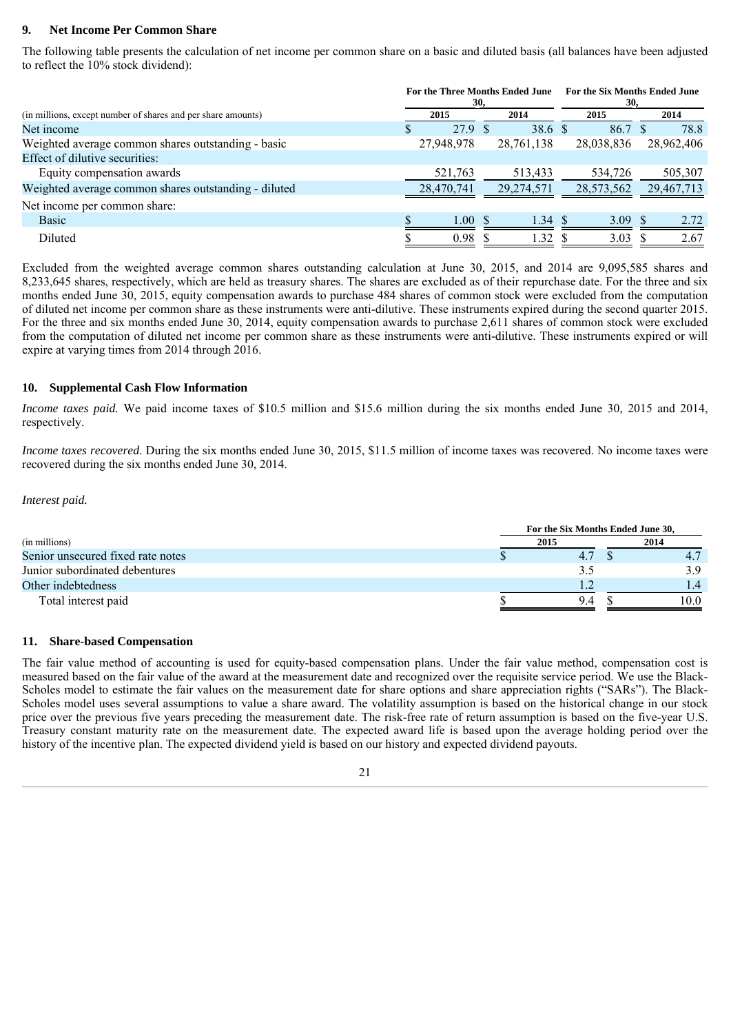### **9. Net Income Per Common Share**

The following table presents the calculation of net income per common share on a basic and diluted basis (all balances have been adjusted to reflect the 10% stock dividend):

|                                                              |      | <b>For the Three Months Ended June</b><br>30. |  | For the Six Months Ended June<br>30. |      |            |      |            |  |      |
|--------------------------------------------------------------|------|-----------------------------------------------|--|--------------------------------------|------|------------|------|------------|--|------|
| (in millions, except number of shares and per share amounts) | 2015 |                                               |  |                                      | 2014 |            | 2015 |            |  | 2014 |
| Net income                                                   |      | 27.9 \$                                       |  | 38.6 \$                              |      | 86.7       |      | 78.8       |  |      |
| Weighted average common shares outstanding - basic           |      | 27,948,978                                    |  | 28,761,138                           |      | 28,038,836 |      | 28,962,406 |  |      |
| Effect of dilutive securities:                               |      |                                               |  |                                      |      |            |      |            |  |      |
| Equity compensation awards                                   |      | 521,763                                       |  | 513,433                              |      | 534,726    |      | 505,307    |  |      |
| Weighted average common shares outstanding - diluted         |      | 28,470,741                                    |  | 29,274,571                           |      | 28,573,562 |      | 29,467,713 |  |      |
| Net income per common share:                                 |      |                                               |  |                                      |      |            |      |            |  |      |
| Basic                                                        |      | 00.1                                          |  | 1.34                                 |      | 3.09 S     |      | 2.72       |  |      |
| Diluted                                                      |      | 0.98                                          |  | 1.32                                 |      | 3.03       |      | 2.67       |  |      |

Excluded from the weighted average common shares outstanding calculation at June 30, 2015, and 2014 are 9,095,585 shares and 8,233,645 shares, respectively, which are held as treasury shares. The shares are excluded as of their repurchase date. For the three and six months ended June 30, 2015, equity compensation awards to purchase 484 shares of common stock were excluded from the computation of diluted net income per common share as these instruments were anti-dilutive. These instruments expired during the second quarter 2015. For the three and six months ended June 30, 2014, equity compensation awards to purchase 2,611 shares of common stock were excluded from the computation of diluted net income per common share as these instruments were anti-dilutive. These instruments expired or will expire at varying times from 2014 through 2016.

### **10. Supplemental Cash Flow Information**

*Income taxes paid.* We paid income taxes of \$10.5 million and \$15.6 million during the six months ended June 30, 2015 and 2014, respectively.

*Income taxes recovered*. During the six months ended June 30, 2015, \$11.5 million of income taxes was recovered. No income taxes were recovered during the six months ended June 30, 2014.

### *Interest paid.*

|                                   | For the Six Months Ended June 30. |      |  |           |  |  |  |  |  |
|-----------------------------------|-----------------------------------|------|--|-----------|--|--|--|--|--|
| (in millions)                     |                                   | 2015 |  | 2014      |  |  |  |  |  |
| Senior unsecured fixed rate notes |                                   | 4.7  |  |           |  |  |  |  |  |
| Junior subordinated debentures    |                                   | 3.5  |  | 39        |  |  |  |  |  |
| Other indebtedness                |                                   |      |  | $\perp$ 4 |  |  |  |  |  |
| Total interest paid               |                                   | 9.4  |  | 10.0      |  |  |  |  |  |

### **11. Share-based Compensation**

The fair value method of accounting is used for equity-based compensation plans. Under the fair value method, compensation cost is measured based on the fair value of the award at the measurement date and recognized over the requisite service period. We use the Black-Scholes model to estimate the fair values on the measurement date for share options and share appreciation rights ("SARs"). The Black-Scholes model uses several assumptions to value a share award. The volatility assumption is based on the historical change in our stock price over the previous five years preceding the measurement date. The risk-free rate of return assumption is based on the five-year U.S. Treasury constant maturity rate on the measurement date. The expected award life is based upon the average holding period over the history of the incentive plan. The expected dividend yield is based on our history and expected dividend payouts.

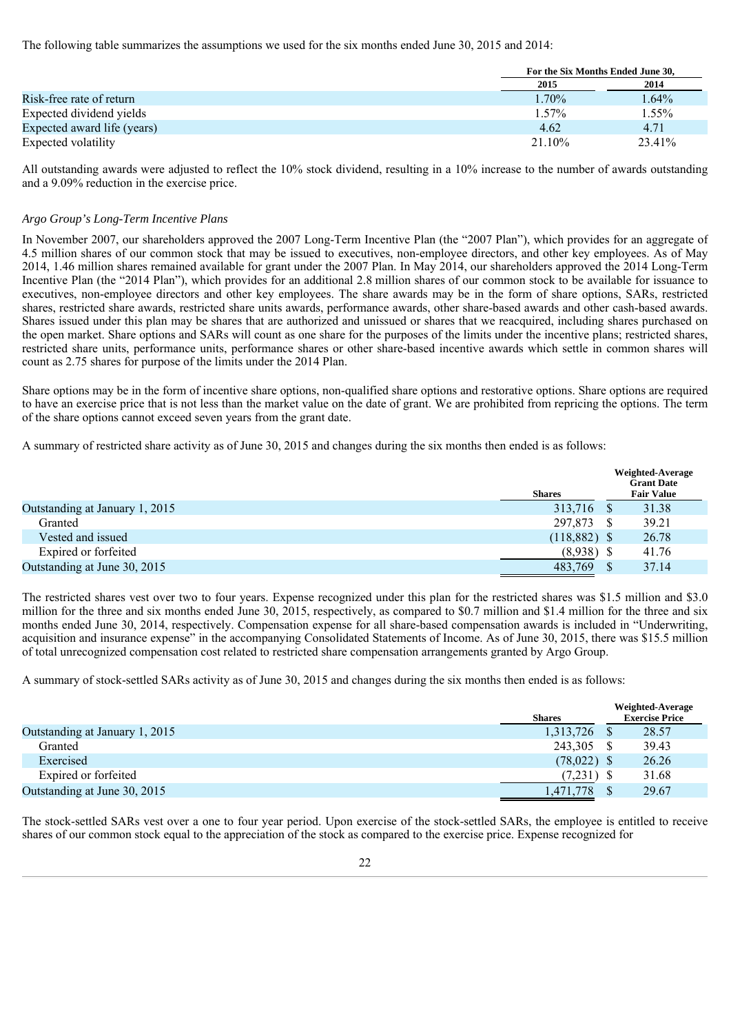The following table summarizes the assumptions we used for the six months ended June 30, 2015 and 2014:

|                             | For the Six Months Ended June 30. |          |
|-----------------------------|-----------------------------------|----------|
|                             | 2015                              | 2014     |
| Risk-free rate of return    | $1.70\%$                          | $1.64\%$ |
| Expected dividend yields    | $1.57\%$                          | 1.55%    |
| Expected award life (years) | 4.62                              | 4.71     |
| Expected volatility         | 21.10%                            | 23.41%   |

All outstanding awards were adjusted to reflect the 10% stock dividend, resulting in a 10% increase to the number of awards outstanding and a 9.09% reduction in the exercise price.

### *Argo Group's Long-Term Incentive Plans*

In November 2007, our shareholders approved the 2007 Long-Term Incentive Plan (the "2007 Plan"), which provides for an aggregate of 4.5 million shares of our common stock that may be issued to executives, non-employee directors, and other key employees. As of May 2014, 1.46 million shares remained available for grant under the 2007 Plan. In May 2014, our shareholders approved the 2014 Long-Term Incentive Plan (the "2014 Plan"), which provides for an additional 2.8 million shares of our common stock to be available for issuance to executives, non-employee directors and other key employees. The share awards may be in the form of share options, SARs, restricted shares, restricted share awards, restricted share units awards, performance awards, other share-based awards and other cash-based awards. Shares issued under this plan may be shares that are authorized and unissued or shares that we reacquired, including shares purchased on the open market. Share options and SARs will count as one share for the purposes of the limits under the incentive plans; restricted shares, restricted share units, performance units, performance shares or other share-based incentive awards which settle in common shares will count as 2.75 shares for purpose of the limits under the 2014 Plan.

Share options may be in the form of incentive share options, non-qualified share options and restorative options. Share options are required to have an exercise price that is not less than the market value on the date of grant. We are prohibited from repricing the options. The term of the share options cannot exceed seven years from the grant date.

A summary of restricted share activity as of June 30, 2015 and changes during the six months then ended is as follows:

|                                | <b>Shares</b>  | Weighted-Average<br><b>Grant Date</b><br><b>Fair Value</b> |
|--------------------------------|----------------|------------------------------------------------------------|
| Outstanding at January 1, 2015 | 313,716 \$     | 31.38                                                      |
| Granted                        | 297.873        | 39.21                                                      |
| Vested and issued              | $(118,882)$ \$ | 26.78                                                      |
| Expired or forfeited           | $(8,938)$ \$   | 41.76                                                      |
| Outstanding at June 30, 2015   | 483,769        | 37.14                                                      |

The restricted shares vest over two to four years. Expense recognized under this plan for the restricted shares was \$1.5 million and \$3.0 million for the three and six months ended June 30, 2015, respectively, as compared to \$0.7 million and \$1.4 million for the three and six months ended June 30, 2014, respectively. Compensation expense for all share-based compensation awards is included in "Underwriting, acquisition and insurance expense" in the accompanying Consolidated Statements of Income. As of June 30, 2015, there was \$15.5 million of total unrecognized compensation cost related to restricted share compensation arrangements granted by Argo Group.

A summary of stock-settled SARs activity as of June 30, 2015 and changes during the six months then ended is as follows:

|                                | <b>Shares</b> | Weighted-Average<br><b>Exercise Price</b> |
|--------------------------------|---------------|-------------------------------------------|
| Outstanding at January 1, 2015 | 1,313,726     | 28.57                                     |
| Granted                        | 243,305       | 39.43                                     |
| Exercised                      | $(78,022)$ \$ | 26.26                                     |
| Expired or forfeited           | $(7,231)$ \$  | 31.68                                     |
| Outstanding at June 30, 2015   | 1,471,778     | 29.67                                     |

The stock-settled SARs vest over a one to four year period. Upon exercise of the stock-settled SARs, the employee is entitled to receive shares of our common stock equal to the appreciation of the stock as compared to the exercise price. Expense recognized for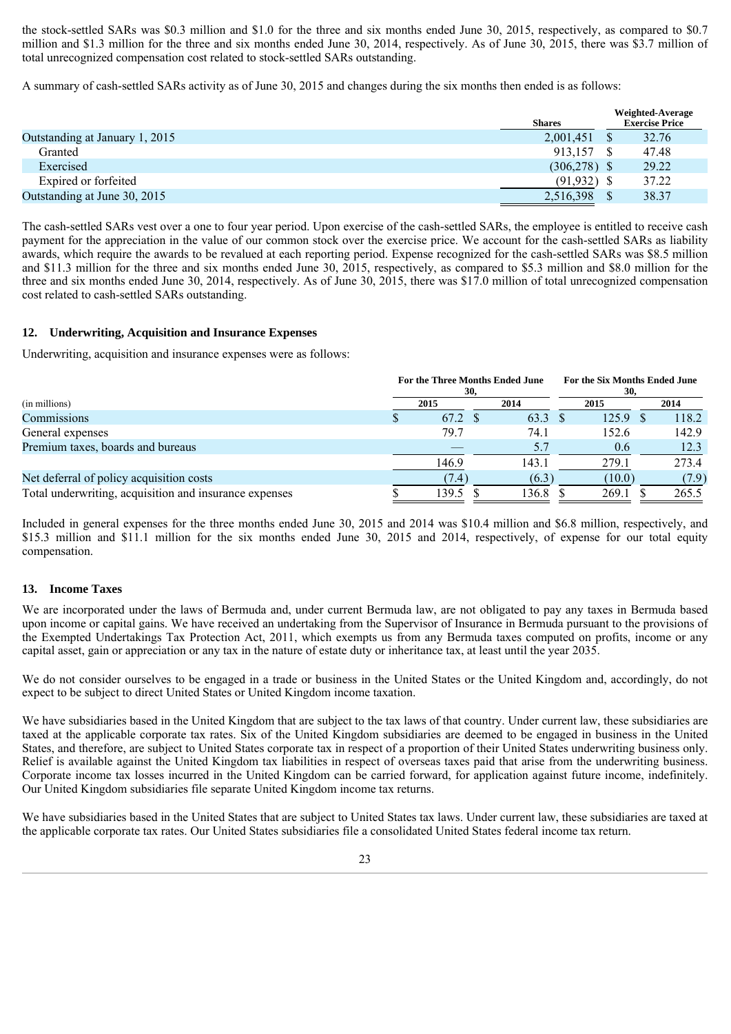the stock-settled SARs was \$0.3 million and \$1.0 for the three and six months ended June 30, 2015, respectively, as compared to \$0.7 million and \$1.3 million for the three and six months ended June 30, 2014, respectively. As of June 30, 2015, there was \$3.7 million of total unrecognized compensation cost related to stock-settled SARs outstanding.

A summary of cash-settled SARs activity as of June 30, 2015 and changes during the six months then ended is as follows:

|                                | <b>Shares</b>  | Weighted-Average<br><b>Exercise Price</b> |
|--------------------------------|----------------|-------------------------------------------|
| Outstanding at January 1, 2015 | 2,001,451      | 32.76                                     |
| Granted                        | 913.157 \$     | 47.48                                     |
| Exercised                      | $(306,278)$ \$ | 29.22                                     |
| Expired or forfeited           | (91, 932)      | 37.22                                     |
| Outstanding at June 30, 2015   | 2,516,398      | 38.37                                     |

The cash-settled SARs vest over a one to four year period. Upon exercise of the cash-settled SARs, the employee is entitled to receive cash payment for the appreciation in the value of our common stock over the exercise price. We account for the cash-settled SARs as liability awards, which require the awards to be revalued at each reporting period. Expense recognized for the cash-settled SARs was \$8.5 million and \$11.3 million for the three and six months ended June 30, 2015, respectively, as compared to \$5.3 million and \$8.0 million for the three and six months ended June 30, 2014, respectively. As of June 30, 2015, there was \$17.0 million of total unrecognized compensation cost related to cash-settled SARs outstanding.

### **12. Underwriting, Acquisition and Insurance Expenses**

Underwriting, acquisition and insurance expenses were as follows:

|                                                        |  | For the Three Months Ended June | 30, | For the Six Months Ended June<br>30. |  |        |  |       |
|--------------------------------------------------------|--|---------------------------------|-----|--------------------------------------|--|--------|--|-------|
| (in millions)                                          |  | 2015                            |     | 2014                                 |  | 2015   |  | 2014  |
| Commissions                                            |  | 67.2 \$                         |     | 63.3                                 |  | 125.9  |  | 118.2 |
| General expenses                                       |  | 79.7                            |     | 74.1                                 |  | 152.6  |  | 142.9 |
| Premium taxes, boards and bureaus                      |  |                                 |     | 5.7                                  |  | 0.6    |  | 12.3  |
|                                                        |  | 146.9                           |     | 143.1                                |  | 279.1  |  | 273.4 |
| Net deferral of policy acquisition costs               |  | (7.4)                           |     | (6.3)                                |  | (10.0) |  | (7.9) |
| Total underwriting, acquisition and insurance expenses |  | 139.5                           |     | 136.8                                |  | 269.1  |  | 265.5 |

Included in general expenses for the three months ended June 30, 2015 and 2014 was \$10.4 million and \$6.8 million, respectively, and \$15.3 million and \$11.1 million for the six months ended June 30, 2015 and 2014, respectively, of expense for our total equity compensation.

### **13. Income Taxes**

We are incorporated under the laws of Bermuda and, under current Bermuda law, are not obligated to pay any taxes in Bermuda based upon income or capital gains. We have received an undertaking from the Supervisor of Insurance in Bermuda pursuant to the provisions of the Exempted Undertakings Tax Protection Act, 2011, which exempts us from any Bermuda taxes computed on profits, income or any capital asset, gain or appreciation or any tax in the nature of estate duty or inheritance tax, at least until the year 2035.

We do not consider ourselves to be engaged in a trade or business in the United States or the United Kingdom and, accordingly, do not expect to be subject to direct United States or United Kingdom income taxation.

We have subsidiaries based in the United Kingdom that are subject to the tax laws of that country. Under current law, these subsidiaries are taxed at the applicable corporate tax rates. Six of the United Kingdom subsidiaries are deemed to be engaged in business in the United States, and therefore, are subject to United States corporate tax in respect of a proportion of their United States underwriting business only. Relief is available against the United Kingdom tax liabilities in respect of overseas taxes paid that arise from the underwriting business. Corporate income tax losses incurred in the United Kingdom can be carried forward, for application against future income, indefinitely. Our United Kingdom subsidiaries file separate United Kingdom income tax returns.

We have subsidiaries based in the United States that are subject to United States tax laws. Under current law, these subsidiaries are taxed at the applicable corporate tax rates. Our United States subsidiaries file a consolidated United States federal income tax return.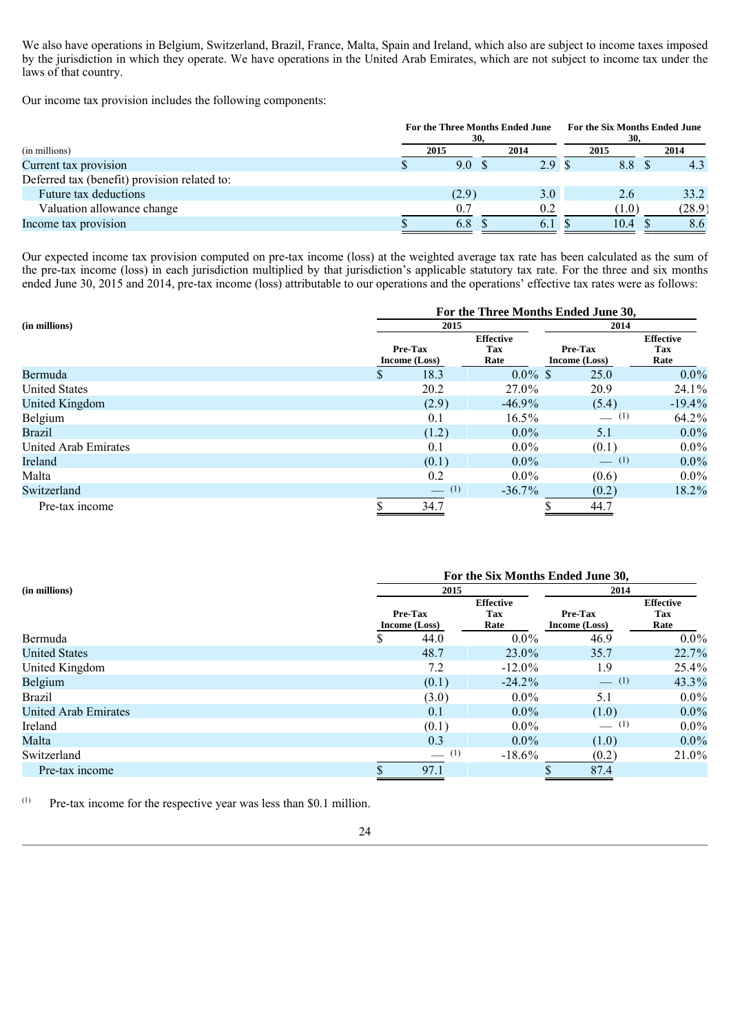We also have operations in Belgium, Switzerland, Brazil, France, Malta, Spain and Ireland, which also are subject to income taxes imposed by the jurisdiction in which they operate. We have operations in the United Arab Emirates, which are not subject to income tax under the laws of that country.

Our income tax provision includes the following components:

|                                              | For the Three Months Ended June | 30.              | For the Six Months Ended June<br>30. |  |       |  |        |
|----------------------------------------------|---------------------------------|------------------|--------------------------------------|--|-------|--|--------|
| (in millions)                                | 2015                            |                  | 2014                                 |  | 2015  |  | 2014   |
| Current tax provision                        |                                 | 9.0 <sub>1</sub> | 2.9 <sup>°</sup>                     |  | 8.8   |  | 4.3    |
| Deferred tax (benefit) provision related to: |                                 |                  |                                      |  |       |  |        |
| Future tax deductions                        | (2.9)                           |                  | 3.0 <sub>1</sub>                     |  | 2.6   |  | 33.2   |
| Valuation allowance change                   | 0.7                             |                  | 0.2                                  |  | (1.0) |  | (28.9) |
| Income tax provision                         | 6.8                             |                  | 6.1                                  |  | 10.4  |  | 8.6    |

Our expected income tax provision computed on pre-tax income (loss) at the weighted average tax rate has been calculated as the sum of the pre-tax income (loss) in each jurisdiction multiplied by that jurisdiction's applicable statutory tax rate. For the three and six months ended June 30, 2015 and 2014, pre-tax income (loss) attributable to our operations and the operations' effective tax rates were as follows:

|                      | For the Three Months Ended June 30, |                                 |                          |                                 |  |  |  |  |  |  |  |
|----------------------|-------------------------------------|---------------------------------|--------------------------|---------------------------------|--|--|--|--|--|--|--|
| (in millions)        | 2015                                |                                 | 2014                     |                                 |  |  |  |  |  |  |  |
|                      | Pre-Tax<br>Income (Loss)            | <b>Effective</b><br>Tax<br>Rate | Pre-Tax<br>Income (Loss) | <b>Effective</b><br>Tax<br>Rate |  |  |  |  |  |  |  |
| Bermuda              | 18.3                                | $0.0\%$ \$                      | 25.0                     | $0.0\%$                         |  |  |  |  |  |  |  |
| <b>United States</b> | 20.2                                | 27.0%                           | 20.9                     | 24.1%                           |  |  |  |  |  |  |  |
| United Kingdom       | (2.9)                               | $-46.9\%$                       | (5.4)                    | $-19.4%$                        |  |  |  |  |  |  |  |
| Belgium              | 0.1                                 | $16.5\%$                        | $- (1)$                  | 64.2%                           |  |  |  |  |  |  |  |
| <b>Brazil</b>        | (1.2)                               | $0.0\%$                         | 5.1                      | $0.0\%$                         |  |  |  |  |  |  |  |
| United Arab Emirates | 0.1                                 | $0.0\%$                         | (0.1)                    | $0.0\%$                         |  |  |  |  |  |  |  |
| Ireland              | (0.1)                               | $0.0\%$                         | $- (1)$                  | $0.0\%$                         |  |  |  |  |  |  |  |
| Malta                | 0.2                                 | $0.0\%$                         | (0.6)                    | $0.0\%$                         |  |  |  |  |  |  |  |
| Switzerland          | $- (1)$                             | $-36.7\%$                       | (0.2)                    | 18.2%                           |  |  |  |  |  |  |  |
| Pre-tax income       | 34.7                                |                                 | 44.7                     |                                 |  |  |  |  |  |  |  |

|                             | For the Six Months Ended June 30, |                                 |                                 |                                 |  |  |  |  |  |  |  |
|-----------------------------|-----------------------------------|---------------------------------|---------------------------------|---------------------------------|--|--|--|--|--|--|--|
| (in millions)               | 2015                              |                                 | 2014                            |                                 |  |  |  |  |  |  |  |
|                             | Pre-Tax<br>Income (Loss)          | <b>Effective</b><br>Tax<br>Rate | Pre-Tax<br><b>Income</b> (Loss) | <b>Effective</b><br>Tax<br>Rate |  |  |  |  |  |  |  |
| Bermuda                     | 44.0                              | $0.0\%$                         | 46.9                            | $0.0\%$                         |  |  |  |  |  |  |  |
| <b>United States</b>        | 48.7                              | 23.0%                           | 35.7                            | 22.7%                           |  |  |  |  |  |  |  |
| United Kingdom              | 7.2                               | $-12.0\%$                       | 1.9                             | 25.4%                           |  |  |  |  |  |  |  |
| <b>Belgium</b>              | (0.1)                             | $-24.2\%$                       | $- (1)$                         | $43.3\%$                        |  |  |  |  |  |  |  |
| <b>Brazil</b>               | (3.0)                             | $0.0\%$                         | 5.1                             | $0.0\%$                         |  |  |  |  |  |  |  |
| <b>United Arab Emirates</b> | 0.1                               | $0.0\%$                         | (1.0)                           | $0.0\%$                         |  |  |  |  |  |  |  |
| Ireland                     | (0.1)                             | $0.0\%$                         | $- (1)$                         | $0.0\%$                         |  |  |  |  |  |  |  |
| Malta                       | 0.3                               | $0.0\%$                         | (1.0)                           | $0.0\%$                         |  |  |  |  |  |  |  |
| Switzerland                 | $- (1)$                           | $-18.6\%$                       | (0.2)                           | 21.0%                           |  |  |  |  |  |  |  |
| Pre-tax income              | 97.1                              |                                 | 87.4                            |                                 |  |  |  |  |  |  |  |

24

(1) Pre-tax income for the respective year was less than \$0.1 million.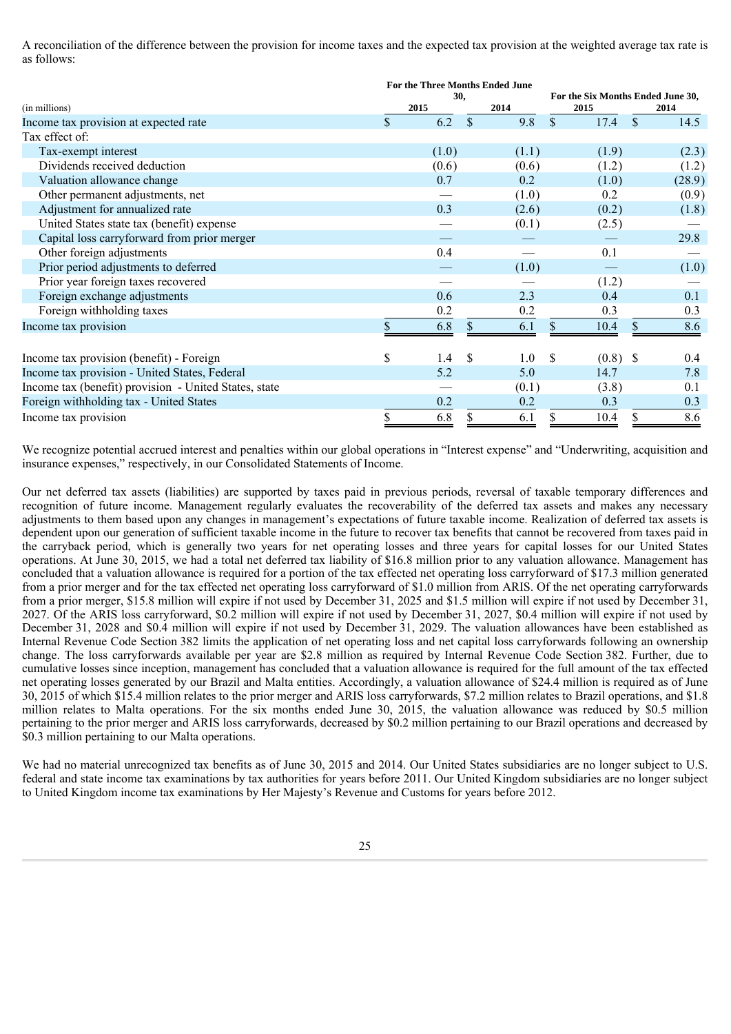A reconciliation of the difference between the provision for income taxes and the expected tax provision at the weighted average tax rate is as follows:

|                                                       | For the Three Months Ended June |               |       |               |            |               |                                   |
|-------------------------------------------------------|---------------------------------|---------------|-------|---------------|------------|---------------|-----------------------------------|
|                                                       | 30.                             |               |       |               |            |               | For the Six Months Ended June 30, |
| (in millions)                                         | 2015                            |               | 2014  | 2015          |            |               | 2014                              |
| Income tax provision at expected rate                 | \$<br>6.2                       | \$            | 9.8   | $\mathcal{S}$ | 17.4       | <sup>\$</sup> | 14.5                              |
| Tax effect of:                                        |                                 |               |       |               |            |               |                                   |
| Tax-exempt interest                                   | (1.0)                           |               | (1.1) |               | (1.9)      |               | (2.3)                             |
| Dividends received deduction                          | (0.6)                           |               | (0.6) |               | (1.2)      |               | (1.2)                             |
| Valuation allowance change                            | 0.7                             |               | 0.2   |               | (1.0)      |               | (28.9)                            |
| Other permanent adjustments, net                      |                                 |               | (1.0) |               | 0.2        |               | (0.9)                             |
| Adjustment for annualized rate                        | 0.3                             |               | (2.6) |               | (0.2)      |               | (1.8)                             |
| United States state tax (benefit) expense             |                                 |               | (0.1) |               | (2.5)      |               |                                   |
| Capital loss carryforward from prior merger           |                                 |               |       |               |            |               | 29.8                              |
| Other foreign adjustments                             | 0.4                             |               |       |               | 0.1        |               |                                   |
| Prior period adjustments to deferred                  |                                 |               | (1.0) |               |            |               | (1.0)                             |
| Prior year foreign taxes recovered                    |                                 |               |       |               | (1.2)      |               |                                   |
| Foreign exchange adjustments                          | 0.6                             |               | 2.3   |               | 0.4        |               | 0.1                               |
| Foreign withholding taxes                             | 0.2                             |               | 0.2   |               | 0.3        |               | 0.3                               |
| Income tax provision                                  | 6.8                             |               | 6.1   | S             | 10.4       |               | 8.6                               |
|                                                       |                                 |               |       |               |            |               |                                   |
| Income tax provision (benefit) - Foreign              | \$<br>1.4                       | <sup>\$</sup> | 1.0   | -S            | $(0.8)$ \$ |               | 0.4                               |
| Income tax provision - United States, Federal         | 5.2                             |               | 5.0   |               | 14.7       |               | 7.8                               |
| Income tax (benefit) provision - United States, state |                                 |               | (0.1) |               | (3.8)      |               | 0.1                               |
| Foreign withholding tax - United States               | 0.2                             |               | 0.2   |               | 0.3        |               | 0.3                               |
| Income tax provision                                  | \$<br>6.8                       | \$            | 6.1   | \$            | 10.4       | \$            | 8.6                               |

We recognize potential accrued interest and penalties within our global operations in "Interest expense" and "Underwriting, acquisition and insurance expenses," respectively, in our Consolidated Statements of Income.

Our net deferred tax assets (liabilities) are supported by taxes paid in previous periods, reversal of taxable temporary differences and recognition of future income. Management regularly evaluates the recoverability of the deferred tax assets and makes any necessary adjustments to them based upon any changes in management's expectations of future taxable income. Realization of deferred tax assets is dependent upon our generation of sufficient taxable income in the future to recover tax benefits that cannot be recovered from taxes paid in the carryback period, which is generally two years for net operating losses and three years for capital losses for our United States operations. At June 30, 2015, we had a total net deferred tax liability of \$16.8 million prior to any valuation allowance. Management has concluded that a valuation allowance is required for a portion of the tax effected net operating loss carryforward of \$17.3 million generated from a prior merger and for the tax effected net operating loss carryforward of \$1.0 million from ARIS. Of the net operating carryforwards from a prior merger, \$15.8 million will expire if not used by December 31, 2025 and \$1.5 million will expire if not used by December 31, 2027. Of the ARIS loss carryforward, \$0.2 million will expire if not used by December 31, 2027, \$0.4 million will expire if not used by December 31, 2028 and \$0.4 million will expire if not used by December 31, 2029. The valuation allowances have been established as Internal Revenue Code Section 382 limits the application of net operating loss and net capital loss carryforwards following an ownership change. The loss carryforwards available per year are \$2.8 million as required by Internal Revenue Code Section 382. Further, due to cumulative losses since inception, management has concluded that a valuation allowance is required for the full amount of the tax effected net operating losses generated by our Brazil and Malta entities. Accordingly, a valuation allowance of \$24.4 million is required as of June 30, 2015 of which \$15.4 million relates to the prior merger and ARIS loss carryforwards, \$7.2 million relates to Brazil operations, and \$1.8 million relates to Malta operations. For the six months ended June 30, 2015, the valuation allowance was reduced by \$0.5 million pertaining to the prior merger and ARIS loss carryforwards, decreased by \$0.2 million pertaining to our Brazil operations and decreased by \$0.3 million pertaining to our Malta operations.

We had no material unrecognized tax benefits as of June 30, 2015 and 2014. Our United States subsidiaries are no longer subject to U.S. federal and state income tax examinations by tax authorities for years before 2011. Our United Kingdom subsidiaries are no longer subject to United Kingdom income tax examinations by Her Majesty's Revenue and Customs for years before 2012.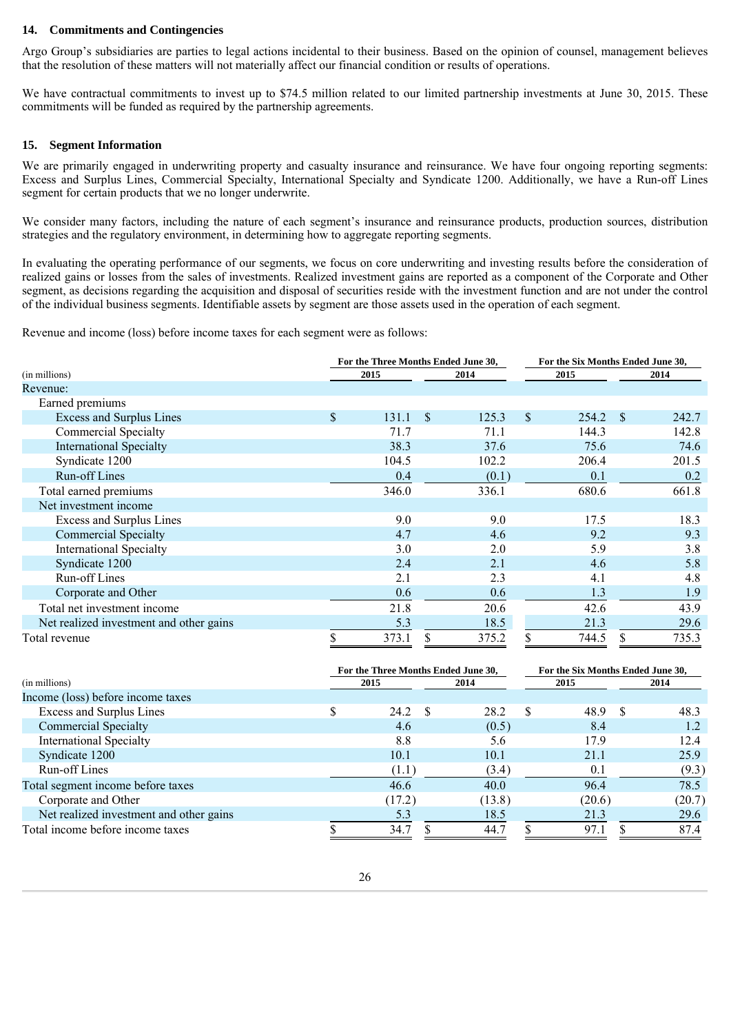### **14. Commitments and Contingencies**

Argo Group's subsidiaries are parties to legal actions incidental to their business. Based on the opinion of counsel, management believes that the resolution of these matters will not materially affect our financial condition or results of operations.

We have contractual commitments to invest up to \$74.5 million related to our limited partnership investments at June 30, 2015. These commitments will be funded as required by the partnership agreements.

### **15. Segment Information**

We are primarily engaged in underwriting property and casualty insurance and reinsurance. We have four ongoing reporting segments: Excess and Surplus Lines, Commercial Specialty, International Specialty and Syndicate 1200. Additionally, we have a Run-off Lines segment for certain products that we no longer underwrite.

We consider many factors, including the nature of each segment's insurance and reinsurance products, production sources, distribution strategies and the regulatory environment, in determining how to aggregate reporting segments.

In evaluating the operating performance of our segments, we focus on core underwriting and investing results before the consideration of realized gains or losses from the sales of investments. Realized investment gains are reported as a component of the Corporate and Other segment, as decisions regarding the acquisition and disposal of securities reside with the investment function and are not under the control of the individual business segments. Identifiable assets by segment are those assets used in the operation of each segment.

Revenue and income (loss) before income taxes for each segment were as follows:

|                                         | For the Three Months Ended June 30, |              |               |       | For the Six Months Ended June 30, |       |      |       |
|-----------------------------------------|-------------------------------------|--------------|---------------|-------|-----------------------------------|-------|------|-------|
| (in millions)                           |                                     | 2015<br>2014 |               |       | 2015                              |       | 2014 |       |
| Revenue:                                |                                     |              |               |       |                                   |       |      |       |
| Earned premiums                         |                                     |              |               |       |                                   |       |      |       |
| <b>Excess and Surplus Lines</b>         | \$                                  | 131.1        | <sup>\$</sup> | 125.3 | <sup>\$</sup>                     | 254.2 | - \$ | 242.7 |
| <b>Commercial Specialty</b>             |                                     | 71.7         |               | 71.1  |                                   | 144.3 |      | 142.8 |
| <b>International Specialty</b>          |                                     | 38.3         |               | 37.6  |                                   | 75.6  |      | 74.6  |
| Syndicate 1200                          |                                     | 104.5        |               | 102.2 |                                   | 206.4 |      | 201.5 |
| Run-off Lines                           |                                     | 0.4          |               | (0.1) |                                   | 0.1   |      | 0.2   |
| Total earned premiums                   |                                     | 346.0        |               | 336.1 |                                   | 680.6 |      | 661.8 |
| Net investment income                   |                                     |              |               |       |                                   |       |      |       |
| <b>Excess and Surplus Lines</b>         |                                     | 9.0          |               | 9.0   |                                   | 17.5  |      | 18.3  |
| <b>Commercial Specialty</b>             |                                     | 4.7          |               | 4.6   |                                   | 9.2   |      | 9.3   |
| <b>International Specialty</b>          |                                     | 3.0          |               | 2.0   |                                   | 5.9   |      | 3.8   |
| Syndicate 1200                          |                                     | 2.4          |               | 2.1   |                                   | 4.6   |      | 5.8   |
| Run-off Lines                           |                                     | 2.1          |               | 2.3   |                                   | 4.1   |      | 4.8   |
| Corporate and Other                     |                                     | 0.6          |               | 0.6   |                                   | 1.3   |      | 1.9   |
| Total net investment income             |                                     | 21.8         |               | 20.6  |                                   | 42.6  |      | 43.9  |
| Net realized investment and other gains |                                     | 5.3          |               | 18.5  |                                   | 21.3  |      | 29.6  |
| Total revenue                           |                                     | 373.1        |               | 375.2 |                                   | 744.5 |      | 735.3 |

|                                         |  | For the Three Months Ended June 30, |      | For the Six Months Ended June 30, |     |        |      |        |
|-----------------------------------------|--|-------------------------------------|------|-----------------------------------|-----|--------|------|--------|
| (in millions)                           |  | 2015                                | 2014 |                                   |     | 2015   | 2014 |        |
| Income (loss) before income taxes       |  |                                     |      |                                   |     |        |      |        |
| Excess and Surplus Lines                |  | 24.2                                |      | 28.2                              | \$. | 48.9   |      | 48.3   |
| <b>Commercial Specialty</b>             |  | 4.6                                 |      | (0.5)                             |     | 8.4    |      | 1.2    |
| <b>International Specialty</b>          |  | 8.8                                 |      | 5.6                               |     | 17.9   |      | 12.4   |
| Syndicate 1200                          |  | 10.1                                |      | 10.1                              |     | 21.1   |      | 25.9   |
| Run-off Lines                           |  | (1.1)                               |      | (3.4)                             |     | 0.1    |      | (9.3)  |
| Total segment income before taxes       |  | 46.6                                |      | 40.0                              |     | 96.4   |      | 78.5   |
| Corporate and Other                     |  | (17.2)                              |      | (13.8)                            |     | (20.6) |      | (20.7) |
| Net realized investment and other gains |  | 5.3                                 |      | 18.5                              |     | 21.3   |      | 29.6   |
| Total income before income taxes        |  | 34.7                                |      | 44.7                              |     | 97.1   |      | 87.4   |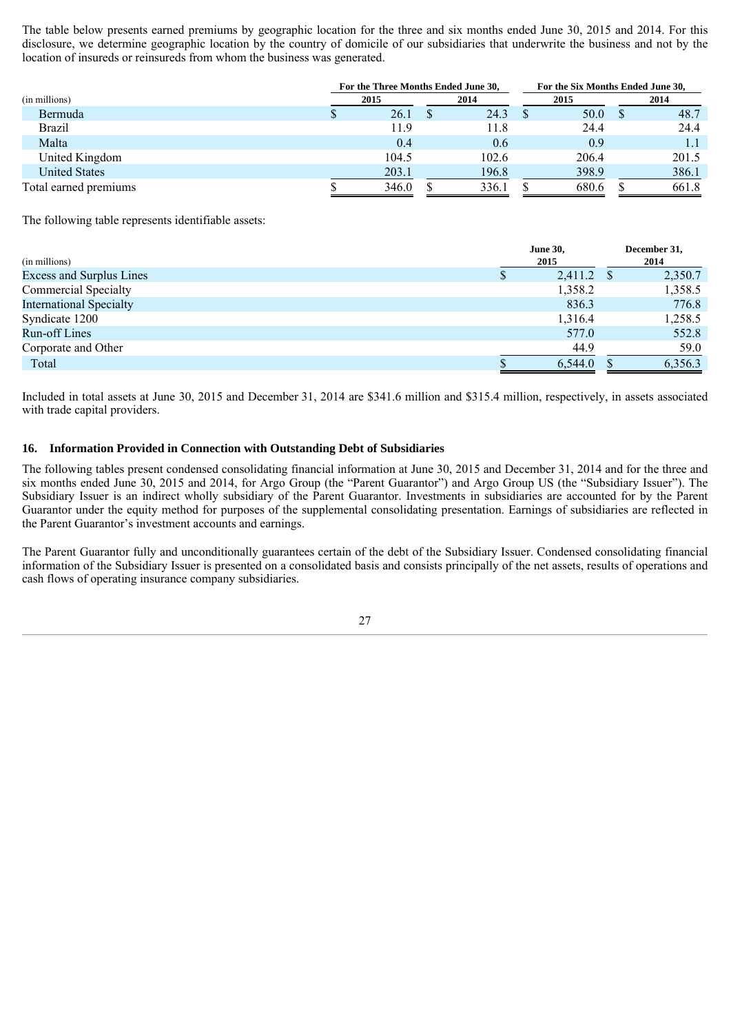The table below presents earned premiums by geographic location for the three and six months ended June 30, 2015 and 2014. For this disclosure, we determine geographic location by the country of domicile of our subsidiaries that underwrite the business and not by the location of insureds or reinsureds from whom the business was generated.

|                       | For the Three Months Ended June 30, |  | For the Six Months Ended June 30. |       |  |       |
|-----------------------|-------------------------------------|--|-----------------------------------|-------|--|-------|
| (in millions)         | 2015                                |  | 2014                              | 2015  |  | 2014  |
| Bermuda               | 26.1                                |  | 24.3                              | 50.0  |  | 48.7  |
| Brazil                | 11.9                                |  | 11.8                              | 24.4  |  | 24.4  |
| Malta                 | 0.4                                 |  | 0.6                               | 0.9   |  |       |
| United Kingdom        | 104.5                               |  | 102.6                             | 206.4 |  | 201.5 |
| <b>United States</b>  | 203.1                               |  | 196.8                             | 398.9 |  | 386.1 |
| Total earned premiums | 346.0                               |  | 336.1                             | 680.6 |  | 661.8 |

The following table represents identifiable assets:

| (in millions)                   |   | <b>June 30,</b><br>2015 | December 31,<br>2014 |
|---------------------------------|---|-------------------------|----------------------|
| <b>Excess and Surplus Lines</b> | Φ | 2,411.2                 | 2,350.7              |
| <b>Commercial Specialty</b>     |   | 1,358.2                 | 1,358.5              |
| <b>International Specialty</b>  |   | 836.3                   | 776.8                |
| Syndicate 1200                  |   | 1,316.4                 | 1,258.5              |
| <b>Run-off Lines</b>            |   | 577.0                   | 552.8                |
| Corporate and Other             |   | 44.9                    | 59.0                 |
| Total                           |   | 6,544.0                 | 6,356.3              |

Included in total assets at June 30, 2015 and December 31, 2014 are \$341.6 million and \$315.4 million, respectively, in assets associated with trade capital providers.

### **16. Information Provided in Connection with Outstanding Debt of Subsidiaries**

The following tables present condensed consolidating financial information at June 30, 2015 and December 31, 2014 and for the three and six months ended June 30, 2015 and 2014, for Argo Group (the "Parent Guarantor") and Argo Group US (the "Subsidiary Issuer"). The Subsidiary Issuer is an indirect wholly subsidiary of the Parent Guarantor. Investments in subsidiaries are accounted for by the Parent Guarantor under the equity method for purposes of the supplemental consolidating presentation. Earnings of subsidiaries are reflected in the Parent Guarantor's investment accounts and earnings.

The Parent Guarantor fully and unconditionally guarantees certain of the debt of the Subsidiary Issuer. Condensed consolidating financial information of the Subsidiary Issuer is presented on a consolidated basis and consists principally of the net assets, results of operations and cash flows of operating insurance company subsidiaries.

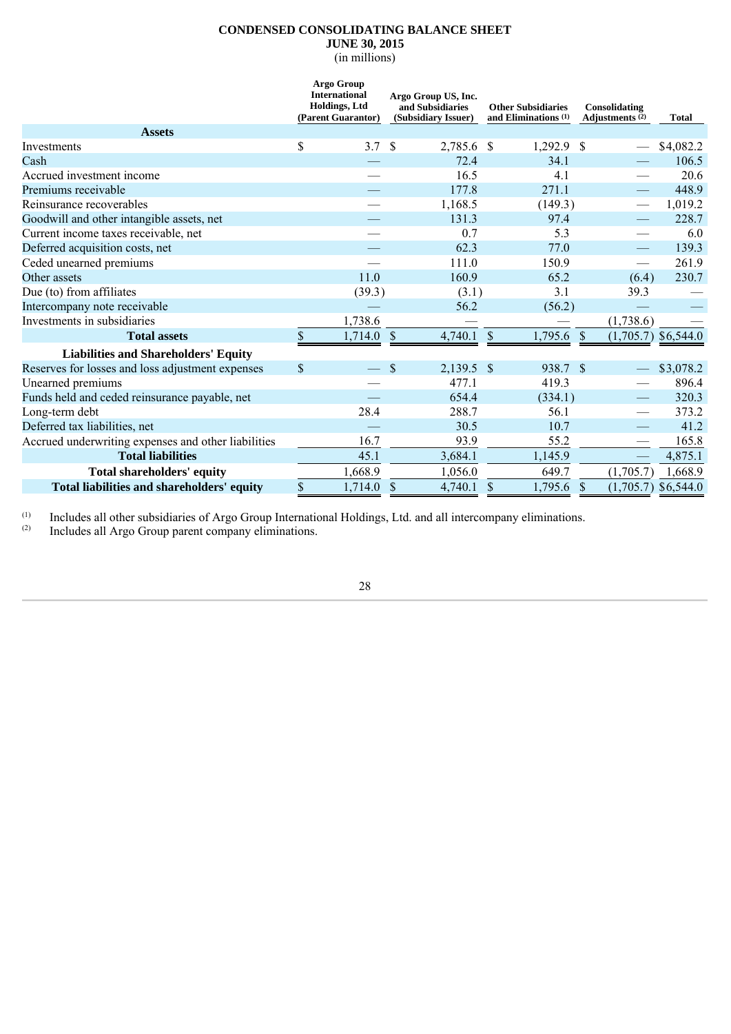# **CONDENSED CONSOLIDATING BALANCE SHEET JUNE 30, 2015**

(in millions)

|                                                     | <b>Argo Group</b><br><b>International</b><br><b>Holdings</b> , Ltd<br>(Parent Guarantor) | Argo Group US, Inc.<br>and Subsidiaries<br>(Subsidiary Issuer) | <b>Other Subsidiaries</b><br>and Eliminations $(1)$ | Consolidating<br>Adjustments <sup>(2)</sup> | <b>Total</b>          |
|-----------------------------------------------------|------------------------------------------------------------------------------------------|----------------------------------------------------------------|-----------------------------------------------------|---------------------------------------------|-----------------------|
| <b>Assets</b>                                       |                                                                                          |                                                                |                                                     |                                             |                       |
| Investments                                         | $\mathsf{\$}$<br>3.7                                                                     | -\$<br>2,785.6 \$                                              | 1,292.9                                             | <sup>\$</sup>                               | \$4,082.2             |
| Cash                                                |                                                                                          | 72.4                                                           | 34.1                                                |                                             | 106.5                 |
| Accrued investment income                           |                                                                                          | 16.5                                                           | 4.1                                                 |                                             | 20.6                  |
| Premiums receivable                                 |                                                                                          | 177.8                                                          | 271.1                                               | $\frac{1}{1}$                               | 448.9                 |
| Reinsurance recoverables                            |                                                                                          | 1,168.5                                                        | (149.3)                                             |                                             | 1,019.2               |
| Goodwill and other intangible assets, net           |                                                                                          | 131.3                                                          | 97.4                                                |                                             | 228.7                 |
| Current income taxes receivable, net                |                                                                                          | 0.7                                                            | 5.3                                                 |                                             | 6.0                   |
| Deferred acquisition costs, net                     |                                                                                          | 62.3                                                           | 77.0                                                |                                             | 139.3                 |
| Ceded unearned premiums                             |                                                                                          | 111.0                                                          | 150.9                                               |                                             | 261.9                 |
| Other assets                                        | 11.0                                                                                     | 160.9                                                          | 65.2                                                | (6.4)                                       | 230.7                 |
| Due (to) from affiliates                            | (39.3)                                                                                   | (3.1)                                                          | 3.1                                                 | 39.3                                        |                       |
| Intercompany note receivable                        |                                                                                          | 56.2                                                           | (56.2)                                              |                                             |                       |
| Investments in subsidiaries                         | 1,738.6                                                                                  |                                                                |                                                     | (1,738.6)                                   |                       |
| <b>Total assets</b>                                 | \$<br>1,714.0                                                                            | 4,740.1<br><sup>S</sup>                                        | $\mathcal{S}$<br>1,795.6                            | $\mathbb{S}$                                | $(1,705.7)$ \$6,544.0 |
| <b>Liabilities and Shareholders' Equity</b>         |                                                                                          |                                                                |                                                     |                                             |                       |
| Reserves for losses and loss adjustment expenses    | $\boldsymbol{\mathsf{S}}$                                                                | $\mathcal{S}$<br>2,139.5                                       | $\sqrt{S}$<br>938.7 \$                              |                                             | \$3,078.2             |
| Unearned premiums                                   |                                                                                          | 477.1                                                          | 419.3                                               |                                             | 896.4                 |
| Funds held and ceded reinsurance payable, net       |                                                                                          | 654.4                                                          | (334.1)                                             |                                             | 320.3                 |
| Long-term debt                                      | 28.4                                                                                     | 288.7                                                          | 56.1                                                |                                             | 373.2                 |
| Deferred tax liabilities, net                       |                                                                                          | 30.5                                                           | 10.7                                                |                                             | 41.2                  |
| Accrued underwriting expenses and other liabilities | 16.7                                                                                     | 93.9                                                           | 55.2                                                | $\overline{\phantom{0}}$                    | 165.8                 |
| <b>Total liabilities</b>                            | 45.1                                                                                     | 3,684.1                                                        | 1,145.9                                             |                                             | 4,875.1               |
| <b>Total shareholders' equity</b>                   | 1,668.9                                                                                  | 1,056.0                                                        | 649.7                                               | (1,705.7)                                   | 1,668.9               |
| Total liabilities and shareholders' equity          | \$<br>1,714.0                                                                            | 4,740.1<br>$\mathcal{S}$                                       | S<br>1,795.6                                        | <sup>S</sup><br>$(1,705.7)$ \$6,544.0       |                       |

 $(1)$ (1) Includes all other subsidiaries of Argo Group International Holdings, Ltd. and all intercompany eliminations.

(2) Includes all Argo Group parent company eliminations.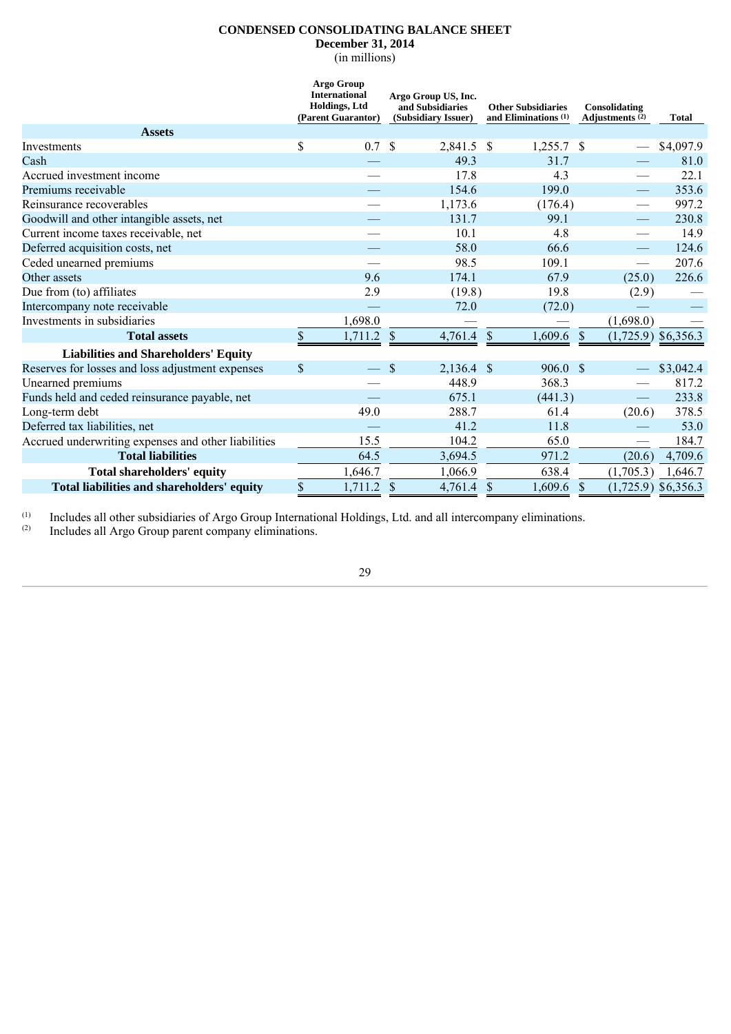# **CONDENSED CONSOLIDATING BALANCE SHEET December 31, 2014**

(in millions)

|                                                     | <b>Argo Group</b><br><b>International</b><br>Holdings, Ltd<br>(Parent Guarantor) |               | Argo Group US, Inc.<br>and Subsidiaries<br>(Subsidiary Issuer) | <b>Other Subsidiaries</b><br>and Eliminations $(1)$ | Consolidating<br>Adjustments <sup>(2)</sup> | <b>Total</b> |
|-----------------------------------------------------|----------------------------------------------------------------------------------|---------------|----------------------------------------------------------------|-----------------------------------------------------|---------------------------------------------|--------------|
| <b>Assets</b>                                       |                                                                                  |               |                                                                |                                                     |                                             |              |
| Investments                                         | \$<br>0.7                                                                        | -\$           | 2,841.5 \$                                                     | 1,255.7                                             | -S                                          | \$4,097.9    |
| Cash                                                |                                                                                  |               | 49.3                                                           | 31.7                                                |                                             | 81.0         |
| Accrued investment income                           |                                                                                  |               | 17.8                                                           | 4.3                                                 |                                             | 22.1         |
| Premiums receivable                                 |                                                                                  |               | 154.6                                                          | 199.0                                               | $\overline{\phantom{m}}$                    | 353.6        |
| Reinsurance recoverables                            |                                                                                  |               | 1,173.6                                                        | (176.4)                                             |                                             | 997.2        |
| Goodwill and other intangible assets, net           | -                                                                                |               | 131.7                                                          | 99.1                                                |                                             | 230.8        |
| Current income taxes receivable, net                |                                                                                  |               | 10.1                                                           | 4.8                                                 | $\overbrace{\hspace{27mm}}$                 | 14.9         |
| Deferred acquisition costs, net                     |                                                                                  |               | 58.0                                                           | 66.6                                                |                                             | 124.6        |
| Ceded unearned premiums                             |                                                                                  |               | 98.5                                                           | 109.1                                               | $\overbrace{\qquad \qquad }^{}$             | 207.6        |
| Other assets                                        | 9.6                                                                              |               | 174.1                                                          | 67.9                                                | (25.0)                                      | 226.6        |
| Due from (to) affiliates                            | 2.9                                                                              |               | (19.8)                                                         | 19.8                                                | (2.9)                                       |              |
| Intercompany note receivable                        |                                                                                  |               | 72.0                                                           | (72.0)                                              |                                             |              |
| Investments in subsidiaries                         | 1,698.0                                                                          |               |                                                                |                                                     | (1,698.0)                                   |              |
| <b>Total assets</b>                                 | \$<br>1,711.2                                                                    | <sup>\$</sup> | 4,761.4                                                        | 1,609.6<br>$\mathbb{S}$                             | $(1,725.9)$ \$6,356.3<br>$\mathbb{S}$       |              |
| <b>Liabilities and Shareholders' Equity</b>         |                                                                                  |               |                                                                |                                                     |                                             |              |
| Reserves for losses and loss adjustment expenses    | \$<br>$-$ \$                                                                     |               | 2,136.4                                                        | 906.0<br><sup>\$</sup>                              | $\mathcal{S}$                               | \$3,042.4    |
| Unearned premiums                                   |                                                                                  |               | 448.9                                                          | 368.3                                               |                                             | 817.2        |
| Funds held and ceded reinsurance payable, net       |                                                                                  |               | 675.1                                                          | (441.3)                                             |                                             | 233.8        |
| Long-term debt                                      | 49.0                                                                             |               | 288.7                                                          | 61.4                                                | (20.6)                                      | 378.5        |
| Deferred tax liabilities, net                       |                                                                                  |               | 41.2                                                           | 11.8                                                |                                             | 53.0         |
| Accrued underwriting expenses and other liabilities | 15.5                                                                             |               | 104.2                                                          | 65.0                                                |                                             | 184.7        |
| <b>Total liabilities</b>                            | 64.5                                                                             |               | 3,694.5                                                        | 971.2                                               | (20.6)                                      | 4,709.6      |
| <b>Total shareholders' equity</b>                   | 1,646.7                                                                          |               | 1,066.9                                                        | 638.4                                               | (1,705.3)                                   | 1,646.7      |
| Total liabilities and shareholders' equity          | \$<br>1,711.2                                                                    | $\mathcal{S}$ | 4,761.4                                                        | \$<br>1,609.6                                       | $(1,725.9)$ \$6,356.3<br>\$                 |              |

 $(1)$ (1) Includes all other subsidiaries of Argo Group International Holdings, Ltd. and all intercompany eliminations.<br>(2) Includes all Argo Group parent company eliminations

Includes all Argo Group parent company eliminations.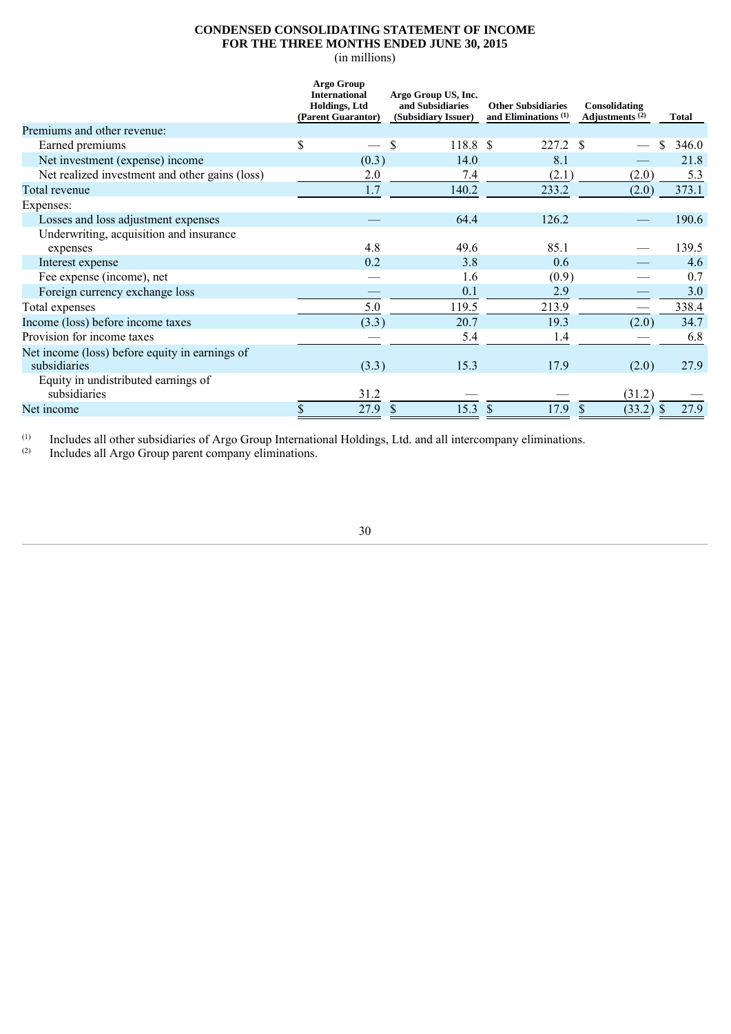# **CONDENSED CONSOLIDATING STATEMENT OF INCOME FOR THE THREE MONTHS ENDED JUNE 30, 2015**

(in millions)

|                                                                | Argo Group<br><b>International</b><br><b>Holdings</b> , Ltd<br>(Parent Guarantor) | Argo Group US, Inc.<br>and Subsidiaries<br>(Subsidiary Issuer) | <b>Other Subsidiaries</b><br>and Eliminations $(1)$ | Consolidating<br>Adjustments $(2)$<br><b>Total</b> |
|----------------------------------------------------------------|-----------------------------------------------------------------------------------|----------------------------------------------------------------|-----------------------------------------------------|----------------------------------------------------|
| Premiums and other revenue:                                    |                                                                                   |                                                                |                                                     |                                                    |
| Earned premiums                                                | \$                                                                                | \$<br>118.8 \$                                                 | 227.2                                               | \$<br>346.0<br>-S                                  |
| Net investment (expense) income                                | (0.3)                                                                             | 14.0                                                           | 8.1                                                 | 21.8                                               |
| Net realized investment and other gains (loss)                 | 2.0                                                                               | 7.4                                                            | (2.1)                                               | 5.3<br>(2.0)                                       |
| Total revenue                                                  | 1.7                                                                               | 140.2                                                          | 233.2                                               | 373.1<br>(2.0)                                     |
| Expenses:                                                      |                                                                                   |                                                                |                                                     |                                                    |
| Losses and loss adjustment expenses                            |                                                                                   | 64.4                                                           | 126.2                                               | 190.6                                              |
| Underwriting, acquisition and insurance                        |                                                                                   |                                                                |                                                     |                                                    |
| expenses                                                       | 4.8                                                                               | 49.6                                                           | 85.1                                                | 139.5                                              |
| Interest expense                                               | 0.2                                                                               | 3.8                                                            | 0.6                                                 | 4.6                                                |
| Fee expense (income), net                                      |                                                                                   | 1.6                                                            | (0.9)                                               | 0.7                                                |
| Foreign currency exchange loss                                 |                                                                                   | 0.1                                                            | 2.9                                                 | 3.0                                                |
| Total expenses                                                 | 5.0                                                                               | 119.5                                                          | 213.9                                               | 338.4                                              |
| Income (loss) before income taxes                              | (3.3)                                                                             | 20.7                                                           | 19.3                                                | (2.0)<br>34.7                                      |
| Provision for income taxes                                     |                                                                                   | 5.4                                                            | 1.4                                                 | 6.8                                                |
| Net income (loss) before equity in earnings of<br>subsidiaries | (3.3)                                                                             | 15.3                                                           | 17.9                                                | 27.9<br>(2.0)                                      |
| Equity in undistributed earnings of<br>subsidiaries            | 31.2                                                                              |                                                                |                                                     | (31.2)                                             |
| Net income                                                     | \$<br>27.9                                                                        | 15.3<br>\$                                                     | \$<br>17.9                                          | 27.9<br>\$<br>(33.2)                               |

 $(1)$ (1) Includes all other subsidiaries of Argo Group International Holdings, Ltd. and all intercompany eliminations.<br>
[2] Includes all Argo Group parent company eliminations

Includes all Argo Group parent company eliminations.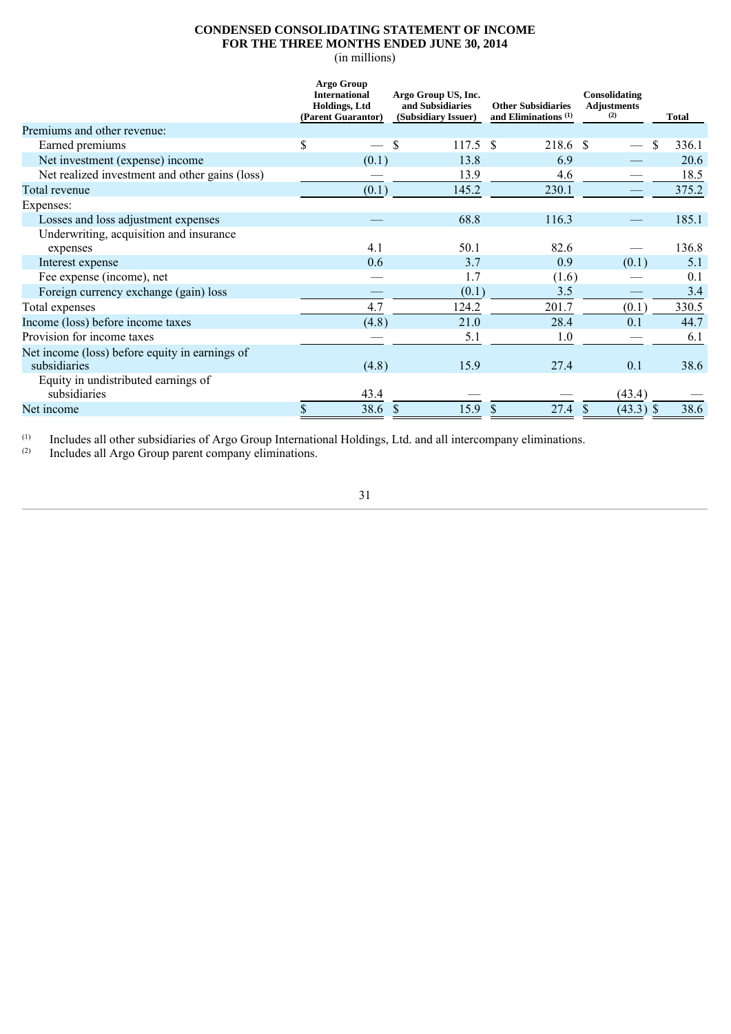### **CONDENSED CONSOLIDATING STATEMENT OF INCOME FOR THE THREE MONTHS ENDED JUNE 30, 2014**  (in millions)

**Argo Group International Holdings, Ltd (Parent Guarantor) Argo Group US, Inc. and Subsidiaries (Subsidiary Issuer) Other Subsidiaries and Eliminations (1) Consolidating Adjustments (2) Total**  Premiums and other revenue: Earned premiums  $\begin{array}{ccccccc} \text{5} & \text{5} & \text{5} & \text{117.5} & \text{218.6} & \text{5} & \text{5} & \text{336.1} \\ \end{array}$ Net investment (expense) income (0.1) 13.8 6.9 — 20.6 Net realized investment and other gains (loss)  $-$  13.9  $4.6$   $-$  18.5 Total revenue  $(0.1)$  145.2  $230.1$   $-$  375.2 Expenses: Losses and loss adjustment expenses — 68.8 116.3 — 185.1 Underwriting, acquisition and insurance expenses 4.1 50.1 82.6 — 136.8 Interest expense  $0.6$   $3.7$   $0.9$   $(0.1)$   $5.1$ Fee expense (income), net  $-$  1.7 (1.6)  $-$  0.1 Foreign currency exchange (gain) loss  $(0.1)$   $3.5$   $3.4$ Total expenses 201.7 (0.1) 330.5 Income (loss) before income taxes (4.8) 21.0 28.4 0.1 44.7 Provision for income taxes  $-$  5.1  $1.0 - 6.1$ Net income (loss) before equity in earnings of subsidiaries (4.8) 15.9 27.4 0.1 38.6 Equity in undistributed earnings of subsidiaries  $43.4$   $(43.4)$   $-$ Net income 5 38.6 \$ 15.9 \$ 27.4 \$ (43.3) \$ 38.6

 $(1)$ (1) Includes all other subsidiaries of Argo Group International Holdings, Ltd. and all intercompany eliminations.<br>  $\frac{1}{2}$  Includes all Argo Group parent company eliminations.

Includes all Argo Group parent company eliminations.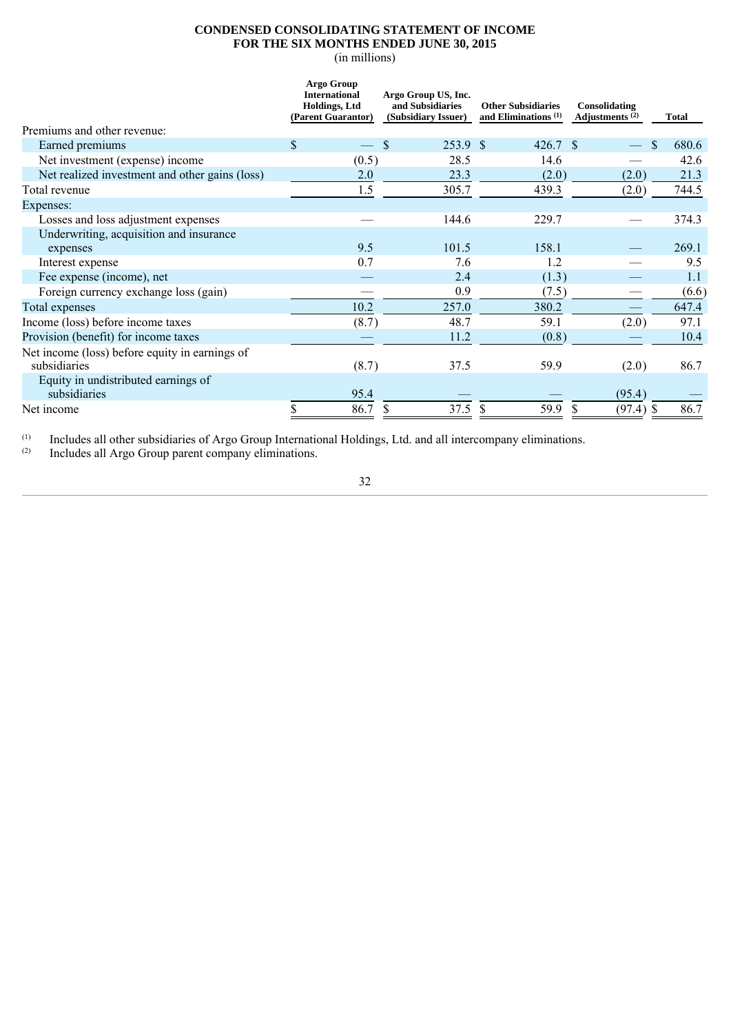# **CONDENSED CONSOLIDATING STATEMENT OF INCOME FOR THE SIX MONTHS ENDED JUNE 30, 2015**

(in millions)

|                                                     |                    | Argo Group<br><b>International</b><br>Holdings, Ltd<br>(Parent Guarantor) | Argo Group US, Inc.<br>and Subsidiaries<br>(Subsidiary Issuer) | <b>Other Subsidiaries</b><br>and Eliminations $(1)$ | Consolidating<br>Adjustments $(2)$ | Total        |
|-----------------------------------------------------|--------------------|---------------------------------------------------------------------------|----------------------------------------------------------------|-----------------------------------------------------|------------------------------------|--------------|
| Premiums and other revenue:                         |                    |                                                                           |                                                                |                                                     |                                    |              |
| Earned premiums                                     | $\mathbf{\hat{S}}$ |                                                                           | 253.9 \$                                                       | 426.7 \$                                            |                                    | 680.6<br>\$. |
| Net investment (expense) income                     |                    | (0.5)                                                                     | 28.5                                                           | 14.6                                                |                                    | 42.6         |
| Net realized investment and other gains (loss)      |                    | 2.0                                                                       | 23.3                                                           | (2.0)                                               | (2.0)                              | 21.3         |
| Total revenue                                       |                    | 1.5                                                                       | 305.7                                                          | 439.3                                               | (2.0)                              | 744.5        |
| Expenses:                                           |                    |                                                                           |                                                                |                                                     |                                    |              |
| Losses and loss adjustment expenses                 |                    |                                                                           | 144.6                                                          | 229.7                                               |                                    | 374.3        |
| Underwriting, acquisition and insurance             |                    |                                                                           |                                                                |                                                     |                                    |              |
| expenses                                            |                    | 9.5                                                                       | 101.5                                                          | 158.1                                               |                                    | 269.1        |
| Interest expense                                    |                    | 0.7                                                                       | 7.6                                                            | 1.2                                                 |                                    | 9.5          |
| Fee expense (income), net                           |                    |                                                                           | 2.4                                                            | (1.3)                                               |                                    | 1.1          |
| Foreign currency exchange loss (gain)               |                    |                                                                           | 0.9                                                            | (7.5)                                               |                                    | (6.6)        |
| Total expenses                                      |                    | 10.2                                                                      | 257.0                                                          | 380.2                                               |                                    | 647.4        |
| Income (loss) before income taxes                   |                    | (8.7)                                                                     | 48.7                                                           | 59.1                                                | (2.0)                              | 97.1         |
| Provision (benefit) for income taxes                |                    |                                                                           | 11.2                                                           | (0.8)                                               |                                    | 10.4         |
| Net income (loss) before equity in earnings of      |                    |                                                                           |                                                                |                                                     |                                    |              |
| subsidiaries                                        |                    | (8.7)                                                                     | 37.5                                                           | 59.9                                                | (2.0)                              | 86.7         |
| Equity in undistributed earnings of<br>subsidiaries |                    | 95.4                                                                      |                                                                |                                                     | (95.4)                             |              |
| Net income                                          |                    | 86.7                                                                      | 37.5                                                           | 59.9                                                | \$.<br>(97.4)                      | 86.7         |

 $(1)$ (1) Includes all other subsidiaries of Argo Group International Holdings, Ltd. and all intercompany eliminations.<br>
Includes all Argo Group parent company eliminations

Includes all Argo Group parent company eliminations.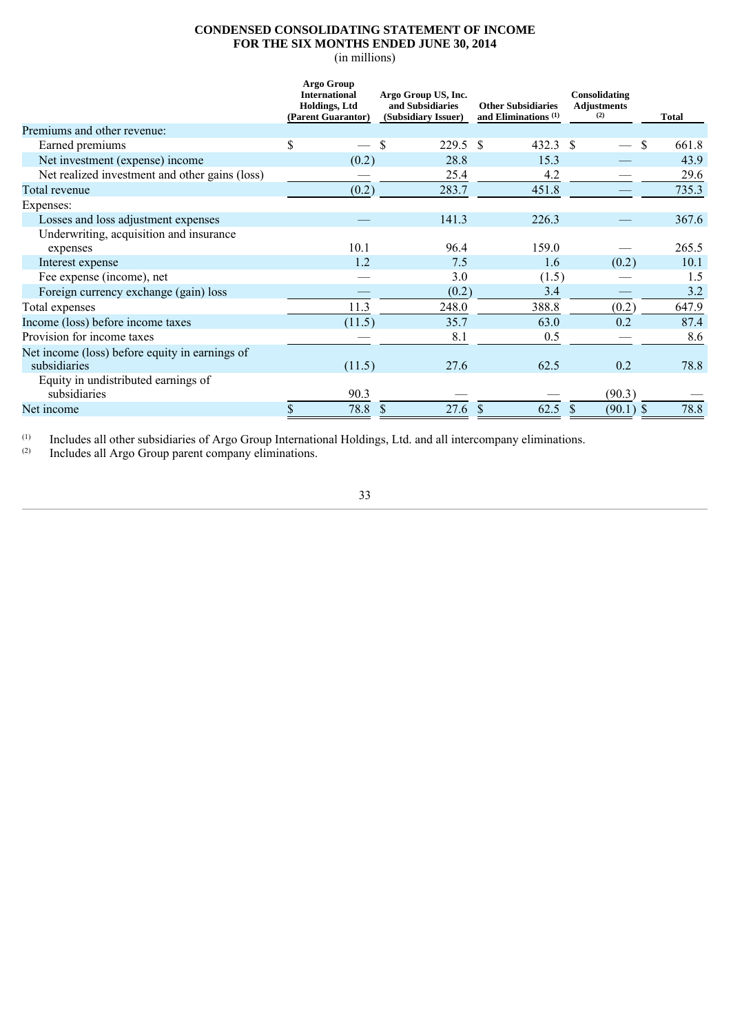# **CONDENSED CONSOLIDATING STATEMENT OF INCOME FOR THE SIX MONTHS ENDED JUNE 30, 2014**

(in millions)

|                                                                | Argo Group<br><b>International</b><br>Holdings, Ltd<br>(Parent Guarantor) | Argo Group US, Inc.<br>and Subsidiaries<br>(Subsidiary Issuer) |             | Consolidating<br><b>Adjustments</b><br>(2) | <b>Total</b>           |
|----------------------------------------------------------------|---------------------------------------------------------------------------|----------------------------------------------------------------|-------------|--------------------------------------------|------------------------|
| Premiums and other revenue:                                    |                                                                           |                                                                |             |                                            |                        |
| Earned premiums                                                | \$                                                                        | \$<br>229.5                                                    | -S<br>432.3 | -S                                         | <sup>\$</sup><br>661.8 |
| Net investment (expense) income                                | (0.2)                                                                     | 28.8                                                           | 15.3        |                                            | 43.9                   |
| Net realized investment and other gains (loss)                 |                                                                           | 25.4                                                           | 4.2         |                                            | 29.6                   |
| Total revenue                                                  | (0.2)                                                                     | 283.7                                                          | 451.8       |                                            | 735.3                  |
| Expenses:                                                      |                                                                           |                                                                |             |                                            |                        |
| Losses and loss adjustment expenses                            |                                                                           | 141.3                                                          | 226.3       |                                            | 367.6                  |
| Underwriting, acquisition and insurance                        |                                                                           |                                                                |             |                                            |                        |
| expenses                                                       | 10.1                                                                      | 96.4                                                           | 159.0       |                                            | 265.5                  |
| Interest expense                                               | 1.2                                                                       | 7.5                                                            | 1.6         | (0.2)                                      | 10.1                   |
| Fee expense (income), net                                      |                                                                           | 3.0                                                            | (1.5)       |                                            | 1.5                    |
| Foreign currency exchange (gain) loss                          |                                                                           | (0.2)                                                          | 3.4         |                                            | 3.2                    |
| Total expenses                                                 | 11.3                                                                      | 248.0                                                          | 388.8       | (0.2)                                      | 647.9                  |
| Income (loss) before income taxes                              | (11.5)                                                                    | 35.7                                                           | 63.0        | 0.2                                        | 87.4                   |
| Provision for income taxes                                     |                                                                           | 8.1                                                            | 0.5         |                                            | 8.6                    |
| Net income (loss) before equity in earnings of<br>subsidiaries | (11.5)                                                                    | 27.6                                                           | 62.5        | 0.2                                        | 78.8                   |
| Equity in undistributed earnings of<br>subsidiaries            | 90.3                                                                      |                                                                |             | (90.3)                                     |                        |
| Net income                                                     | 78.8                                                                      | 27.6<br>\$                                                     | 62.5<br>S   | $(90.1)$ \$<br>\$.                         | 78.8                   |

 $(1)$ (1) Includes all other subsidiaries of Argo Group International Holdings, Ltd. and all intercompany eliminations.<br>
[2] Includes all Argo Group parent company eliminations

Includes all Argo Group parent company eliminations.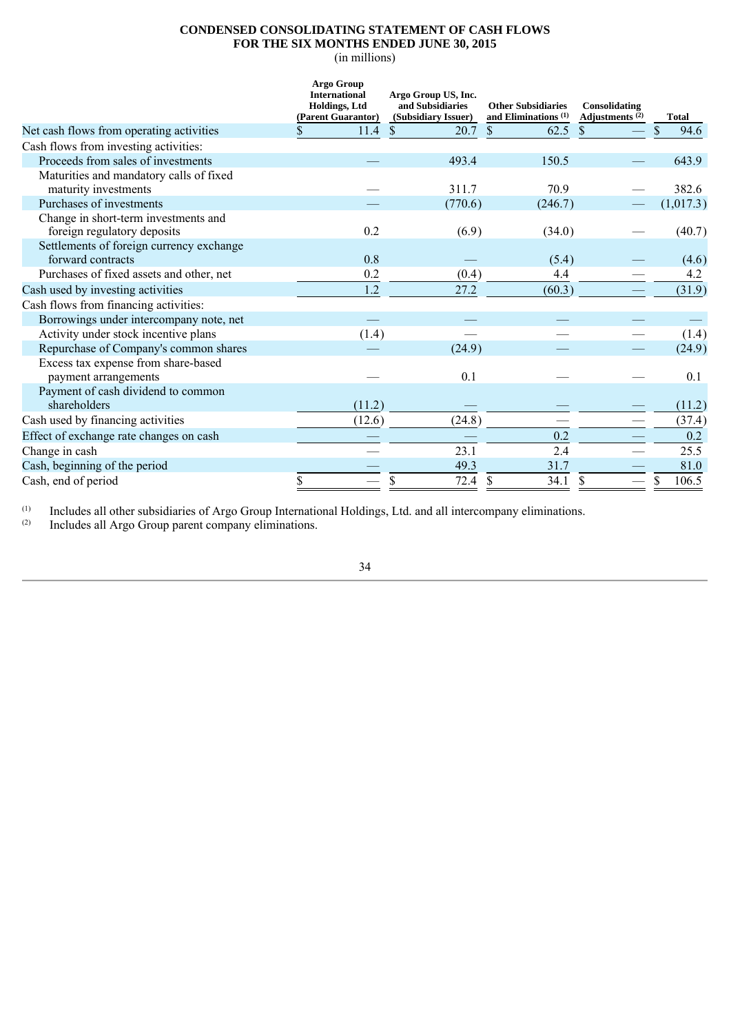# **CONDENSED CONSOLIDATING STATEMENT OF CASH FLOWS FOR THE SIX MONTHS ENDED JUNE 30, 2015**

(in millions)

|                                                                     | <b>Argo Group</b><br><b>International</b><br>Holdings, Ltd | Argo Group US, Inc.<br>and Subsidiaries | <b>Other Subsidiaries</b> | Consolidating                        |                             |
|---------------------------------------------------------------------|------------------------------------------------------------|-----------------------------------------|---------------------------|--------------------------------------|-----------------------------|
|                                                                     | (Parent Guarantor)<br>\$                                   | (Subsidiary Issuer)<br>$\mathcal{S}$    | and Eliminations $(1)$    | Adjustments $(2)$<br><sup>\$</sup>   | <b>Total</b><br>\$.<br>94.6 |
| Net cash flows from operating activities                            | 11.4                                                       | 20.7                                    | $\mathbb{S}$<br>62.5      |                                      |                             |
| Cash flows from investing activities:                               |                                                            |                                         |                           |                                      |                             |
| Proceeds from sales of investments                                  |                                                            | 493.4                                   | 150.5                     |                                      | 643.9                       |
| Maturities and mandatory calls of fixed<br>maturity investments     |                                                            | 311.7                                   | 70.9                      |                                      | 382.6                       |
| Purchases of investments                                            |                                                            | (770.6)                                 | (246.7)                   |                                      | (1,017.3)                   |
| Change in short-term investments and<br>foreign regulatory deposits | 0.2                                                        | (6.9)                                   | (34.0)                    |                                      | (40.7)                      |
| Settlements of foreign currency exchange<br>forward contracts       | 0.8                                                        |                                         | (5.4)                     |                                      | (4.6)                       |
| Purchases of fixed assets and other, net                            | 0.2                                                        | (0.4)                                   | 4.4                       |                                      | 4.2                         |
| Cash used by investing activities                                   | 1.2                                                        | 27.2                                    | (60.3)                    |                                      | (31.9)                      |
| Cash flows from financing activities:                               |                                                            |                                         |                           |                                      |                             |
| Borrowings under intercompany note, net                             |                                                            |                                         |                           |                                      |                             |
| Activity under stock incentive plans                                | (1.4)                                                      |                                         |                           |                                      | (1.4)                       |
| Repurchase of Company's common shares                               |                                                            | (24.9)                                  |                           |                                      | (24.9)                      |
| Excess tax expense from share-based<br>payment arrangements         |                                                            | 0.1                                     |                           |                                      | 0.1                         |
| Payment of cash dividend to common<br>shareholders                  | (11.2)                                                     |                                         |                           |                                      | (11.2)                      |
| Cash used by financing activities                                   | (12.6)                                                     | (24.8)                                  |                           |                                      | (37.4)                      |
| Effect of exchange rate changes on cash                             |                                                            |                                         | 0.2                       |                                      | 0.2                         |
| Change in cash                                                      |                                                            | 23.1                                    | 2.4                       |                                      | 25.5                        |
| Cash, beginning of the period                                       |                                                            | 49.3                                    | 31.7                      |                                      | 81.0                        |
| Cash, end of period                                                 | \$                                                         | \$<br>72.4                              | \$<br>34.1                | \$<br>$\qquad \qquad \longleftarrow$ | 106.5<br>\$                 |

 $(1)$ (1) Includes all other subsidiaries of Argo Group International Holdings, Ltd. and all intercompany eliminations.

(2) Includes all Argo Group parent company eliminations.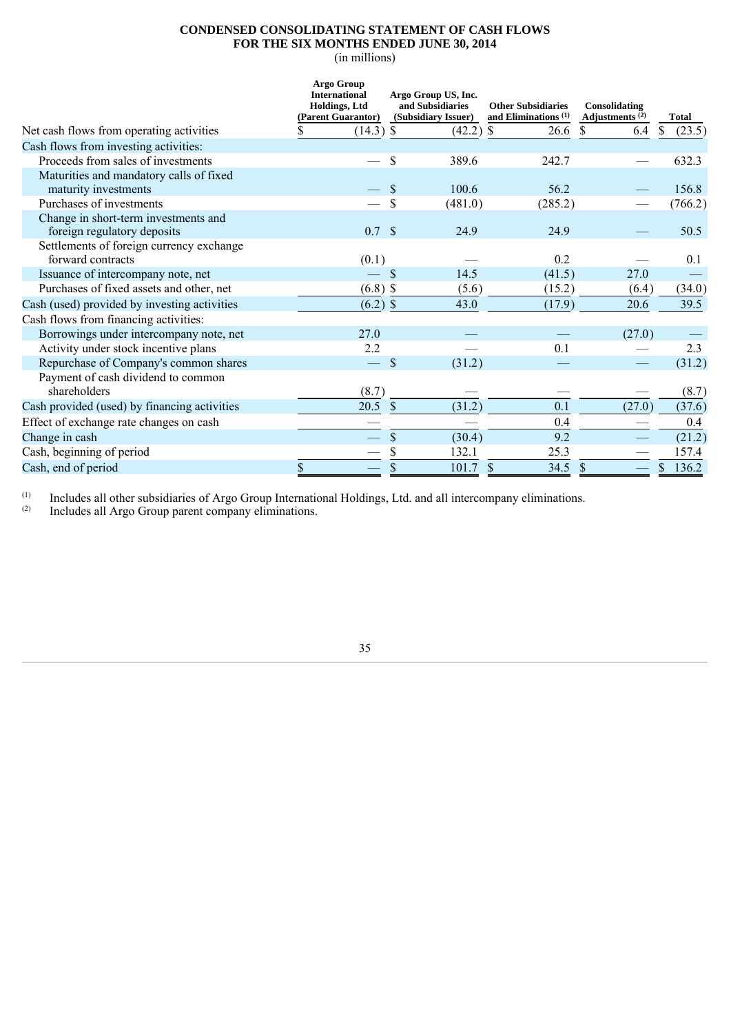# **CONDENSED CONSOLIDATING STATEMENT OF CASH FLOWS FOR THE SIX MONTHS ENDED JUNE 30, 2014**

(in millions)

|                                                                     | <b>Argo Group</b><br><b>International</b><br>Holdings, Ltd<br>(Parent Guarantor) | Argo Group US, Inc.<br>and Subsidiaries<br><b>Other Subsidiaries</b><br>(Subsidiary Issuer)<br>and Eliminations $(1)$ |         | Consolidating<br>Adjustments $(2)$ |                      | <b>Total</b> |         |
|---------------------------------------------------------------------|----------------------------------------------------------------------------------|-----------------------------------------------------------------------------------------------------------------------|---------|------------------------------------|----------------------|--------------|---------|
| Net cash flows from operating activities                            | $(14.3)$ \$                                                                      |                                                                                                                       | (42.2)  | 26.6<br>S                          | <sup>\$</sup><br>6.4 | <sup>S</sup> | (23.5)  |
| Cash flows from investing activities:                               |                                                                                  |                                                                                                                       |         |                                    |                      |              |         |
| Proceeds from sales of investments                                  |                                                                                  | $\boldsymbol{\mathsf{S}}$                                                                                             | 389.6   | 242.7                              |                      |              | 632.3   |
| Maturities and mandatory calls of fixed<br>maturity investments     |                                                                                  | $\mathbf{\hat{s}}$                                                                                                    | 100.6   | 56.2                               |                      |              | 156.8   |
| Purchases of investments                                            |                                                                                  | \$                                                                                                                    | (481.0) | (285.2)                            |                      |              | (766.2) |
| Change in short-term investments and<br>foreign regulatory deposits | 0.7                                                                              | $\mathbf{\hat{s}}$                                                                                                    | 24.9    | 24.9                               |                      |              | 50.5    |
| Settlements of foreign currency exchange<br>forward contracts       | (0.1)                                                                            |                                                                                                                       |         | 0.2                                |                      |              | 0.1     |
| Issuance of intercompany note, net                                  |                                                                                  | <sup>\$</sup>                                                                                                         | 14.5    | (41.5)                             | 27.0                 |              |         |
| Purchases of fixed assets and other, net                            | $(6.8)$ \$                                                                       |                                                                                                                       | (5.6)   | (15.2)                             | (6.4)                |              | (34.0)  |
| Cash (used) provided by investing activities                        | $(6.2)$ \$                                                                       |                                                                                                                       | 43.0    | (17.9)                             | 20.6                 |              | 39.5    |
| Cash flows from financing activities:                               |                                                                                  |                                                                                                                       |         |                                    |                      |              |         |
| Borrowings under intercompany note, net                             | 27.0                                                                             |                                                                                                                       |         |                                    | (27.0)               |              |         |
| Activity under stock incentive plans                                | 2.2                                                                              |                                                                                                                       |         | 0.1                                |                      |              | 2.3     |
| Repurchase of Company's common shares                               | $-$ \$                                                                           |                                                                                                                       | (31.2)  |                                    |                      |              | (31.2)  |
| Payment of cash dividend to common<br>shareholders                  | (8.7)                                                                            |                                                                                                                       |         |                                    |                      |              | (8.7)   |
| Cash provided (used) by financing activities                        | 20.5                                                                             | $\mathcal{S}$                                                                                                         | (31.2)  | 0.1                                | (27.0)               |              | (37.6)  |
| Effect of exchange rate changes on cash                             |                                                                                  |                                                                                                                       |         | 0.4                                |                      |              | 0.4     |
| Change in cash                                                      |                                                                                  | $\mathbf{\$}$                                                                                                         | (30.4)  | 9.2                                |                      |              | (21.2)  |
| Cash, beginning of period                                           |                                                                                  | \$                                                                                                                    | 132.1   | 25.3                               |                      |              | 157.4   |
| Cash, end of period                                                 | \$<br>◆                                                                          | \$                                                                                                                    | 101.7   | 34.5<br>\$                         | $\mathcal{S}$        | \$           | 136.2   |

 $(1)$ (1) Includes all other subsidiaries of Argo Group International Holdings, Ltd. and all intercompany eliminations.<br>  $\frac{1}{2}$  Includes all Argo Group parent company eliminations

Includes all Argo Group parent company eliminations.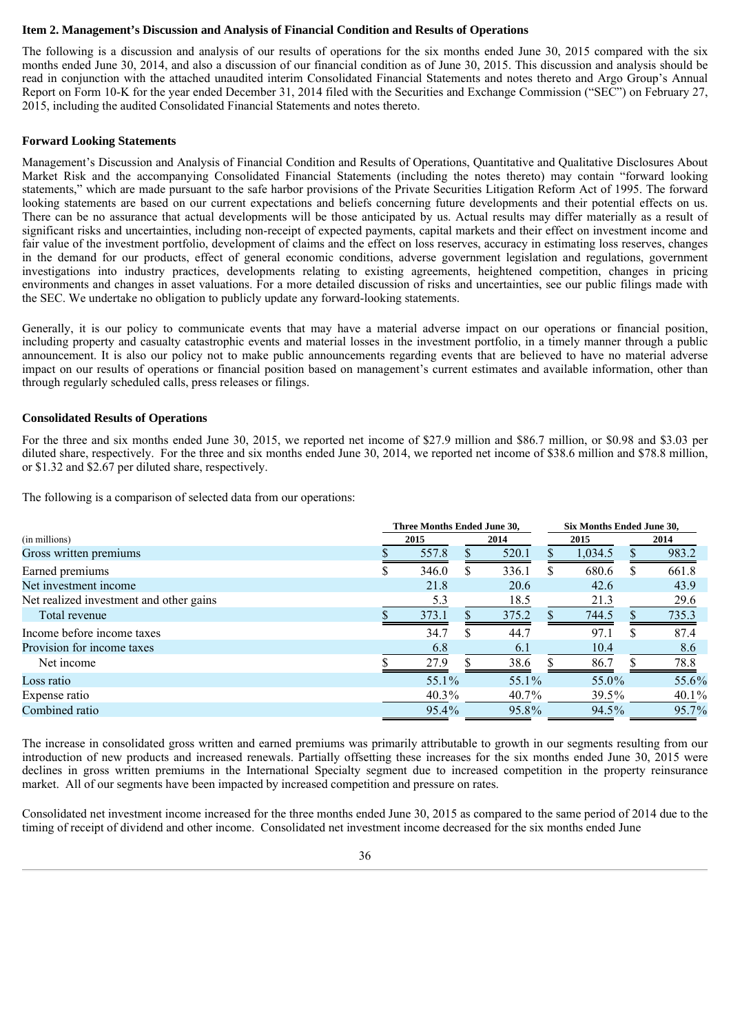### **Item 2. Management's Discussion and Analysis of Financial Condition and Results of Operations**

The following is a discussion and analysis of our results of operations for the six months ended June 30, 2015 compared with the six months ended June 30, 2014, and also a discussion of our financial condition as of June 30, 2015. This discussion and analysis should be read in conjunction with the attached unaudited interim Consolidated Financial Statements and notes thereto and Argo Group's Annual Report on Form 10-K for the year ended December 31, 2014 filed with the Securities and Exchange Commission ("SEC") on February 27, 2015, including the audited Consolidated Financial Statements and notes thereto.

### **Forward Looking Statements**

Management's Discussion and Analysis of Financial Condition and Results of Operations, Quantitative and Qualitative Disclosures About Market Risk and the accompanying Consolidated Financial Statements (including the notes thereto) may contain "forward looking statements," which are made pursuant to the safe harbor provisions of the Private Securities Litigation Reform Act of 1995. The forward looking statements are based on our current expectations and beliefs concerning future developments and their potential effects on us. There can be no assurance that actual developments will be those anticipated by us. Actual results may differ materially as a result of significant risks and uncertainties, including non-receipt of expected payments, capital markets and their effect on investment income and fair value of the investment portfolio, development of claims and the effect on loss reserves, accuracy in estimating loss reserves, changes in the demand for our products, effect of general economic conditions, adverse government legislation and regulations, government investigations into industry practices, developments relating to existing agreements, heightened competition, changes in pricing environments and changes in asset valuations. For a more detailed discussion of risks and uncertainties, see our public filings made with the SEC. We undertake no obligation to publicly update any forward-looking statements.

Generally, it is our policy to communicate events that may have a material adverse impact on our operations or financial position, including property and casualty catastrophic events and material losses in the investment portfolio, in a timely manner through a public announcement. It is also our policy not to make public announcements regarding events that are believed to have no material adverse impact on our results of operations or financial position based on management's current estimates and available information, other than through regularly scheduled calls, press releases or filings.

### **Consolidated Results of Operations**

For the three and six months ended June 30, 2015, we reported net income of \$27.9 million and \$86.7 million, or \$0.98 and \$3.03 per diluted share, respectively. For the three and six months ended June 30, 2014, we reported net income of \$38.6 million and \$78.8 million, or \$1.32 and \$2.67 per diluted share, respectively.

The following is a comparison of selected data from our operations:

|                                         | Three Months Ended June 30, | Six Months Ended June 30, |      |       |  |         |  |       |
|-----------------------------------------|-----------------------------|---------------------------|------|-------|--|---------|--|-------|
| (in millions)                           |                             | 2015                      | 2014 |       |  | 2015    |  | 2014  |
| Gross written premiums                  |                             | 557.8                     |      | 520.1 |  | 1,034.5 |  | 983.2 |
| Earned premiums                         |                             | 346.0                     |      | 336.1 |  | 680.6   |  | 661.8 |
| Net investment income                   |                             | 21.8                      |      | 20.6  |  | 42.6    |  | 43.9  |
| Net realized investment and other gains |                             | 5.3                       |      | 18.5  |  | 21.3    |  | 29.6  |
| Total revenue                           |                             | 373.1                     |      | 375.2 |  | 744.5   |  | 735.3 |
| Income before income taxes              |                             | 34.7                      |      | 44.7  |  | 97.1    |  | 87.4  |
| Provision for income taxes              |                             | 6.8                       |      | 6.1   |  | 10.4    |  | 8.6   |
| Net income                              |                             | 27.9                      |      | 38.6  |  | 86.7    |  | 78.8  |
| Loss ratio                              |                             | 55.1%                     |      | 55.1% |  | 55.0%   |  | 55.6% |
| Expense ratio                           |                             | $40.3\%$                  |      | 40.7% |  | 39.5%   |  | 40.1% |
| Combined ratio                          |                             | 95.4%                     |      | 95.8% |  | 94.5%   |  | 95.7% |

The increase in consolidated gross written and earned premiums was primarily attributable to growth in our segments resulting from our introduction of new products and increased renewals. Partially offsetting these increases for the six months ended June 30, 2015 were declines in gross written premiums in the International Specialty segment due to increased competition in the property reinsurance market. All of our segments have been impacted by increased competition and pressure on rates.

Consolidated net investment income increased for the three months ended June 30, 2015 as compared to the same period of 2014 due to the timing of receipt of dividend and other income. Consolidated net investment income decreased for the six months ended June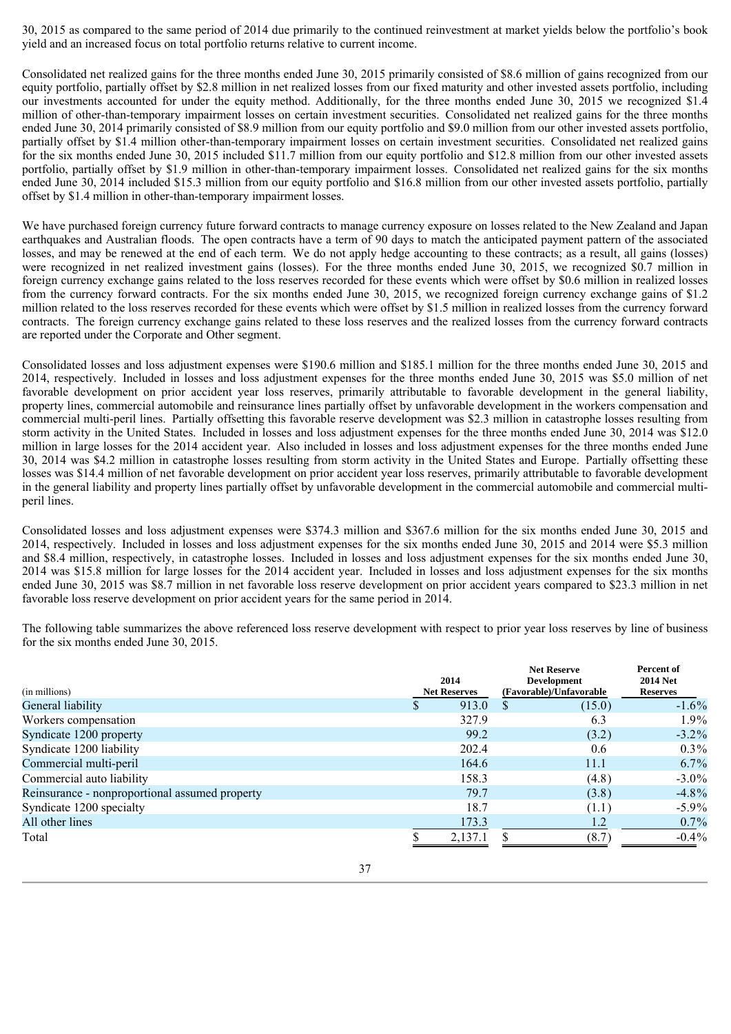30, 2015 as compared to the same period of 2014 due primarily to the continued reinvestment at market yields below the portfolio's book yield and an increased focus on total portfolio returns relative to current income.

Consolidated net realized gains for the three months ended June 30, 2015 primarily consisted of \$8.6 million of gains recognized from our equity portfolio, partially offset by \$2.8 million in net realized losses from our fixed maturity and other invested assets portfolio, including our investments accounted for under the equity method. Additionally, for the three months ended June 30, 2015 we recognized \$1.4 million of other-than-temporary impairment losses on certain investment securities. Consolidated net realized gains for the three months ended June 30, 2014 primarily consisted of \$8.9 million from our equity portfolio and \$9.0 million from our other invested assets portfolio, partially offset by \$1.4 million other-than-temporary impairment losses on certain investment securities. Consolidated net realized gains for the six months ended June 30, 2015 included \$11.7 million from our equity portfolio and \$12.8 million from our other invested assets portfolio, partially offset by \$1.9 million in other-than-temporary impairment losses. Consolidated net realized gains for the six months ended June 30, 2014 included \$15.3 million from our equity portfolio and \$16.8 million from our other invested assets portfolio, partially offset by \$1.4 million in other-than-temporary impairment losses.

We have purchased foreign currency future forward contracts to manage currency exposure on losses related to the New Zealand and Japan earthquakes and Australian floods. The open contracts have a term of 90 days to match the anticipated payment pattern of the associated losses, and may be renewed at the end of each term. We do not apply hedge accounting to these contracts; as a result, all gains (losses) were recognized in net realized investment gains (losses). For the three months ended June 30, 2015, we recognized \$0.7 million in foreign currency exchange gains related to the loss reserves recorded for these events which were offset by \$0.6 million in realized losses from the currency forward contracts. For the six months ended June 30, 2015, we recognized foreign currency exchange gains of \$1.2 million related to the loss reserves recorded for these events which were offset by \$1.5 million in realized losses from the currency forward contracts. The foreign currency exchange gains related to these loss reserves and the realized losses from the currency forward contracts are reported under the Corporate and Other segment.

Consolidated losses and loss adjustment expenses were \$190.6 million and \$185.1 million for the three months ended June 30, 2015 and 2014, respectively. Included in losses and loss adjustment expenses for the three months ended June 30, 2015 was \$5.0 million of net favorable development on prior accident year loss reserves, primarily attributable to favorable development in the general liability, property lines, commercial automobile and reinsurance lines partially offset by unfavorable development in the workers compensation and commercial multi-peril lines. Partially offsetting this favorable reserve development was \$2.3 million in catastrophe losses resulting from storm activity in the United States. Included in losses and loss adjustment expenses for the three months ended June 30, 2014 was \$12.0 million in large losses for the 2014 accident year. Also included in losses and loss adjustment expenses for the three months ended June 30, 2014 was \$4.2 million in catastrophe losses resulting from storm activity in the United States and Europe. Partially offsetting these losses was \$14.4 million of net favorable development on prior accident year loss reserves, primarily attributable to favorable development in the general liability and property lines partially offset by unfavorable development in the commercial automobile and commercial multiperil lines.

Consolidated losses and loss adjustment expenses were \$374.3 million and \$367.6 million for the six months ended June 30, 2015 and 2014, respectively. Included in losses and loss adjustment expenses for the six months ended June 30, 2015 and 2014 were \$5.3 million and \$8.4 million, respectively, in catastrophe losses. Included in losses and loss adjustment expenses for the six months ended June 30, 2014 was \$15.8 million for large losses for the 2014 accident year. Included in losses and loss adjustment expenses for the six months ended June 30, 2015 was \$8.7 million in net favorable loss reserve development on prior accident years compared to \$23.3 million in net favorable loss reserve development on prior accident years for the same period in 2014.

The following table summarizes the above referenced loss reserve development with respect to prior year loss reserves by line of business for the six months ended June 30, 2015.

|                                                |                             | <b>Net Reserve</b>                            | <b>Percent of</b>                  |  |
|------------------------------------------------|-----------------------------|-----------------------------------------------|------------------------------------|--|
| (in millions)                                  | 2014<br><b>Net Reserves</b> | <b>Development</b><br>(Favorable)/Unfavorable | <b>2014 Net</b><br><b>Reserves</b> |  |
|                                                |                             |                                               |                                    |  |
| General liability                              | 913.0                       | (15.0)                                        | $-1.6\%$                           |  |
| Workers compensation                           | 327.9                       | 6.3                                           | 1.9%                               |  |
| Syndicate 1200 property                        | 99.2                        | (3.2)                                         | $-3.2\%$                           |  |
| Syndicate 1200 liability                       | 202.4                       | 0.6                                           | $0.3\%$                            |  |
| Commercial multi-peril                         | 164.6                       | 11.1                                          | $6.7\%$                            |  |
| Commercial auto liability                      | 158.3                       | (4.8)                                         | $-3.0\%$                           |  |
| Reinsurance - nonproportional assumed property | 79.7                        | (3.8)                                         | $-4.8\%$                           |  |
| Syndicate 1200 specialty                       | 18.7                        | (1.1)                                         | $-5.9\%$                           |  |
| All other lines                                | 173.3                       | 1.2                                           | 0.7%                               |  |
| Total                                          | 2,137.1                     | (8.7)                                         | $-0.4\%$                           |  |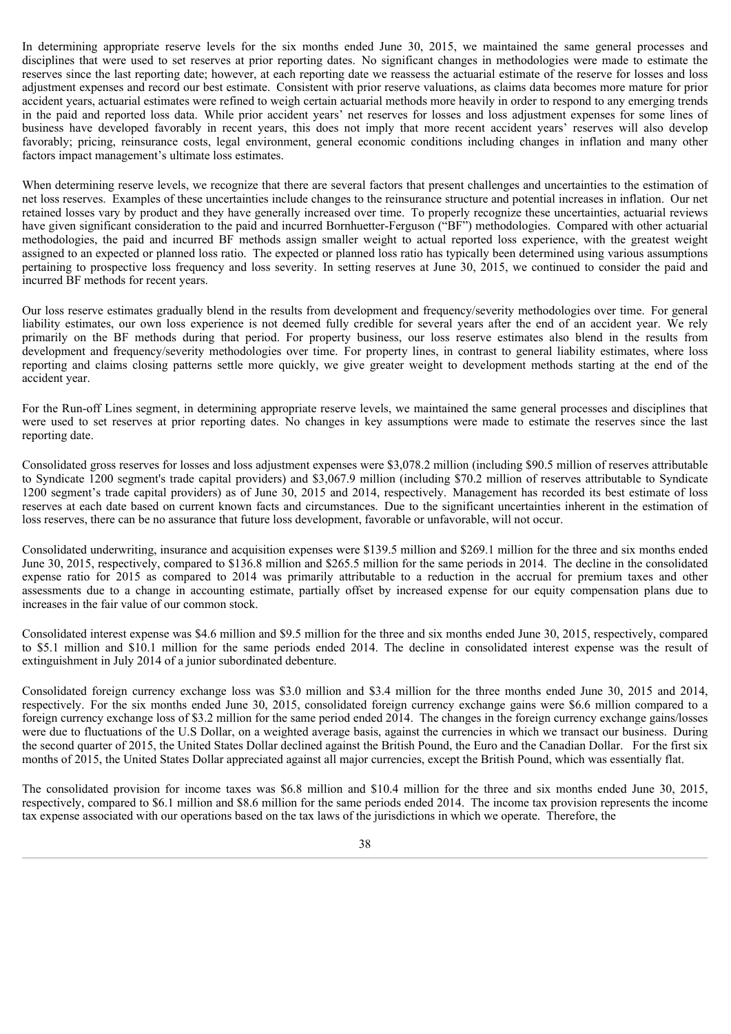In determining appropriate reserve levels for the six months ended June 30, 2015, we maintained the same general processes and disciplines that were used to set reserves at prior reporting dates. No significant changes in methodologies were made to estimate the reserves since the last reporting date; however, at each reporting date we reassess the actuarial estimate of the reserve for losses and loss adjustment expenses and record our best estimate. Consistent with prior reserve valuations, as claims data becomes more mature for prior accident years, actuarial estimates were refined to weigh certain actuarial methods more heavily in order to respond to any emerging trends in the paid and reported loss data. While prior accident years' net reserves for losses and loss adjustment expenses for some lines of business have developed favorably in recent years, this does not imply that more recent accident years' reserves will also develop favorably; pricing, reinsurance costs, legal environment, general economic conditions including changes in inflation and many other factors impact management's ultimate loss estimates.

When determining reserve levels, we recognize that there are several factors that present challenges and uncertainties to the estimation of net loss reserves. Examples of these uncertainties include changes to the reinsurance structure and potential increases in inflation. Our net retained losses vary by product and they have generally increased over time. To properly recognize these uncertainties, actuarial reviews have given significant consideration to the paid and incurred Bornhuetter-Ferguson ("BF") methodologies. Compared with other actuarial methodologies, the paid and incurred BF methods assign smaller weight to actual reported loss experience, with the greatest weight assigned to an expected or planned loss ratio. The expected or planned loss ratio has typically been determined using various assumptions pertaining to prospective loss frequency and loss severity. In setting reserves at June 30, 2015, we continued to consider the paid and incurred BF methods for recent years.

Our loss reserve estimates gradually blend in the results from development and frequency/severity methodologies over time. For general liability estimates, our own loss experience is not deemed fully credible for several years after the end of an accident year. We rely primarily on the BF methods during that period. For property business, our loss reserve estimates also blend in the results from development and frequency/severity methodologies over time. For property lines, in contrast to general liability estimates, where loss reporting and claims closing patterns settle more quickly, we give greater weight to development methods starting at the end of the accident year.

For the Run-off Lines segment, in determining appropriate reserve levels, we maintained the same general processes and disciplines that were used to set reserves at prior reporting dates. No changes in key assumptions were made to estimate the reserves since the last reporting date.

Consolidated gross reserves for losses and loss adjustment expenses were \$3,078.2 million (including \$90.5 million of reserves attributable to Syndicate 1200 segment's trade capital providers) and \$3,067.9 million (including \$70.2 million of reserves attributable to Syndicate 1200 segment's trade capital providers) as of June 30, 2015 and 2014, respectively. Management has recorded its best estimate of loss reserves at each date based on current known facts and circumstances. Due to the significant uncertainties inherent in the estimation of loss reserves, there can be no assurance that future loss development, favorable or unfavorable, will not occur.

Consolidated underwriting, insurance and acquisition expenses were \$139.5 million and \$269.1 million for the three and six months ended June 30, 2015, respectively, compared to \$136.8 million and \$265.5 million for the same periods in 2014. The decline in the consolidated expense ratio for 2015 as compared to 2014 was primarily attributable to a reduction in the accrual for premium taxes and other assessments due to a change in accounting estimate, partially offset by increased expense for our equity compensation plans due to increases in the fair value of our common stock.

Consolidated interest expense was \$4.6 million and \$9.5 million for the three and six months ended June 30, 2015, respectively, compared to \$5.1 million and \$10.1 million for the same periods ended 2014. The decline in consolidated interest expense was the result of extinguishment in July 2014 of a junior subordinated debenture.

Consolidated foreign currency exchange loss was \$3.0 million and \$3.4 million for the three months ended June 30, 2015 and 2014, respectively. For the six months ended June 30, 2015, consolidated foreign currency exchange gains were \$6.6 million compared to a foreign currency exchange loss of \$3.2 million for the same period ended 2014. The changes in the foreign currency exchange gains/losses were due to fluctuations of the U.S Dollar, on a weighted average basis, against the currencies in which we transact our business. During the second quarter of 2015, the United States Dollar declined against the British Pound, the Euro and the Canadian Dollar. For the first six months of 2015, the United States Dollar appreciated against all major currencies, except the British Pound, which was essentially flat.

The consolidated provision for income taxes was \$6.8 million and \$10.4 million for the three and six months ended June 30, 2015, respectively, compared to \$6.1 million and \$8.6 million for the same periods ended 2014. The income tax provision represents the income tax expense associated with our operations based on the tax laws of the jurisdictions in which we operate. Therefore, the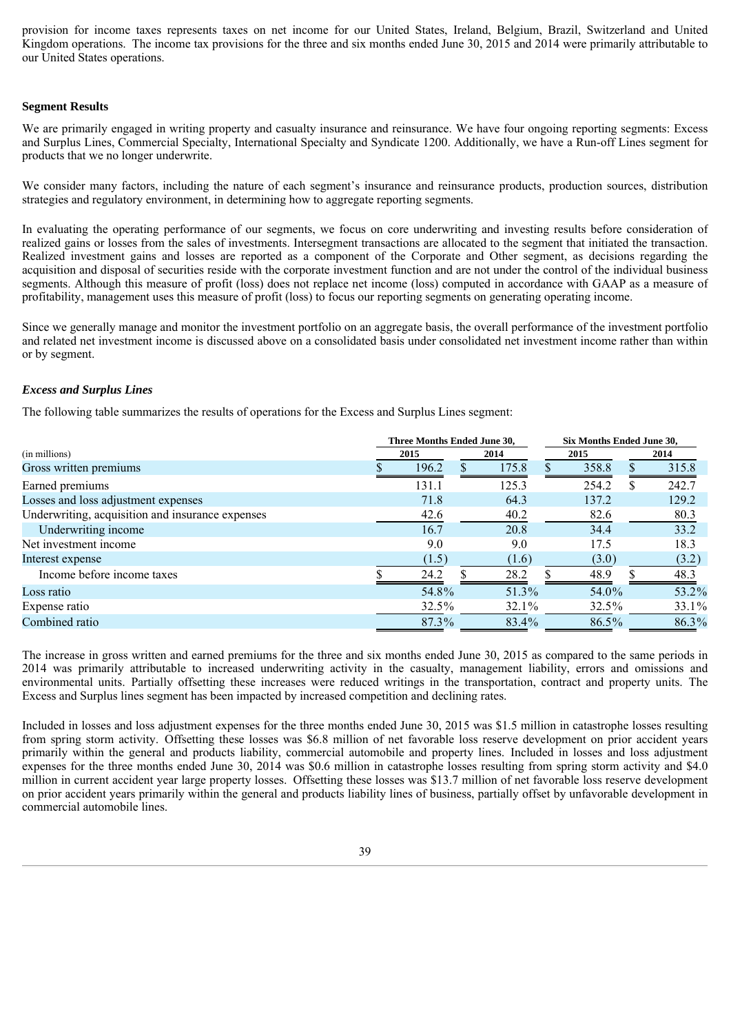provision for income taxes represents taxes on net income for our United States, Ireland, Belgium, Brazil, Switzerland and United Kingdom operations. The income tax provisions for the three and six months ended June 30, 2015 and 2014 were primarily attributable to our United States operations.

### **Segment Results**

We are primarily engaged in writing property and casualty insurance and reinsurance. We have four ongoing reporting segments: Excess and Surplus Lines, Commercial Specialty, International Specialty and Syndicate 1200. Additionally, we have a Run-off Lines segment for products that we no longer underwrite.

We consider many factors, including the nature of each segment's insurance and reinsurance products, production sources, distribution strategies and regulatory environment, in determining how to aggregate reporting segments.

In evaluating the operating performance of our segments, we focus on core underwriting and investing results before consideration of realized gains or losses from the sales of investments. Intersegment transactions are allocated to the segment that initiated the transaction. Realized investment gains and losses are reported as a component of the Corporate and Other segment, as decisions regarding the acquisition and disposal of securities reside with the corporate investment function and are not under the control of the individual business segments. Although this measure of profit (loss) does not replace net income (loss) computed in accordance with GAAP as a measure of profitability, management uses this measure of profit (loss) to focus our reporting segments on generating operating income.

Since we generally manage and monitor the investment portfolio on an aggregate basis, the overall performance of the investment portfolio and related net investment income is discussed above on a consolidated basis under consolidated net investment income rather than within or by segment.

### *Excess and Surplus Lines*

The following table summarizes the results of operations for the Excess and Surplus Lines segment:

|                                                  |  | Three Months Ended June 30, |       | Six Months Ended June 30, |  |       |  |
|--------------------------------------------------|--|-----------------------------|-------|---------------------------|--|-------|--|
| (in millions)                                    |  | 2015                        | 2014  | 2015                      |  | 2014  |  |
| Gross written premiums                           |  | 196.2                       | 175.8 | 358.8                     |  | 315.8 |  |
| Earned premiums                                  |  | 131.1                       | 125.3 | 254.2                     |  | 242.7 |  |
| Losses and loss adjustment expenses              |  | 71.8                        | 64.3  | 137.2                     |  | 129.2 |  |
| Underwriting, acquisition and insurance expenses |  | 42.6                        | 40.2  | 82.6                      |  | 80.3  |  |
| Underwriting income                              |  | 16.7                        | 20.8  | 34.4                      |  | 33.2  |  |
| Net investment income                            |  | 9.0                         | 9.0   | 17.5                      |  | 18.3  |  |
| Interest expense                                 |  | (1.5)                       | (1.6) | (3.0)                     |  | (3.2) |  |
| Income before income taxes                       |  | 24.2                        | 28.2  | 48.9                      |  | 48.3  |  |
| Loss ratio                                       |  | 54.8%                       | 51.3% | 54.0%                     |  | 53.2% |  |
| Expense ratio                                    |  | 32.5%                       | 32.1% | 32.5%                     |  | 33.1% |  |
| Combined ratio                                   |  | 87.3%                       | 83.4% | 86.5%                     |  | 86.3% |  |

The increase in gross written and earned premiums for the three and six months ended June 30, 2015 as compared to the same periods in 2014 was primarily attributable to increased underwriting activity in the casualty, management liability, errors and omissions and environmental units. Partially offsetting these increases were reduced writings in the transportation, contract and property units. The Excess and Surplus lines segment has been impacted by increased competition and declining rates.

Included in losses and loss adjustment expenses for the three months ended June 30, 2015 was \$1.5 million in catastrophe losses resulting from spring storm activity. Offsetting these losses was \$6.8 million of net favorable loss reserve development on prior accident years primarily within the general and products liability, commercial automobile and property lines. Included in losses and loss adjustment expenses for the three months ended June 30, 2014 was \$0.6 million in catastrophe losses resulting from spring storm activity and \$4.0 million in current accident year large property losses. Offsetting these losses was \$13.7 million of net favorable loss reserve development on prior accident years primarily within the general and products liability lines of business, partially offset by unfavorable development in commercial automobile lines.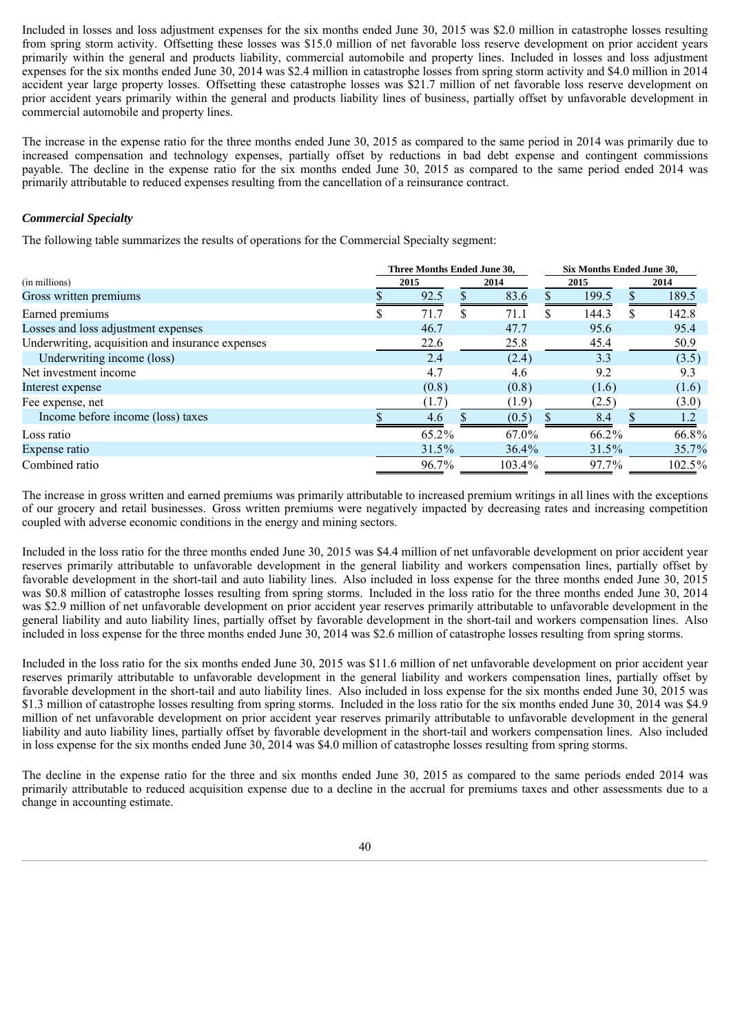Included in losses and loss adjustment expenses for the six months ended June 30, 2015 was \$2.0 million in catastrophe losses resulting from spring storm activity. Offsetting these losses was \$15.0 million of net favorable loss reserve development on prior accident years primarily within the general and products liability, commercial automobile and property lines. Included in losses and loss adjustment expenses for the six months ended June 30, 2014 was \$2.4 million in catastrophe losses from spring storm activity and \$4.0 million in 2014 accident year large property losses. Offsetting these catastrophe losses was \$21.7 million of net favorable loss reserve development on prior accident years primarily within the general and products liability lines of business, partially offset by unfavorable development in commercial automobile and property lines.

The increase in the expense ratio for the three months ended June 30, 2015 as compared to the same period in 2014 was primarily due to increased compensation and technology expenses, partially offset by reductions in bad debt expense and contingent commissions payable. The decline in the expense ratio for the six months ended June 30, 2015 as compared to the same period ended 2014 was primarily attributable to reduced expenses resulting from the cancellation of a reinsurance contract.

## *Commercial Specialty*

The following table summarizes the results of operations for the Commercial Specialty segment:

|                                                  | Three Months Ended June 30, |        |   | Six Months Ended June 30, |  |        |
|--------------------------------------------------|-----------------------------|--------|---|---------------------------|--|--------|
| (in millions)                                    | 2015                        | 2014   |   | 2015                      |  | 2014   |
| Gross written premiums                           | 92.5                        | 83.6   |   | 199.5                     |  | 189.5  |
| Earned premiums                                  | 71.7                        | 71.1   | S | 144.3                     |  | 142.8  |
| Losses and loss adjustment expenses              | 46.7                        | 47.7   |   | 95.6                      |  | 95.4   |
| Underwriting, acquisition and insurance expenses | 22.6                        | 25.8   |   | 45.4                      |  | 50.9   |
| Underwriting income (loss)                       | 2.4                         | (2.4)  |   | 3.3                       |  | (3.5)  |
| Net investment income                            | 4.7                         | 4.6    |   | 9.2                       |  | 9.3    |
| Interest expense                                 | (0.8)                       | (0.8)  |   | (1.6)                     |  | (1.6)  |
| Fee expense, net                                 | (1.7)                       | (1.9)  |   | (2.5)                     |  | (3.0)  |
| Income before income (loss) taxes                | 4.6                         | (0.5)  |   | 8.4                       |  |        |
| Loss ratio                                       | 65.2%                       | 67.0%  |   | 66.2%                     |  | 66.8%  |
| Expense ratio                                    | 31.5%                       | 36.4%  |   | 31.5%                     |  | 35.7%  |
| Combined ratio                                   | 96.7%                       | 103.4% |   | 97.7%                     |  | 102.5% |

The increase in gross written and earned premiums was primarily attributable to increased premium writings in all lines with the exceptions of our grocery and retail businesses. Gross written premiums were negatively impacted by decreasing rates and increasing competition coupled with adverse economic conditions in the energy and mining sectors.

Included in the loss ratio for the three months ended June 30, 2015 was \$4.4 million of net unfavorable development on prior accident year reserves primarily attributable to unfavorable development in the general liability and workers compensation lines, partially offset by favorable development in the short-tail and auto liability lines. Also included in loss expense for the three months ended June 30, 2015 was \$0.8 million of catastrophe losses resulting from spring storms. Included in the loss ratio for the three months ended June 30, 2014 was \$2.9 million of net unfavorable development on prior accident year reserves primarily attributable to unfavorable development in the general liability and auto liability lines, partially offset by favorable development in the short-tail and workers compensation lines. Also included in loss expense for the three months ended June 30, 2014 was \$2.6 million of catastrophe losses resulting from spring storms.

Included in the loss ratio for the six months ended June 30, 2015 was \$11.6 million of net unfavorable development on prior accident year reserves primarily attributable to unfavorable development in the general liability and workers compensation lines, partially offset by favorable development in the short-tail and auto liability lines. Also included in loss expense for the six months ended June 30, 2015 was \$1.3 million of catastrophe losses resulting from spring storms. Included in the loss ratio for the six months ended June 30, 2014 was \$4.9 million of net unfavorable development on prior accident year reserves primarily attributable to unfavorable development in the general liability and auto liability lines, partially offset by favorable development in the short-tail and workers compensation lines. Also included in loss expense for the six months ended June 30, 2014 was \$4.0 million of catastrophe losses resulting from spring storms.

The decline in the expense ratio for the three and six months ended June 30, 2015 as compared to the same periods ended 2014 was primarily attributable to reduced acquisition expense due to a decline in the accrual for premiums taxes and other assessments due to a change in accounting estimate.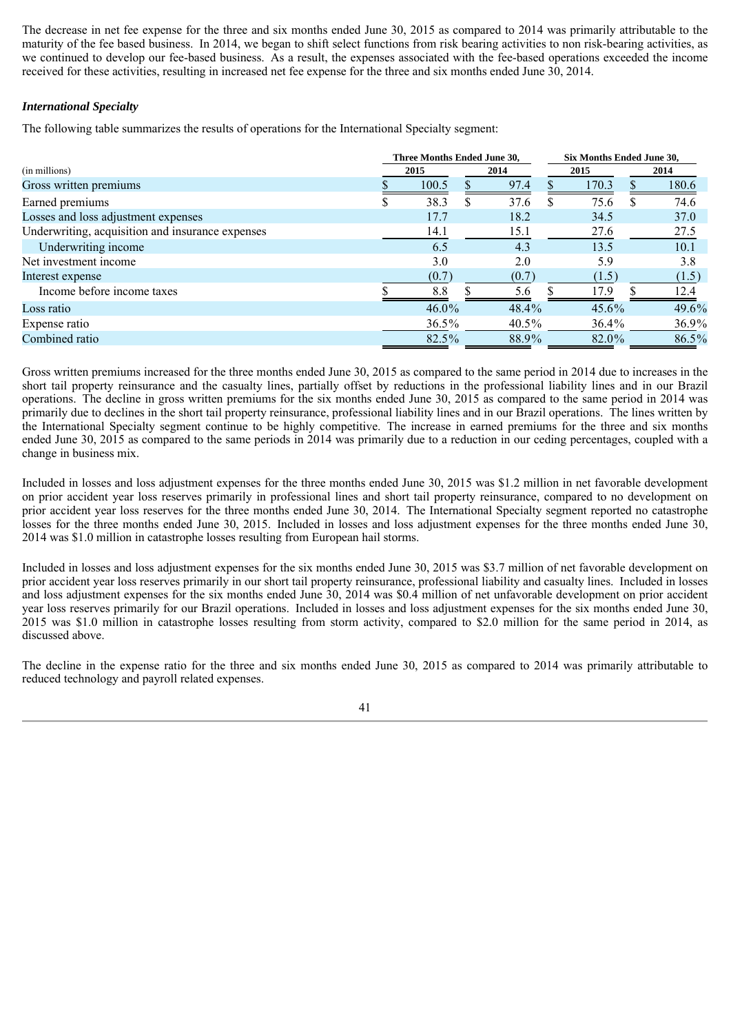The decrease in net fee expense for the three and six months ended June 30, 2015 as compared to 2014 was primarily attributable to the maturity of the fee based business. In 2014, we began to shift select functions from risk bearing activities to non risk-bearing activities, as we continued to develop our fee-based business. As a result, the expenses associated with the fee-based operations exceeded the income received for these activities, resulting in increased net fee expense for the three and six months ended June 30, 2014.

### *International Specialty*

The following table summarizes the results of operations for the International Specialty segment:

|                                                  | Three Months Ended June 30, |  |          | <b>Six Months Ended June 30.</b> |          |  |       |  |  |  |
|--------------------------------------------------|-----------------------------|--|----------|----------------------------------|----------|--|-------|--|--|--|
| (in millions)                                    | 2015                        |  | 2014     | 2015                             |          |  | 2014  |  |  |  |
| Gross written premiums                           | 100.5                       |  | 97.4     |                                  | 170.3    |  | 180.6 |  |  |  |
| Earned premiums                                  | 38.3                        |  | 37.6     |                                  | 75.6     |  | 74.6  |  |  |  |
| Losses and loss adjustment expenses              | 17.7                        |  | 18.2     |                                  | 34.5     |  | 37.0  |  |  |  |
| Underwriting, acquisition and insurance expenses | 14.1                        |  | 15.1     |                                  | 27.6     |  | 27.5  |  |  |  |
| Underwriting income                              | 6.5                         |  | 4.3      |                                  | 13.5     |  | 10.1  |  |  |  |
| Net investment income                            | 3.0                         |  | 2.0      |                                  | 5.9      |  | 3.8   |  |  |  |
| Interest expense                                 | (0.7)                       |  | (0.7)    |                                  | (1.5)    |  | (1.5) |  |  |  |
| Income before income taxes                       | 8.8                         |  | 5.6      |                                  | 17.9     |  | 12.4  |  |  |  |
| Loss ratio                                       | 46.0%                       |  | 48.4%    |                                  | 45.6%    |  | 49.6% |  |  |  |
| Expense ratio                                    | $36.5\%$                    |  | $40.5\%$ |                                  | $36.4\%$ |  | 36.9% |  |  |  |
| Combined ratio                                   | 82.5%                       |  | 88.9%    |                                  | 82.0%    |  | 86.5% |  |  |  |

Gross written premiums increased for the three months ended June 30, 2015 as compared to the same period in 2014 due to increases in the short tail property reinsurance and the casualty lines, partially offset by reductions in the professional liability lines and in our Brazil operations. The decline in gross written premiums for the six months ended June 30, 2015 as compared to the same period in 2014 was primarily due to declines in the short tail property reinsurance, professional liability lines and in our Brazil operations. The lines written by the International Specialty segment continue to be highly competitive. The increase in earned premiums for the three and six months ended June 30, 2015 as compared to the same periods in 2014 was primarily due to a reduction in our ceding percentages, coupled with a change in business mix.

Included in losses and loss adjustment expenses for the three months ended June 30, 2015 was \$1.2 million in net favorable development on prior accident year loss reserves primarily in professional lines and short tail property reinsurance, compared to no development on prior accident year loss reserves for the three months ended June 30, 2014. The International Specialty segment reported no catastrophe losses for the three months ended June 30, 2015. Included in losses and loss adjustment expenses for the three months ended June 30, 2014 was \$1.0 million in catastrophe losses resulting from European hail storms.

Included in losses and loss adjustment expenses for the six months ended June 30, 2015 was \$3.7 million of net favorable development on prior accident year loss reserves primarily in our short tail property reinsurance, professional liability and casualty lines. Included in losses and loss adjustment expenses for the six months ended June 30, 2014 was \$0.4 million of net unfavorable development on prior accident year loss reserves primarily for our Brazil operations. Included in losses and loss adjustment expenses for the six months ended June 30, 2015 was \$1.0 million in catastrophe losses resulting from storm activity, compared to \$2.0 million for the same period in 2014, as discussed above.

The decline in the expense ratio for the three and six months ended June 30, 2015 as compared to 2014 was primarily attributable to reduced technology and payroll related expenses.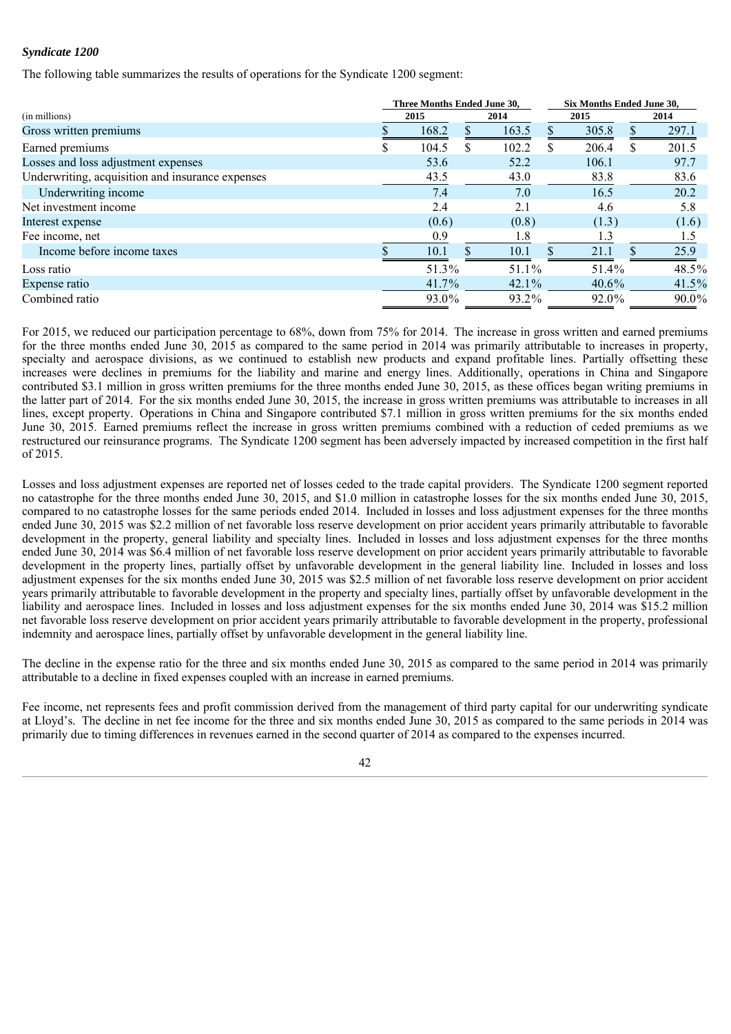### *Syndicate 1200*

The following table summarizes the results of operations for the Syndicate 1200 segment:

|                                                  | Three Months Ended June 30, |          | Six Months Ended June 30, |       |
|--------------------------------------------------|-----------------------------|----------|---------------------------|-------|
| (in millions)                                    | 2015                        | 2014     | 2015                      | 2014  |
| Gross written premiums                           | 168.2                       | 163.5    | 305.8                     | 297.1 |
| Earned premiums                                  | 104.5                       | 102.2    | 206.4                     | 201.5 |
| Losses and loss adjustment expenses              | 53.6                        | 52.2     | 106.1                     | 97.7  |
| Underwriting, acquisition and insurance expenses | 43.5                        | 43.0     | 83.8                      | 83.6  |
| Underwriting income                              | 7.4                         | 7.0      | 16.5                      | 20.2  |
| Net investment income                            | 2.4                         | 2.1      | 4.6                       | 5.8   |
| Interest expense                                 | (0.6)                       | (0.8)    | (1.3)                     | (1.6) |
| Fee income, net                                  | 0.9                         | 1.8      | 1.3                       | 1.5   |
| Income before income taxes                       | 10.1                        | 10.1     | 21.1                      | 25.9  |
| Loss ratio                                       | 51.3%                       | 51.1%    | 51.4%                     | 48.5% |
| Expense ratio                                    | 41.7%                       | $42.1\%$ | $40.6\%$                  | 41.5% |
| Combined ratio                                   | 93.0%                       | 93.2%    | 92.0%                     | 90.0% |

For 2015, we reduced our participation percentage to 68%, down from 75% for 2014. The increase in gross written and earned premiums for the three months ended June 30, 2015 as compared to the same period in 2014 was primarily attributable to increases in property, specialty and aerospace divisions, as we continued to establish new products and expand profitable lines. Partially offsetting these increases were declines in premiums for the liability and marine and energy lines. Additionally, operations in China and Singapore contributed \$3.1 million in gross written premiums for the three months ended June 30, 2015, as these offices began writing premiums in the latter part of 2014. For the six months ended June 30, 2015, the increase in gross written premiums was attributable to increases in all lines, except property. Operations in China and Singapore contributed \$7.1 million in gross written premiums for the six months ended June 30, 2015. Earned premiums reflect the increase in gross written premiums combined with a reduction of ceded premiums as we restructured our reinsurance programs. The Syndicate 1200 segment has been adversely impacted by increased competition in the first half of 2015.

Losses and loss adjustment expenses are reported net of losses ceded to the trade capital providers. The Syndicate 1200 segment reported no catastrophe for the three months ended June 30, 2015, and \$1.0 million in catastrophe losses for the six months ended June 30, 2015, compared to no catastrophe losses for the same periods ended 2014. Included in losses and loss adjustment expenses for the three months ended June 30, 2015 was \$2.2 million of net favorable loss reserve development on prior accident years primarily attributable to favorable development in the property, general liability and specialty lines. Included in losses and loss adjustment expenses for the three months ended June 30, 2014 was \$6.4 million of net favorable loss reserve development on prior accident years primarily attributable to favorable development in the property lines, partially offset by unfavorable development in the general liability line. Included in losses and loss adjustment expenses for the six months ended June 30, 2015 was \$2.5 million of net favorable loss reserve development on prior accident years primarily attributable to favorable development in the property and specialty lines, partially offset by unfavorable development in the liability and aerospace lines. Included in losses and loss adjustment expenses for the six months ended June 30, 2014 was \$15.2 million net favorable loss reserve development on prior accident years primarily attributable to favorable development in the property, professional indemnity and aerospace lines, partially offset by unfavorable development in the general liability line.

The decline in the expense ratio for the three and six months ended June 30, 2015 as compared to the same period in 2014 was primarily attributable to a decline in fixed expenses coupled with an increase in earned premiums.

Fee income, net represents fees and profit commission derived from the management of third party capital for our underwriting syndicate at Lloyd's. The decline in net fee income for the three and six months ended June 30, 2015 as compared to the same periods in 2014 was primarily due to timing differences in revenues earned in the second quarter of 2014 as compared to the expenses incurred.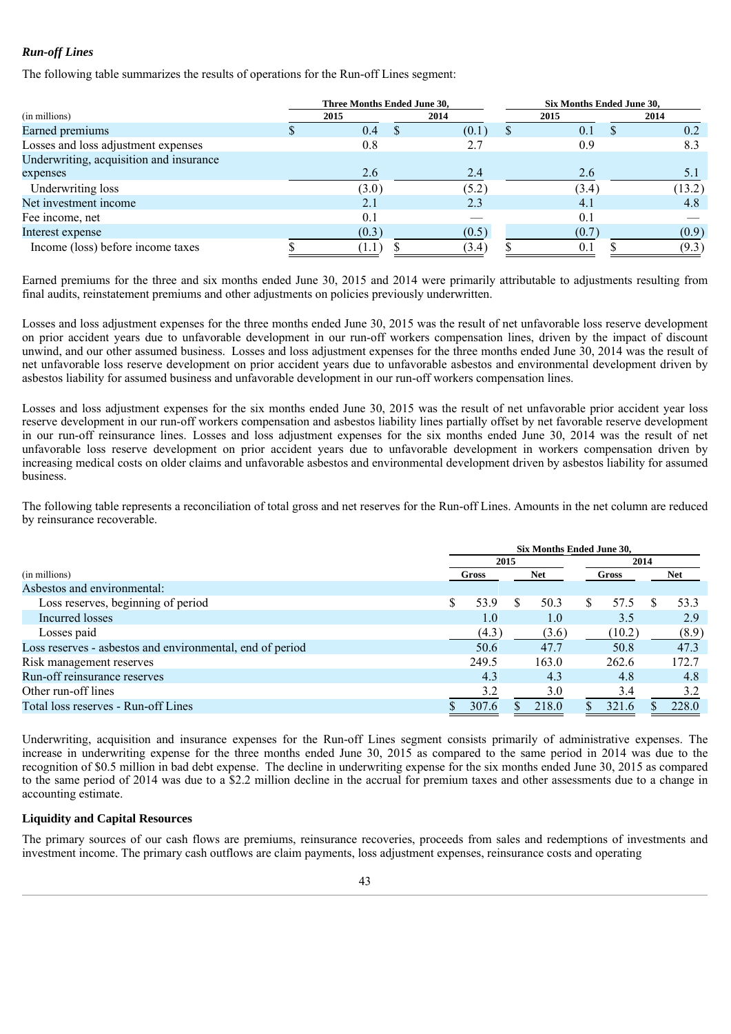## *Run-off Lines*

The following table summarizes the results of operations for the Run-off Lines segment:

|                                         | Three Months Ended June 30, |      | Six Months Ended June 30, |  |                |  |        |  |  |  |
|-----------------------------------------|-----------------------------|------|---------------------------|--|----------------|--|--------|--|--|--|
| (in millions)                           | 2015                        | 2014 |                           |  | 2015           |  | 2014   |  |  |  |
| Earned premiums                         | 0.4                         |      | (0.1)                     |  | 0.1            |  | 0.2    |  |  |  |
| Losses and loss adjustment expenses     | 0.8                         |      | 2.7                       |  | 0.9            |  | 8.3    |  |  |  |
| Underwriting, acquisition and insurance |                             |      |                           |  |                |  |        |  |  |  |
| expenses                                | 2.6                         |      | 2.4                       |  | 2.6            |  | 5.1    |  |  |  |
| Underwriting loss                       | (3.0)                       |      | (5.2)                     |  | (3.4)          |  | (13.2) |  |  |  |
| Net investment income                   | 2.1                         |      | 2.3                       |  | 4.1            |  | 4.8    |  |  |  |
| Fee income, net                         | 0.1                         |      |                           |  | 0.1            |  |        |  |  |  |
| Interest expense                        | (0.3)                       |      | (0.5)                     |  | (0.7)          |  | (0.9)  |  |  |  |
| Income (loss) before income taxes       | (1.1)                       |      | (3.4)                     |  | 0 <sup>1</sup> |  | (9.3)  |  |  |  |

Earned premiums for the three and six months ended June 30, 2015 and 2014 were primarily attributable to adjustments resulting from final audits, reinstatement premiums and other adjustments on policies previously underwritten.

Losses and loss adjustment expenses for the three months ended June 30, 2015 was the result of net unfavorable loss reserve development on prior accident years due to unfavorable development in our run-off workers compensation lines, driven by the impact of discount unwind, and our other assumed business. Losses and loss adjustment expenses for the three months ended June 30, 2014 was the result of net unfavorable loss reserve development on prior accident years due to unfavorable asbestos and environmental development driven by asbestos liability for assumed business and unfavorable development in our run-off workers compensation lines.

Losses and loss adjustment expenses for the six months ended June 30, 2015 was the result of net unfavorable prior accident year loss reserve development in our run-off workers compensation and asbestos liability lines partially offset by net favorable reserve development in our run-off reinsurance lines. Losses and loss adjustment expenses for the six months ended June 30, 2014 was the result of net unfavorable loss reserve development on prior accident years due to unfavorable development in workers compensation driven by increasing medical costs on older claims and unfavorable asbestos and environmental development driven by asbestos liability for assumed business.

The following table represents a reconciliation of total gross and net reserves for the Run-off Lines. Amounts in the net column are reduced by reinsurance recoverable.

|                                                           | Six Months Ended June 30. |       |    |            |       |        |  |       |  |  |
|-----------------------------------------------------------|---------------------------|-------|----|------------|-------|--------|--|-------|--|--|
|                                                           |                           | 2015  |    |            | 2014  |        |  |       |  |  |
| (in millions)                                             |                           | Gross |    | <b>Net</b> | Gross |        |  | Net   |  |  |
| Asbestos and environmental:                               |                           |       |    |            |       |        |  |       |  |  |
| Loss reserves, beginning of period                        |                           | 53.9  | S. | 50.3       | S.    | 57.5   |  | 53.3  |  |  |
| Incurred losses                                           |                           | 1.0   |    | 1.0        |       | 3.5    |  | 2.9   |  |  |
| Losses paid                                               |                           | (4.3) |    | (3.6)      |       | (10.2) |  | (8.9) |  |  |
| Loss reserves - asbestos and environmental, end of period |                           | 50.6  |    | 47.7       |       | 50.8   |  | 47.3  |  |  |
| Risk management reserves                                  |                           | 249.5 |    | 163.0      |       | 262.6  |  | 172.7 |  |  |
| Run-off reinsurance reserves                              |                           | 4.3   |    | 4.3        |       | 4.8    |  | 4.8   |  |  |
| Other run-off lines                                       |                           | 3.2   |    | 3.0        |       | 3.4    |  | 3.2   |  |  |
| Total loss reserves - Run-off Lines                       |                           | 307.6 |    | 218.0      |       | 321.6  |  | 228.0 |  |  |

Underwriting, acquisition and insurance expenses for the Run-off Lines segment consists primarily of administrative expenses. The increase in underwriting expense for the three months ended June 30, 2015 as compared to the same period in 2014 was due to the recognition of \$0.5 million in bad debt expense. The decline in underwriting expense for the six months ended June 30, 2015 as compared to the same period of 2014 was due to a \$2.2 million decline in the accrual for premium taxes and other assessments due to a change in accounting estimate.

### **Liquidity and Capital Resources**

The primary sources of our cash flows are premiums, reinsurance recoveries, proceeds from sales and redemptions of investments and investment income. The primary cash outflows are claim payments, loss adjustment expenses, reinsurance costs and operating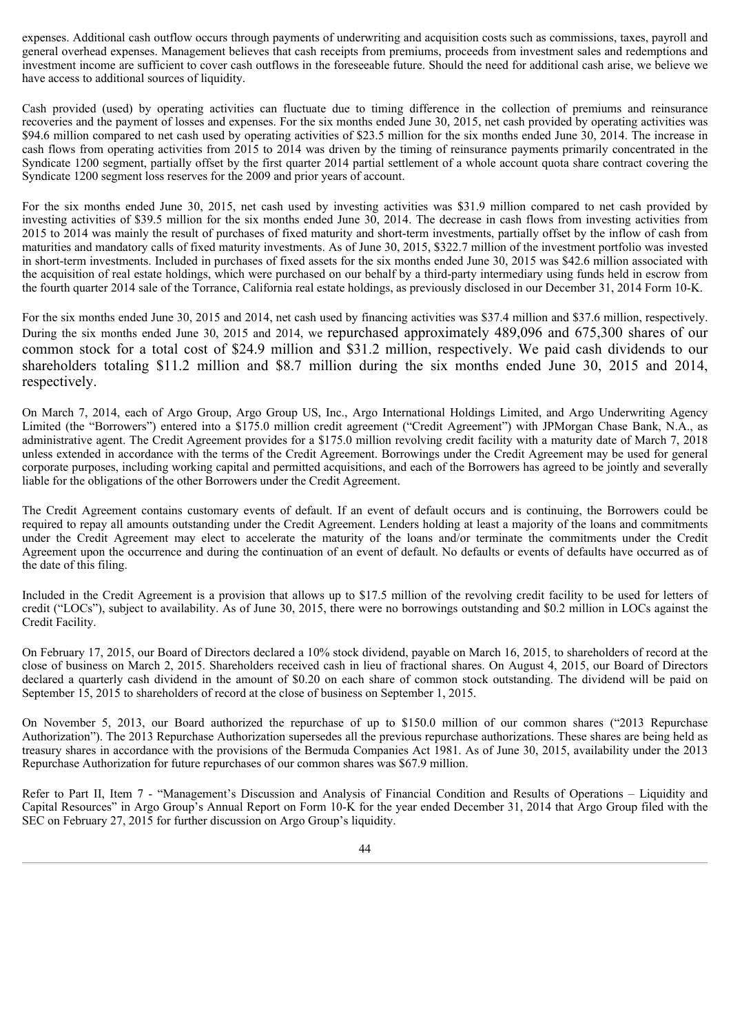expenses. Additional cash outflow occurs through payments of underwriting and acquisition costs such as commissions, taxes, payroll and general overhead expenses. Management believes that cash receipts from premiums, proceeds from investment sales and redemptions and investment income are sufficient to cover cash outflows in the foreseeable future. Should the need for additional cash arise, we believe we have access to additional sources of liquidity.

Cash provided (used) by operating activities can fluctuate due to timing difference in the collection of premiums and reinsurance recoveries and the payment of losses and expenses. For the six months ended June 30, 2015, net cash provided by operating activities was \$94.6 million compared to net cash used by operating activities of \$23.5 million for the six months ended June 30, 2014. The increase in cash flows from operating activities from 2015 to 2014 was driven by the timing of reinsurance payments primarily concentrated in the Syndicate 1200 segment, partially offset by the first quarter 2014 partial settlement of a whole account quota share contract covering the Syndicate 1200 segment loss reserves for the 2009 and prior years of account.

For the six months ended June 30, 2015, net cash used by investing activities was \$31.9 million compared to net cash provided by investing activities of \$39.5 million for the six months ended June 30, 2014. The decrease in cash flows from investing activities from 2015 to 2014 was mainly the result of purchases of fixed maturity and short-term investments, partially offset by the inflow of cash from maturities and mandatory calls of fixed maturity investments. As of June 30, 2015, \$322.7 million of the investment portfolio was invested in short-term investments. Included in purchases of fixed assets for the six months ended June 30, 2015 was \$42.6 million associated with the acquisition of real estate holdings, which were purchased on our behalf by a third-party intermediary using funds held in escrow from the fourth quarter 2014 sale of the Torrance, California real estate holdings, as previously disclosed in our December 31, 2014 Form 10-K.

For the six months ended June 30, 2015 and 2014, net cash used by financing activities was \$37.4 million and \$37.6 million, respectively. During the six months ended June 30, 2015 and 2014, we repurchased approximately 489,096 and 675,300 shares of our common stock for a total cost of \$24.9 million and \$31.2 million, respectively. We paid cash dividends to our shareholders totaling \$11.2 million and \$8.7 million during the six months ended June 30, 2015 and 2014, respectively.

On March 7, 2014, each of Argo Group, Argo Group US, Inc., Argo International Holdings Limited, and Argo Underwriting Agency Limited (the "Borrowers") entered into a \$175.0 million credit agreement ("Credit Agreement") with JPMorgan Chase Bank, N.A., as administrative agent. The Credit Agreement provides for a \$175.0 million revolving credit facility with a maturity date of March 7, 2018 unless extended in accordance with the terms of the Credit Agreement. Borrowings under the Credit Agreement may be used for general corporate purposes, including working capital and permitted acquisitions, and each of the Borrowers has agreed to be jointly and severally liable for the obligations of the other Borrowers under the Credit Agreement.

The Credit Agreement contains customary events of default. If an event of default occurs and is continuing, the Borrowers could be required to repay all amounts outstanding under the Credit Agreement. Lenders holding at least a majority of the loans and commitments under the Credit Agreement may elect to accelerate the maturity of the loans and/or terminate the commitments under the Credit Agreement upon the occurrence and during the continuation of an event of default. No defaults or events of defaults have occurred as of the date of this filing.

Included in the Credit Agreement is a provision that allows up to \$17.5 million of the revolving credit facility to be used for letters of credit ("LOCs"), subject to availability. As of June 30, 2015, there were no borrowings outstanding and \$0.2 million in LOCs against the Credit Facility.

On February 17, 2015, our Board of Directors declared a 10% stock dividend, payable on March 16, 2015, to shareholders of record at the close of business on March 2, 2015. Shareholders received cash in lieu of fractional shares. On August 4, 2015, our Board of Directors declared a quarterly cash dividend in the amount of \$0.20 on each share of common stock outstanding. The dividend will be paid on September 15, 2015 to shareholders of record at the close of business on September 1, 2015.

On November 5, 2013, our Board authorized the repurchase of up to \$150.0 million of our common shares ("2013 Repurchase Authorization"). The 2013 Repurchase Authorization supersedes all the previous repurchase authorizations. These shares are being held as treasury shares in accordance with the provisions of the Bermuda Companies Act 1981. As of June 30, 2015, availability under the 2013 Repurchase Authorization for future repurchases of our common shares was \$67.9 million.

Refer to Part II, Item 7 - "Management's Discussion and Analysis of Financial Condition and Results of Operations – Liquidity and Capital Resources" in Argo Group's Annual Report on Form 10-K for the year ended December 31, 2014 that Argo Group filed with the SEC on February 27, 2015 for further discussion on Argo Group's liquidity.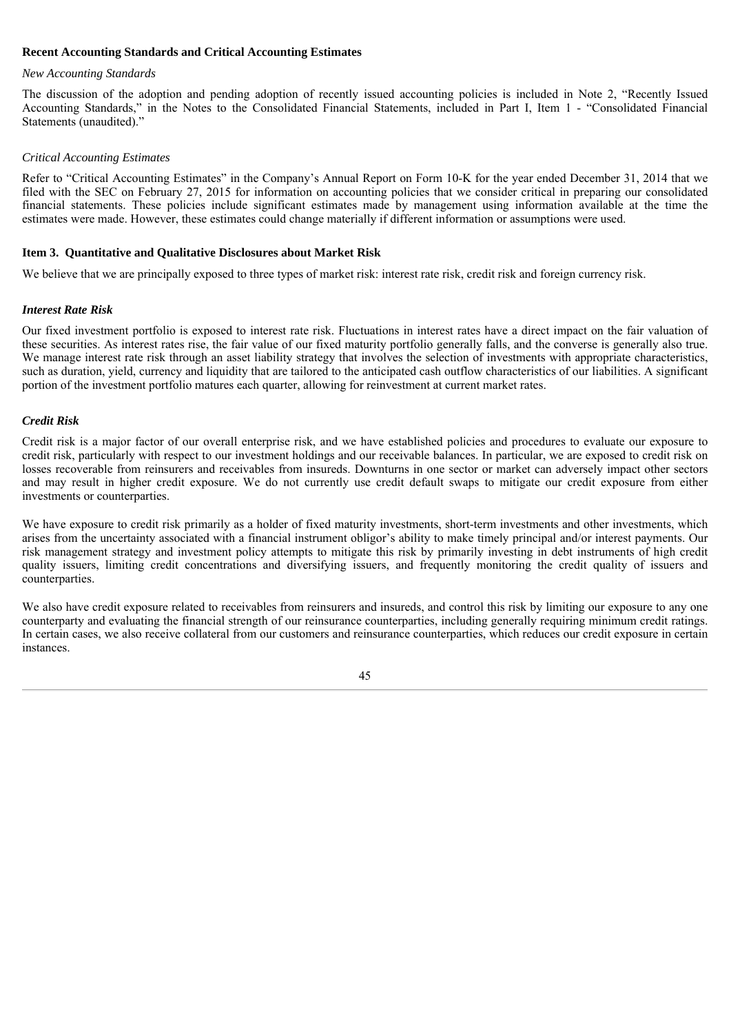### **Recent Accounting Standards and Critical Accounting Estimates**

### *New Accounting Standards*

The discussion of the adoption and pending adoption of recently issued accounting policies is included in Note 2, "Recently Issued Accounting Standards," in the Notes to the Consolidated Financial Statements, included in Part I, Item 1 - "Consolidated Financial Statements (unaudited)."

### *Critical Accounting Estimates*

Refer to "Critical Accounting Estimates" in the Company's Annual Report on Form 10-K for the year ended December 31, 2014 that we filed with the SEC on February 27, 2015 for information on accounting policies that we consider critical in preparing our consolidated financial statements. These policies include significant estimates made by management using information available at the time the estimates were made. However, these estimates could change materially if different information or assumptions were used.

### **Item 3. Quantitative and Qualitative Disclosures about Market Risk**

We believe that we are principally exposed to three types of market risk: interest rate risk, credit risk and foreign currency risk.

### *Interest Rate Risk*

Our fixed investment portfolio is exposed to interest rate risk. Fluctuations in interest rates have a direct impact on the fair valuation of these securities. As interest rates rise, the fair value of our fixed maturity portfolio generally falls, and the converse is generally also true. We manage interest rate risk through an asset liability strategy that involves the selection of investments with appropriate characteristics, such as duration, yield, currency and liquidity that are tailored to the anticipated cash outflow characteristics of our liabilities. A significant portion of the investment portfolio matures each quarter, allowing for reinvestment at current market rates.

### *Credit Risk*

Credit risk is a major factor of our overall enterprise risk, and we have established policies and procedures to evaluate our exposure to credit risk, particularly with respect to our investment holdings and our receivable balances. In particular, we are exposed to credit risk on losses recoverable from reinsurers and receivables from insureds. Downturns in one sector or market can adversely impact other sectors and may result in higher credit exposure. We do not currently use credit default swaps to mitigate our credit exposure from either investments or counterparties.

We have exposure to credit risk primarily as a holder of fixed maturity investments, short-term investments and other investments, which arises from the uncertainty associated with a financial instrument obligor's ability to make timely principal and/or interest payments. Our risk management strategy and investment policy attempts to mitigate this risk by primarily investing in debt instruments of high credit quality issuers, limiting credit concentrations and diversifying issuers, and frequently monitoring the credit quality of issuers and counterparties.

We also have credit exposure related to receivables from reinsurers and insureds, and control this risk by limiting our exposure to any one counterparty and evaluating the financial strength of our reinsurance counterparties, including generally requiring minimum credit ratings. In certain cases, we also receive collateral from our customers and reinsurance counterparties, which reduces our credit exposure in certain instances.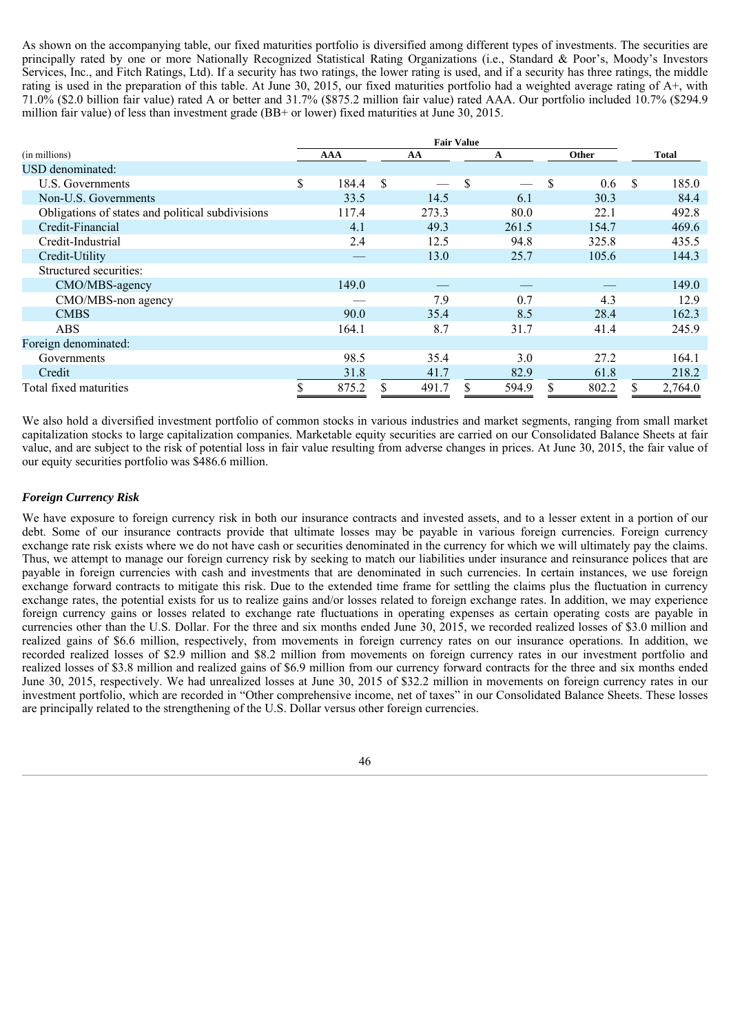As shown on the accompanying table, our fixed maturities portfolio is diversified among different types of investments. The securities are principally rated by one or more Nationally Recognized Statistical Rating Organizations (i.e., Standard & Poor's, Moody's Investors Services, Inc., and Fitch Ratings, Ltd). If a security has two ratings, the lower rating is used, and if a security has three ratings, the middle rating is used in the preparation of this table. At June 30, 2015, our fixed maturities portfolio had a weighted average rating of A+, with 71.0% (\$2.0 billion fair value) rated A or better and 31.7% (\$875.2 million fair value) rated AAA. Our portfolio included 10.7% (\$294.9 million fair value) of less than investment grade (BB+ or lower) fixed maturities at June 30, 2015.

| (in millions)                                    |    | AAA   |     | AA    |               | А     |    | Other |               | Total   |
|--------------------------------------------------|----|-------|-----|-------|---------------|-------|----|-------|---------------|---------|
| USD denominated:                                 |    |       |     |       |               |       |    |       |               |         |
| U.S. Governments                                 | \$ | 184.4 | -\$ |       | <sup>\$</sup> |       | \$ | 0.6   | <sup>\$</sup> | 185.0   |
| Non-U.S. Governments                             |    | 33.5  |     | 14.5  |               | 6.1   |    | 30.3  |               | 84.4    |
| Obligations of states and political subdivisions |    | 117.4 |     | 273.3 |               | 80.0  |    | 22.1  |               | 492.8   |
| Credit-Financial                                 |    | 4.1   |     | 49.3  |               | 261.5 |    | 154.7 |               | 469.6   |
| Credit-Industrial                                |    | 2.4   |     | 12.5  |               | 94.8  |    | 325.8 |               | 435.5   |
| Credit-Utility                                   |    |       |     | 13.0  |               | 25.7  |    | 105.6 |               | 144.3   |
| Structured securities:                           |    |       |     |       |               |       |    |       |               |         |
| CMO/MBS-agency                                   |    | 149.0 |     |       |               |       |    |       |               | 149.0   |
| CMO/MBS-non agency                               |    |       |     | 7.9   |               | 0.7   |    | 4.3   |               | 12.9    |
| <b>CMBS</b>                                      |    | 90.0  |     | 35.4  |               | 8.5   |    | 28.4  |               | 162.3   |
| <b>ABS</b>                                       |    | 164.1 |     | 8.7   |               | 31.7  |    | 41.4  |               | 245.9   |
| Foreign denominated:                             |    |       |     |       |               |       |    |       |               |         |
| Governments                                      |    | 98.5  |     | 35.4  |               | 3.0   |    | 27.2  |               | 164.1   |
| Credit                                           |    | 31.8  |     | 41.7  |               | 82.9  |    | 61.8  |               | 218.2   |
| Total fixed maturities                           | \$ | 875.2 | \$  | 491.7 | \$.           | 594.9 | \$ | 802.2 |               | 2,764.0 |

We also hold a diversified investment portfolio of common stocks in various industries and market segments, ranging from small market capitalization stocks to large capitalization companies. Marketable equity securities are carried on our Consolidated Balance Sheets at fair value, and are subject to the risk of potential loss in fair value resulting from adverse changes in prices. At June 30, 2015, the fair value of our equity securities portfolio was \$486.6 million.

## *Foreign Currency Risk*

We have exposure to foreign currency risk in both our insurance contracts and invested assets, and to a lesser extent in a portion of our debt. Some of our insurance contracts provide that ultimate losses may be payable in various foreign currencies. Foreign currency exchange rate risk exists where we do not have cash or securities denominated in the currency for which we will ultimately pay the claims. Thus, we attempt to manage our foreign currency risk by seeking to match our liabilities under insurance and reinsurance polices that are payable in foreign currencies with cash and investments that are denominated in such currencies. In certain instances, we use foreign exchange forward contracts to mitigate this risk. Due to the extended time frame for settling the claims plus the fluctuation in currency exchange rates, the potential exists for us to realize gains and/or losses related to foreign exchange rates. In addition, we may experience foreign currency gains or losses related to exchange rate fluctuations in operating expenses as certain operating costs are payable in currencies other than the U.S. Dollar. For the three and six months ended June 30, 2015, we recorded realized losses of \$3.0 million and realized gains of \$6.6 million, respectively, from movements in foreign currency rates on our insurance operations. In addition, we recorded realized losses of \$2.9 million and \$8.2 million from movements on foreign currency rates in our investment portfolio and realized losses of \$3.8 million and realized gains of \$6.9 million from our currency forward contracts for the three and six months ended June 30, 2015, respectively. We had unrealized losses at June 30, 2015 of \$32.2 million in movements on foreign currency rates in our investment portfolio, which are recorded in "Other comprehensive income, net of taxes" in our Consolidated Balance Sheets. These losses are principally related to the strengthening of the U.S. Dollar versus other foreign currencies.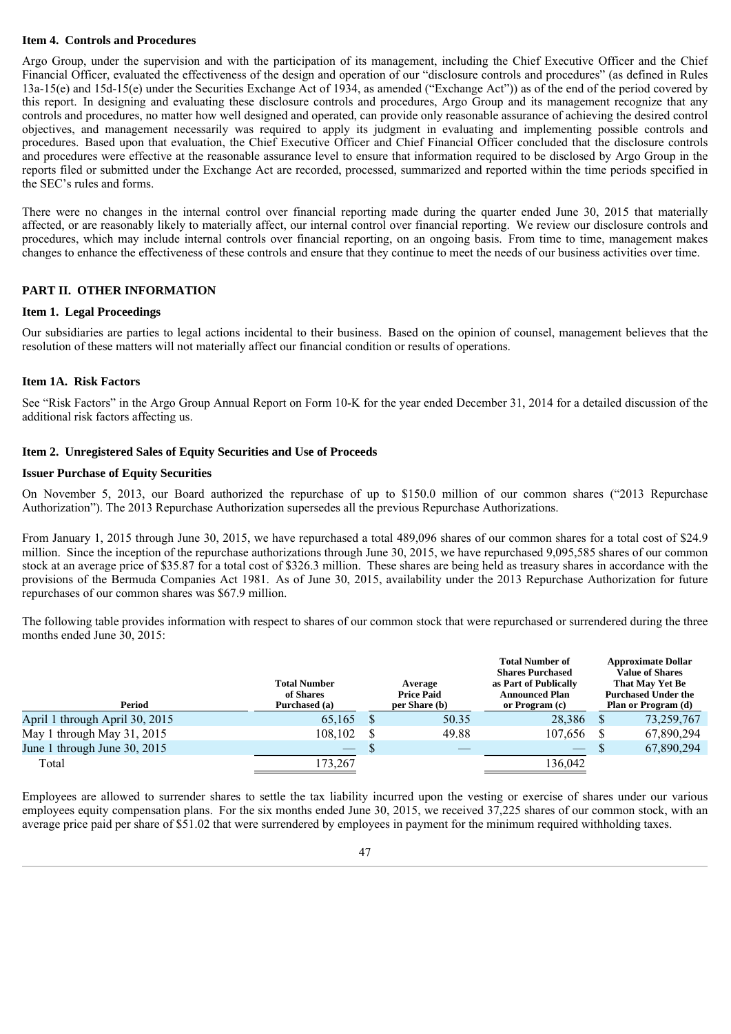### **Item 4. Controls and Procedures**

Argo Group, under the supervision and with the participation of its management, including the Chief Executive Officer and the Chief Financial Officer, evaluated the effectiveness of the design and operation of our "disclosure controls and procedures" (as defined in Rules 13a-15(e) and 15d-15(e) under the Securities Exchange Act of 1934, as amended ("Exchange Act")) as of the end of the period covered by this report. In designing and evaluating these disclosure controls and procedures, Argo Group and its management recognize that any controls and procedures, no matter how well designed and operated, can provide only reasonable assurance of achieving the desired control objectives, and management necessarily was required to apply its judgment in evaluating and implementing possible controls and procedures. Based upon that evaluation, the Chief Executive Officer and Chief Financial Officer concluded that the disclosure controls and procedures were effective at the reasonable assurance level to ensure that information required to be disclosed by Argo Group in the reports filed or submitted under the Exchange Act are recorded, processed, summarized and reported within the time periods specified in the SEC's rules and forms.

There were no changes in the internal control over financial reporting made during the quarter ended June 30, 2015 that materially affected, or are reasonably likely to materially affect, our internal control over financial reporting. We review our disclosure controls and procedures, which may include internal controls over financial reporting, on an ongoing basis. From time to time, management makes changes to enhance the effectiveness of these controls and ensure that they continue to meet the needs of our business activities over time.

# **PART II. OTHER INFORMATION**

### **Item 1. Legal Proceedings**

Our subsidiaries are parties to legal actions incidental to their business. Based on the opinion of counsel, management believes that the resolution of these matters will not materially affect our financial condition or results of operations.

### **Item 1A. Risk Factors**

See "Risk Factors" in the Argo Group Annual Report on Form 10-K for the year ended December 31, 2014 for a detailed discussion of the additional risk factors affecting us.

### **Item 2. Unregistered Sales of Equity Securities and Use of Proceeds**

### **Issuer Purchase of Equity Securities**

On November 5, 2013, our Board authorized the repurchase of up to \$150.0 million of our common shares ("2013 Repurchase Authorization"). The 2013 Repurchase Authorization supersedes all the previous Repurchase Authorizations.

From January 1, 2015 through June 30, 2015, we have repurchased a total 489,096 shares of our common shares for a total cost of \$24.9 million. Since the inception of the repurchase authorizations through June 30, 2015, we have repurchased 9,095,585 shares of our common stock at an average price of \$35.87 for a total cost of \$326.3 million. These shares are being held as treasury shares in accordance with the provisions of the Bermuda Companies Act 1981. As of June 30, 2015, availability under the 2013 Repurchase Authorization for future repurchases of our common shares was \$67.9 million.

The following table provides information with respect to shares of our common stock that were repurchased or surrendered during the three months ended June 30, 2015:

| Period                         | <b>Total Number</b><br>of Shares<br>Purchased (a) |              | Average<br><b>Price Paid</b><br>per Share (b) | <b>Approximate Dollar</b><br><b>Value of Shares</b><br>That May Yet Be<br><b>Purchased Under the</b><br>Plan or Program (d) |  |            |  |
|--------------------------------|---------------------------------------------------|--------------|-----------------------------------------------|-----------------------------------------------------------------------------------------------------------------------------|--|------------|--|
|                                |                                                   |              | 50.35                                         | or Program (c)                                                                                                              |  |            |  |
| April 1 through April 30, 2015 | 65,165                                            |              |                                               | 28,386                                                                                                                      |  | 73,259,767 |  |
| May 1 through May 31, 2015     | 108,102                                           | S            | 49.88                                         | 107,656                                                                                                                     |  | 67,890,294 |  |
| June 1 through June 30, 2015   |                                                   | <sup>S</sup> |                                               | $\hspace{0.05cm}$                                                                                                           |  | 67,890,294 |  |
| Total                          | 173,267                                           |              |                                               | 136,042                                                                                                                     |  |            |  |

Employees are allowed to surrender shares to settle the tax liability incurred upon the vesting or exercise of shares under our various employees equity compensation plans. For the six months ended June 30, 2015, we received 37,225 shares of our common stock, with an average price paid per share of \$51.02 that were surrendered by employees in payment for the minimum required withholding taxes.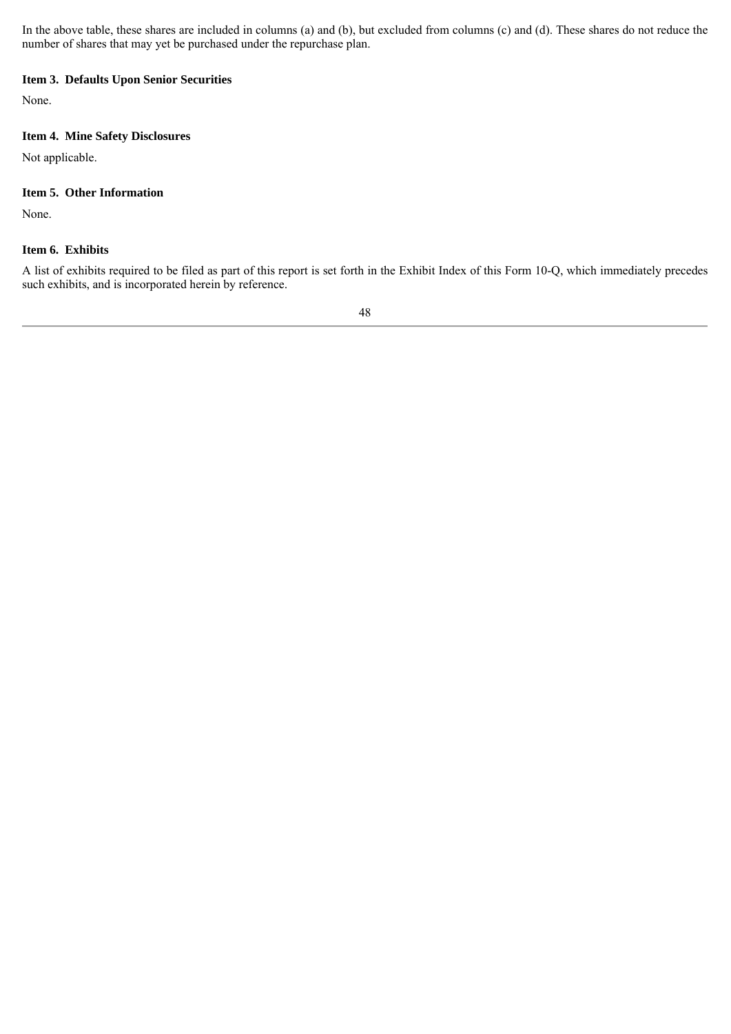In the above table, these shares are included in columns (a) and (b), but excluded from columns (c) and (d). These shares do not reduce the number of shares that may yet be purchased under the repurchase plan.

### **Item 3. Defaults Upon Senior Securities**

None.

### **Item 4. Mine Safety Disclosures**

Not applicable.

### **Item 5. Other Information**

None.

## **Item 6. Exhibits**

A list of exhibits required to be filed as part of this report is set forth in the Exhibit Index of this Form 10-Q, which immediately precedes such exhibits, and is incorporated herein by reference.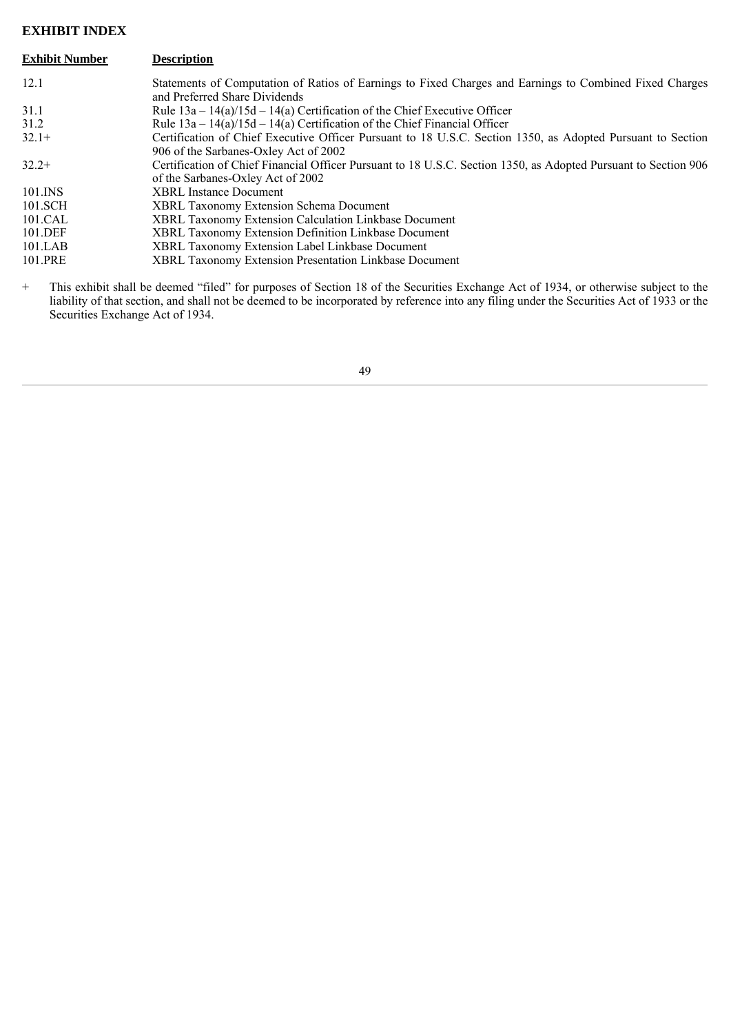# **EXHIBIT INDEX**

| <b>Exhibit Number</b> | <b>Description</b>                                                                                                                                   |
|-----------------------|------------------------------------------------------------------------------------------------------------------------------------------------------|
| 12.1                  | Statements of Computation of Ratios of Earnings to Fixed Charges and Earnings to Combined Fixed Charges<br>and Preferred Share Dividends             |
| 31.1                  | Rule $13a - 14(a)/15d - 14(a)$ Certification of the Chief Executive Officer                                                                          |
| 31.2                  | Rule $13a - 14(a)/15d - 14(a)$ Certification of the Chief Financial Officer                                                                          |
| $32.1+$               | Certification of Chief Executive Officer Pursuant to 18 U.S.C. Section 1350, as Adopted Pursuant to Section<br>906 of the Sarbanes-Oxley Act of 2002 |
| $32.2+$               | Certification of Chief Financial Officer Pursuant to 18 U.S.C. Section 1350, as Adopted Pursuant to Section 906<br>of the Sarbanes-Oxley Act of 2002 |
| 101.INS               | <b>XBRL</b> Instance Document                                                                                                                        |
| 101.SCH               | <b>XBRL Taxonomy Extension Schema Document</b>                                                                                                       |
| 101.CAL               | <b>XBRL Taxonomy Extension Calculation Linkbase Document</b>                                                                                         |
| 101.DEF               | XBRL Taxonomy Extension Definition Linkbase Document                                                                                                 |
| $101$ .LAB            | XBRL Taxonomy Extension Label Linkbase Document                                                                                                      |
| 101.PRE               | XBRL Taxonomy Extension Presentation Linkbase Document                                                                                               |

+ This exhibit shall be deemed "filed" for purposes of Section 18 of the Securities Exchange Act of 1934, or otherwise subject to the liability of that section, and shall not be deemed to be incorporated by reference into any filing under the Securities Act of 1933 or the Securities Exchange Act of 1934.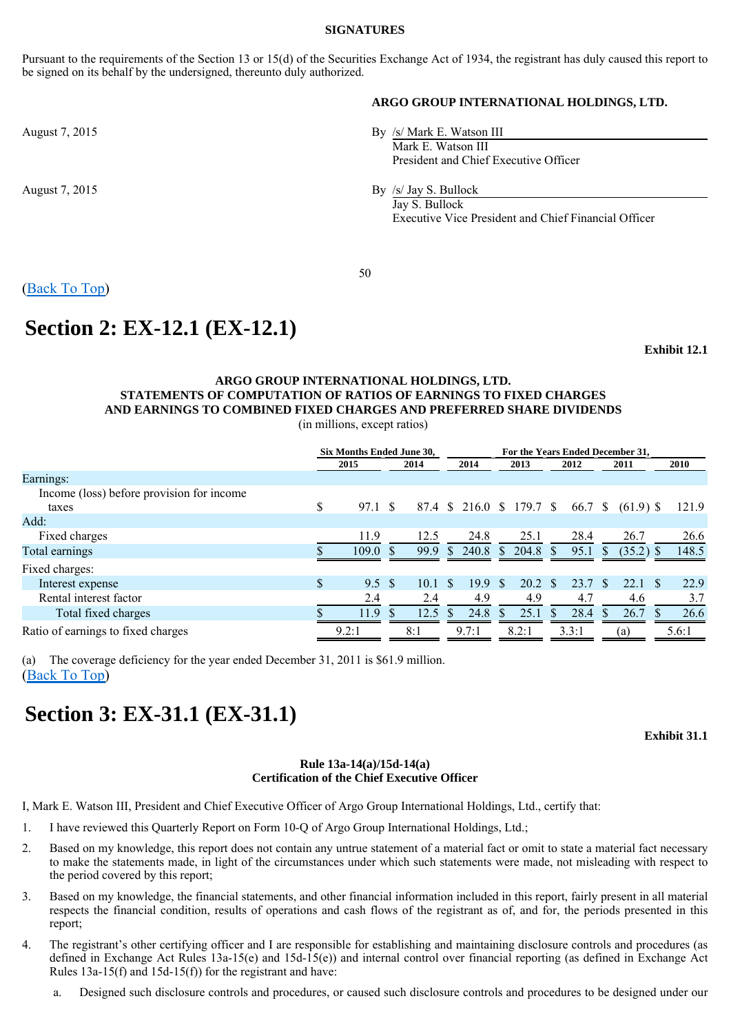#### **SIGNATURES**

Pursuant to the requirements of the Section 13 or 15(d) of the Securities Exchange Act of 1934, the registrant has duly caused this report to be signed on its behalf by the undersigned, thereunto duly authorized.

### **ARGO GROUP INTERNATIONAL HOLDINGS, LTD.**

| August 7, 2015 | By /s/ Mark E. Watson III<br>Mark E. Watson III<br>President and Chief Executive Officer        |
|----------------|-------------------------------------------------------------------------------------------------|
| August 7, 2015 | By /s/ Jay S. Bullock<br>Jay S. Bullock<br>Executive Vice President and Chief Financial Officer |

(Back To Top)

# **Section 2: EX-12.1 (EX-12.1)**

**Exhibit 12.1**

# **ARGO GROUP INTERNATIONAL HOLDINGS, LTD. STATEMENTS OF COMPUTATION OF RATIOS OF EARNINGS TO FIXED CHARGES AND EARNINGS TO COMBINED FIXED CHARGES AND PREFERRED SHARE DIVIDENDS**

50

(in millions, except ratios)

|                                           | Six Months Ended June 30,<br>For the Years Ended December 31, |       |          |      |              |                           |               |       |              |         |      |             |     |       |
|-------------------------------------------|---------------------------------------------------------------|-------|----------|------|--------------|---------------------------|---------------|-------|--------------|---------|------|-------------|-----|-------|
|                                           |                                                               | 2015  | 2014     |      | 2014         |                           | 2013          |       | 2012         |         | 2011 |             |     | 2010  |
| Earnings:                                 |                                                               |       |          |      |              |                           |               |       |              |         |      |             |     |       |
| Income (loss) before provision for income |                                                               |       |          |      |              |                           |               |       |              |         |      |             |     |       |
| taxes                                     | \$                                                            | 97.1  | <b>S</b> |      |              | 87.4 \$ 216.0 \$ 179.7 \$ |               |       |              | 66.7 \$ |      | $(61.9)$ S  |     | 121.9 |
| Add:                                      |                                                               |       |          |      |              |                           |               |       |              |         |      |             |     |       |
| Fixed charges                             |                                                               | 11.9  |          | 12.5 |              | 24.8                      |               | 25.1  |              | 28.4    |      | 26.7        |     | 26.6  |
| Total earnings                            |                                                               | 109.0 |          | 99.9 | <sup>S</sup> | 240.8                     | <sup>\$</sup> | 204.8 |              | 95.1    |      | $(35.2)$ \$ |     | 148.5 |
| Fixed charges:                            |                                                               |       |          |      |              |                           |               |       |              |         |      |             |     |       |
| Interest expense                          | \$                                                            | 9.5   | \$.      | 10.1 | - \$         | 19.9                      | -S            | 20.2  | <sup>S</sup> | 23.7 \$ |      | 22.1        | - S | 22.9  |
| Rental interest factor                    |                                                               | 2.4   |          | 2.4  |              | 4.9                       |               | 4.9   |              | 4.7     |      | 4.6         |     | 3.7   |
| Total fixed charges                       |                                                               | 11.9  |          | 12.5 |              | 24.8                      |               | 25.1  |              | 28.4    |      | 26.7        |     | 26.6  |
| Ratio of earnings to fixed charges        |                                                               | 9.2:1 |          | 8:1  |              | 9.7:1                     |               | 8.2:1 |              | 3.3:1   |      | (a)         |     | 5.6:1 |

(Back To Top) (a) The coverage deficiency for the year ended December 31, 2011 is \$61.9 million.

# **Section 3: EX-31.1 (EX-31.1)**

**Exhibit 31.1**

### **Rule 13a-14(a)/15d-14(a) Certification of the Chief Executive Officer**

I, Mark E. Watson III, President and Chief Executive Officer of Argo Group International Holdings, Ltd., certify that:

- 1. I have reviewed this Quarterly Report on Form 10-Q of Argo Group International Holdings, Ltd.;
- 2. Based on my knowledge, this report does not contain any untrue statement of a material fact or omit to state a material fact necessary to make the statements made, in light of the circumstances under which such statements were made, not misleading with respect to the period covered by this report;
- 3. Based on my knowledge, the financial statements, and other financial information included in this report, fairly present in all material respects the financial condition, results of operations and cash flows of the registrant as of, and for, the periods presented in this report;
- 4. The registrant's other certifying officer and I are responsible for establishing and maintaining disclosure controls and procedures (as defined in Exchange Act Rules 13a-15(e) and 15d-15(e)) and internal control over financial reporting (as defined in Exchange Act Rules 13a-15(f) and 15d-15(f)) for the registrant and have:
	- a. Designed such disclosure controls and procedures, or caused such disclosure controls and procedures to be designed under our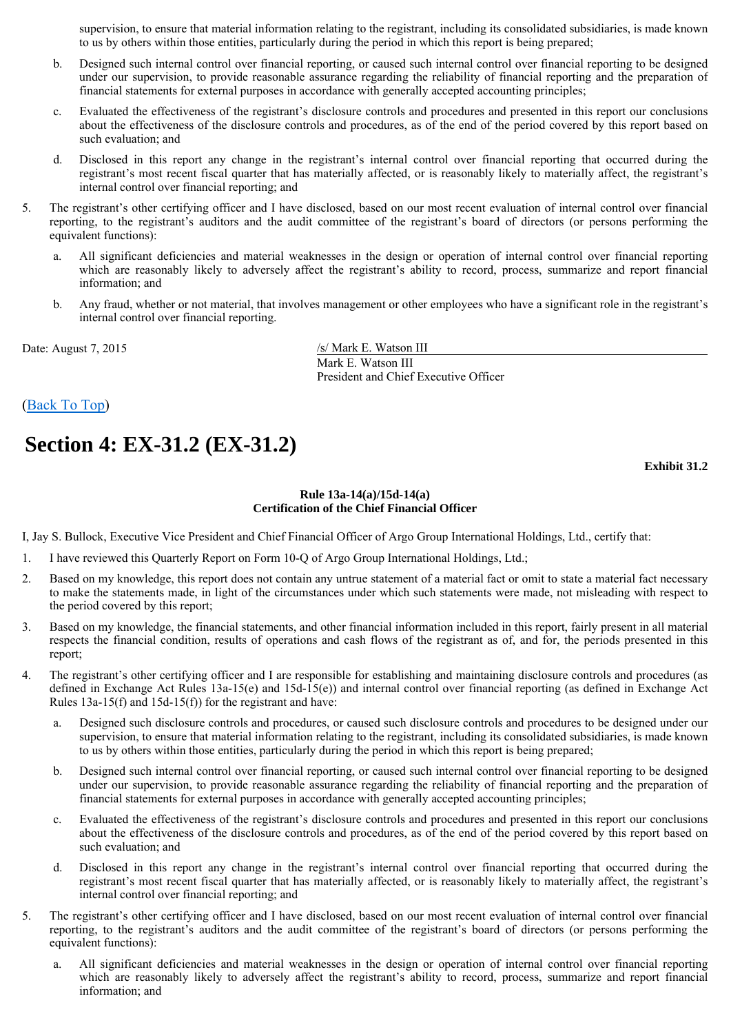supervision, to ensure that material information relating to the registrant, including its consolidated subsidiaries, is made known to us by others within those entities, particularly during the period in which this report is being prepared;

- b. Designed such internal control over financial reporting, or caused such internal control over financial reporting to be designed under our supervision, to provide reasonable assurance regarding the reliability of financial reporting and the preparation of financial statements for external purposes in accordance with generally accepted accounting principles;
- c. Evaluated the effectiveness of the registrant's disclosure controls and procedures and presented in this report our conclusions about the effectiveness of the disclosure controls and procedures, as of the end of the period covered by this report based on such evaluation; and
- d. Disclosed in this report any change in the registrant's internal control over financial reporting that occurred during the registrant's most recent fiscal quarter that has materially affected, or is reasonably likely to materially affect, the registrant's internal control over financial reporting; and
- 5. The registrant's other certifying officer and I have disclosed, based on our most recent evaluation of internal control over financial reporting, to the registrant's auditors and the audit committee of the registrant's board of directors (or persons performing the equivalent functions):
	- a. All significant deficiencies and material weaknesses in the design or operation of internal control over financial reporting which are reasonably likely to adversely affect the registrant's ability to record, process, summarize and report financial information; and
	- b. Any fraud, whether or not material, that involves management or other employees who have a significant role in the registrant's internal control over financial reporting.

Date: August 7, 2015 /s/ Mark E. Watson III Mark E. Watson III President and Chief Executive Officer

(Back To Top)

# **Section 4: EX-31.2 (EX-31.2)**

### **Exhibit 31.2**

## **Rule 13a-14(a)/15d-14(a) Certification of the Chief Financial Officer**

I, Jay S. Bullock, Executive Vice President and Chief Financial Officer of Argo Group International Holdings, Ltd., certify that:

- 1. I have reviewed this Quarterly Report on Form 10-Q of Argo Group International Holdings, Ltd.;
- 2. Based on my knowledge, this report does not contain any untrue statement of a material fact or omit to state a material fact necessary to make the statements made, in light of the circumstances under which such statements were made, not misleading with respect to the period covered by this report;
- 3. Based on my knowledge, the financial statements, and other financial information included in this report, fairly present in all material respects the financial condition, results of operations and cash flows of the registrant as of, and for, the periods presented in this report;
- 4. The registrant's other certifying officer and I are responsible for establishing and maintaining disclosure controls and procedures (as defined in Exchange Act Rules 13a-15(e) and 15d-15(e)) and internal control over financial reporting (as defined in Exchange Act Rules  $13a-15(f)$  and  $15d-15(f)$  for the registrant and have:
	- a. Designed such disclosure controls and procedures, or caused such disclosure controls and procedures to be designed under our supervision, to ensure that material information relating to the registrant, including its consolidated subsidiaries, is made known to us by others within those entities, particularly during the period in which this report is being prepared;
	- b. Designed such internal control over financial reporting, or caused such internal control over financial reporting to be designed under our supervision, to provide reasonable assurance regarding the reliability of financial reporting and the preparation of financial statements for external purposes in accordance with generally accepted accounting principles;
	- c. Evaluated the effectiveness of the registrant's disclosure controls and procedures and presented in this report our conclusions about the effectiveness of the disclosure controls and procedures, as of the end of the period covered by this report based on such evaluation; and
	- d. Disclosed in this report any change in the registrant's internal control over financial reporting that occurred during the registrant's most recent fiscal quarter that has materially affected, or is reasonably likely to materially affect, the registrant's internal control over financial reporting; and
- 5. The registrant's other certifying officer and I have disclosed, based on our most recent evaluation of internal control over financial reporting, to the registrant's auditors and the audit committee of the registrant's board of directors (or persons performing the equivalent functions):
	- a. All significant deficiencies and material weaknesses in the design or operation of internal control over financial reporting which are reasonably likely to adversely affect the registrant's ability to record, process, summarize and report financial information; and